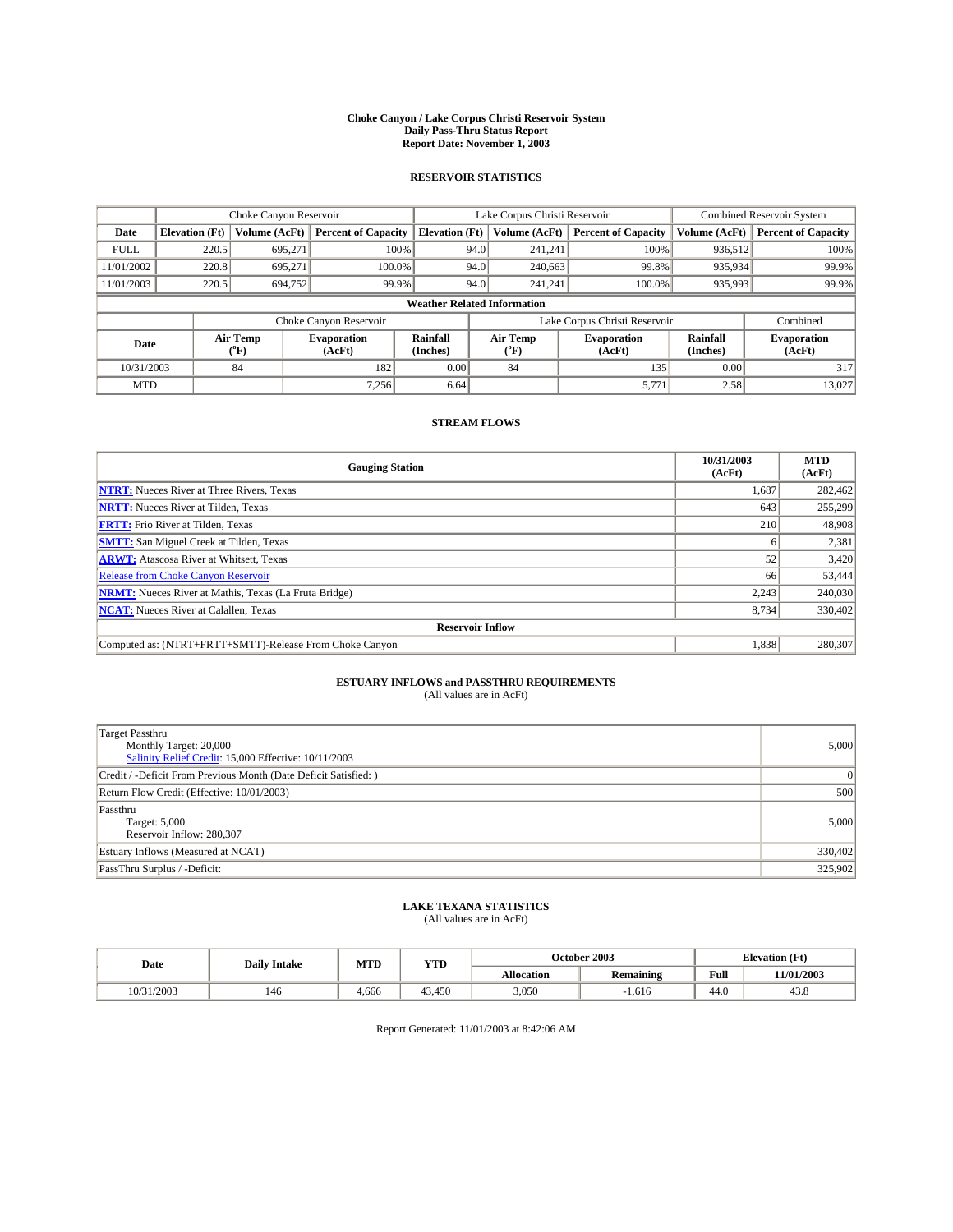#### **Choke Canyon / Lake Corpus Christi Reservoir System Daily Pass-Thru Status Report Report Date: November 1, 2003**

### **RESERVOIR STATISTICS**

|             | Choke Canyon Reservoir             |                  | Lake Corpus Christi Reservoir |                             |      |                  | Combined Reservoir System     |                             |                              |  |
|-------------|------------------------------------|------------------|-------------------------------|-----------------------------|------|------------------|-------------------------------|-----------------------------|------------------------------|--|
| Date        | <b>Elevation</b> (Ft)              | Volume (AcFt)    | <b>Percent of Capacity</b>    | <b>Elevation</b> (Ft)       |      | Volume (AcFt)    | <b>Percent of Capacity</b>    | Volume (AcFt)               | <b>Percent of Capacity</b>   |  |
| <b>FULL</b> | 220.5                              | 695,271          |                               | 100%                        | 94.0 | 241,241          | 100%                          | 936.512                     | 100%                         |  |
| 11/01/2002  | 220.8                              | 695.271          | $100.0\%$                     |                             | 94.0 | 240,663          | 99.8%                         | 935,934                     | 99.9%                        |  |
| 11/01/2003  | 220.5                              | 694,752          | 99.9%                         |                             | 94.0 | 241.241          | $100.0\%$                     | 935,993                     | 99.9%                        |  |
|             | <b>Weather Related Information</b> |                  |                               |                             |      |                  |                               |                             |                              |  |
|             |                                    |                  | Choke Canyon Reservoir        |                             |      |                  | Lake Corpus Christi Reservoir |                             | Combined                     |  |
| Date        |                                    | Air Temp<br>(°F) | <b>Evaporation</b><br>(AcFt)  | <b>Rainfall</b><br>(Inches) |      | Air Temp<br>("F) | <b>Evaporation</b><br>(AcFt)  | <b>Rainfall</b><br>(Inches) | <b>Evaporation</b><br>(AcFt) |  |
| 10/31/2003  |                                    | 84               | 182                           | 0.00                        |      | 84               | 135                           | 0.00                        | 317                          |  |
| <b>MTD</b>  |                                    |                  | 7,256                         | 6.64                        |      |                  | 5,771                         | 2.58                        | 13,027                       |  |

### **STREAM FLOWS**

| <b>Gauging Station</b>                                       | 10/31/2003<br>(AcFt) | <b>MTD</b><br>(AcFt) |  |  |  |  |  |  |
|--------------------------------------------------------------|----------------------|----------------------|--|--|--|--|--|--|
| <b>NTRT:</b> Nueces River at Three Rivers, Texas             | 1,687                | 282,462              |  |  |  |  |  |  |
| <b>NRTT:</b> Nueces River at Tilden, Texas                   | 643                  | 255,299              |  |  |  |  |  |  |
| <b>FRTT:</b> Frio River at Tilden, Texas                     | 210                  | 48,908               |  |  |  |  |  |  |
| <b>SMTT:</b> San Miguel Creek at Tilden, Texas               | 6                    | 2,381                |  |  |  |  |  |  |
| <b>ARWT:</b> Atascosa River at Whitsett, Texas               | 52                   | 3,420                |  |  |  |  |  |  |
| <b>Release from Choke Canyon Reservoir</b>                   | 66                   | 53,444               |  |  |  |  |  |  |
| <b>NRMT:</b> Nueces River at Mathis, Texas (La Fruta Bridge) | 2.243                | 240,030              |  |  |  |  |  |  |
| <b>NCAT:</b> Nueces River at Calallen, Texas                 | 8,734                | 330,402              |  |  |  |  |  |  |
| <b>Reservoir Inflow</b>                                      |                      |                      |  |  |  |  |  |  |
| Computed as: (NTRT+FRTT+SMTT)-Release From Choke Canyon      | 1,838                | 280,307              |  |  |  |  |  |  |

## **ESTUARY INFLOWS and PASSTHRU REQUIREMENTS**<br>(All values are in AcFt)

| Target Passthru<br>Monthly Target: 20,000<br>Salinity Relief Credit: 15,000 Effective: 10/11/2003 | 5,000    |
|---------------------------------------------------------------------------------------------------|----------|
| Credit / -Deficit From Previous Month (Date Deficit Satisfied: )                                  | $\Omega$ |
| Return Flow Credit (Effective: 10/01/2003)                                                        | 500      |
| Passthru<br>Target: 5,000<br>Reservoir Inflow: 280,307                                            | 5,000    |
| Estuary Inflows (Measured at NCAT)                                                                | 330,402  |
| PassThru Surplus / -Deficit:                                                                      | 325,902  |

# **LAKE TEXANA STATISTICS** (All values are in AcFt)

| Date       | <b>Daily Intake</b> | MTD   | <b>YTD</b> |                   | October 2003                             | <b>Elevation (Ft)</b> |            |
|------------|---------------------|-------|------------|-------------------|------------------------------------------|-----------------------|------------|
|            |                     |       |            | <b>Allocation</b> | $\ddot{\phantom{a}}$<br><b>Remaining</b> | Full                  | 11/01/2003 |
| 10/31/2003 | 146                 | 4,666 | 43.450     | 3,050             | 1,616                                    | $\sim$<br>44.v        | 45.8       |

Report Generated: 11/01/2003 at 8:42:06 AM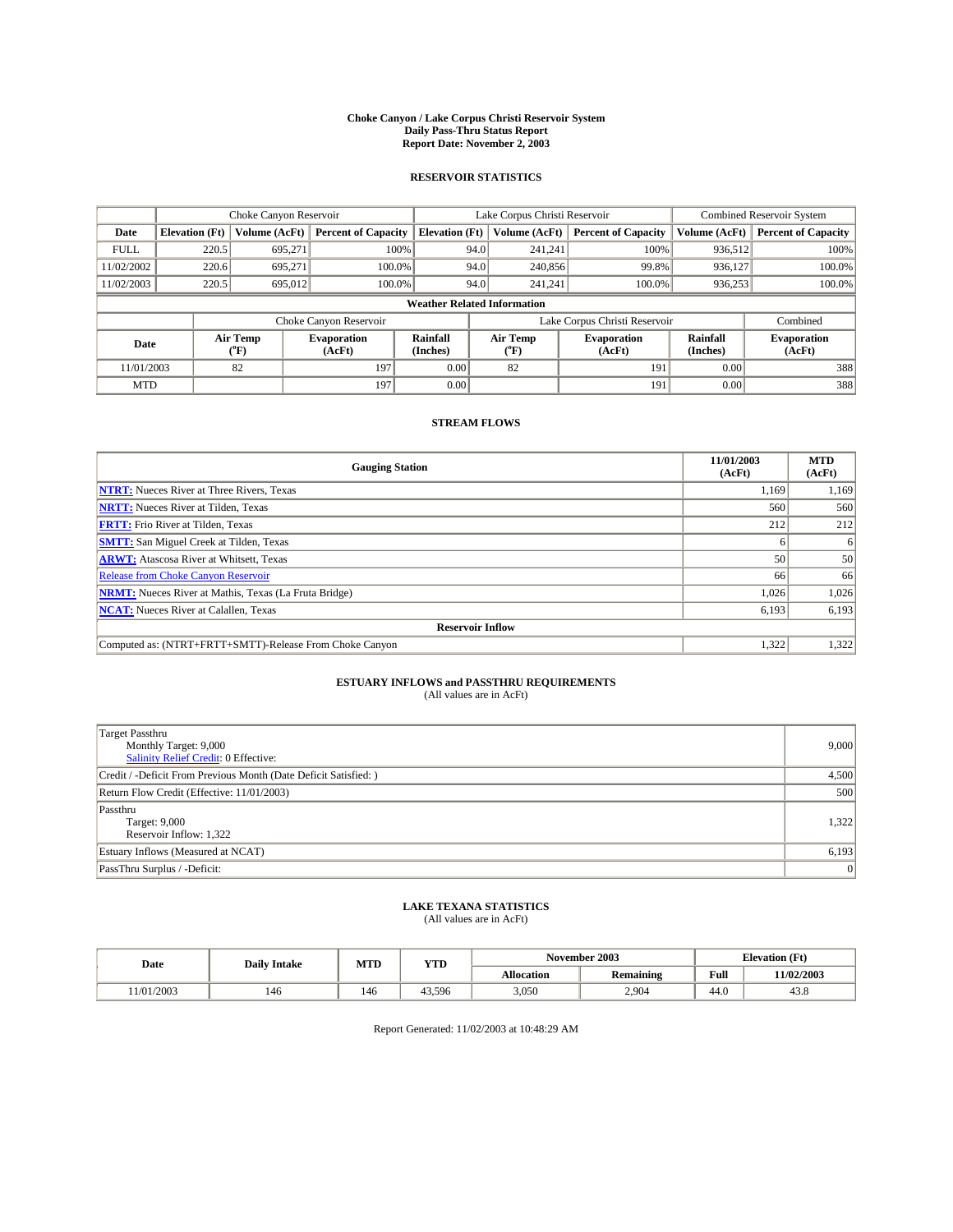#### **Choke Canyon / Lake Corpus Christi Reservoir System Daily Pass-Thru Status Report Report Date: November 2, 2003**

### **RESERVOIR STATISTICS**

|             | Choke Canyon Reservoir             |                             | Lake Corpus Christi Reservoir |                             |      |                  | Combined Reservoir System     |                      |                              |  |
|-------------|------------------------------------|-----------------------------|-------------------------------|-----------------------------|------|------------------|-------------------------------|----------------------|------------------------------|--|
| Date        | <b>Elevation</b> (Ft)              | Volume (AcFt)               | <b>Percent of Capacity</b>    | <b>Elevation</b> (Ft)       |      | Volume (AcFt)    | <b>Percent of Capacity</b>    | Volume (AcFt)        | <b>Percent of Capacity</b>   |  |
| <b>FULL</b> | 220.5                              | 695,271                     | 100%                          |                             | 94.0 | 241,241          | 100%                          | 936.512              | 100%                         |  |
| 11/02/2002  | 220.6                              | 695.271                     | $100.0\%$                     |                             | 94.0 | 240,856          | 99.8%                         | 936.127              | 100.0%                       |  |
| 11/02/2003  | 220.5                              | 695,012                     | 100.0%                        |                             | 94.0 | 241.241          | $100.0\%$                     | 936,253              | 100.0%                       |  |
|             | <b>Weather Related Information</b> |                             |                               |                             |      |                  |                               |                      |                              |  |
|             |                                    |                             | Choke Canyon Reservoir        |                             |      |                  | Lake Corpus Christi Reservoir |                      | Combined                     |  |
| Date        |                                    | Air Temp<br>${}^{\circ}$ F) | <b>Evaporation</b><br>(AcFt)  | <b>Rainfall</b><br>(Inches) |      | Air Temp<br>("F) | <b>Evaporation</b><br>(AcFt)  | Rainfall<br>(Inches) | <b>Evaporation</b><br>(AcFt) |  |
| 11/01/2003  |                                    | 82                          | 197                           | 0.00                        |      | 82               | 191                           | 0.00                 | 388                          |  |
| <b>MTD</b>  |                                    |                             | 197                           | 0.00                        |      |                  | 191                           | 0.00                 | 388                          |  |

### **STREAM FLOWS**

| <b>Gauging Station</b>                                       | 11/01/2003<br>(AcFt) | <b>MTD</b><br>(AcFt) |
|--------------------------------------------------------------|----------------------|----------------------|
| <b>NTRT:</b> Nueces River at Three Rivers, Texas             | 1,169                | 1,169                |
| <b>NRTT:</b> Nueces River at Tilden, Texas                   | 560                  | 560                  |
| <b>FRTT:</b> Frio River at Tilden, Texas                     | 212                  | 212                  |
| <b>SMTT:</b> San Miguel Creek at Tilden, Texas               |                      | 6                    |
| <b>ARWT:</b> Atascosa River at Whitsett, Texas               | 50                   | 50                   |
| Release from Choke Canyon Reservoir                          | 66                   | 66                   |
| <b>NRMT:</b> Nueces River at Mathis, Texas (La Fruta Bridge) | 1,026                | 1,026                |
| <b>NCAT:</b> Nueces River at Calallen, Texas                 | 6,193                | 6,193                |
| <b>Reservoir Inflow</b>                                      |                      |                      |
| Computed as: (NTRT+FRTT+SMTT)-Release From Choke Canyon      | 1.322                | 1,322                |

# **ESTUARY INFLOWS and PASSTHRU REQUIREMENTS**<br>(All values are in AcFt)

| <b>Target Passthru</b><br>Monthly Target: 9,000<br>Salinity Relief Credit: 0 Effective: | 9,000 |
|-----------------------------------------------------------------------------------------|-------|
| Credit / -Deficit From Previous Month (Date Deficit Satisfied: )                        | 4,500 |
| Return Flow Credit (Effective: 11/01/2003)                                              | 500   |
| Passthru<br>Target: 9,000<br>Reservoir Inflow: 1,322                                    | 1,322 |
| Estuary Inflows (Measured at NCAT)                                                      | 6,193 |
| PassThru Surplus / -Deficit:                                                            | 0     |

# **LAKE TEXANA STATISTICS** (All values are in AcFt)

| Date      | <b>Daily Intake</b> | MTD | <b>YTD</b> |                   | November 2003    | <b>Elevation</b> (Ft) |            |
|-----------|---------------------|-----|------------|-------------------|------------------|-----------------------|------------|
|           |                     |     |            | <b>Allocation</b> | <b>Remaining</b> | Full                  | 11/02/2003 |
| 1/01/2003 | 146                 | 146 | 43.596     | 3,050             | 2.904            | 44.0                  | 45.8       |

Report Generated: 11/02/2003 at 10:48:29 AM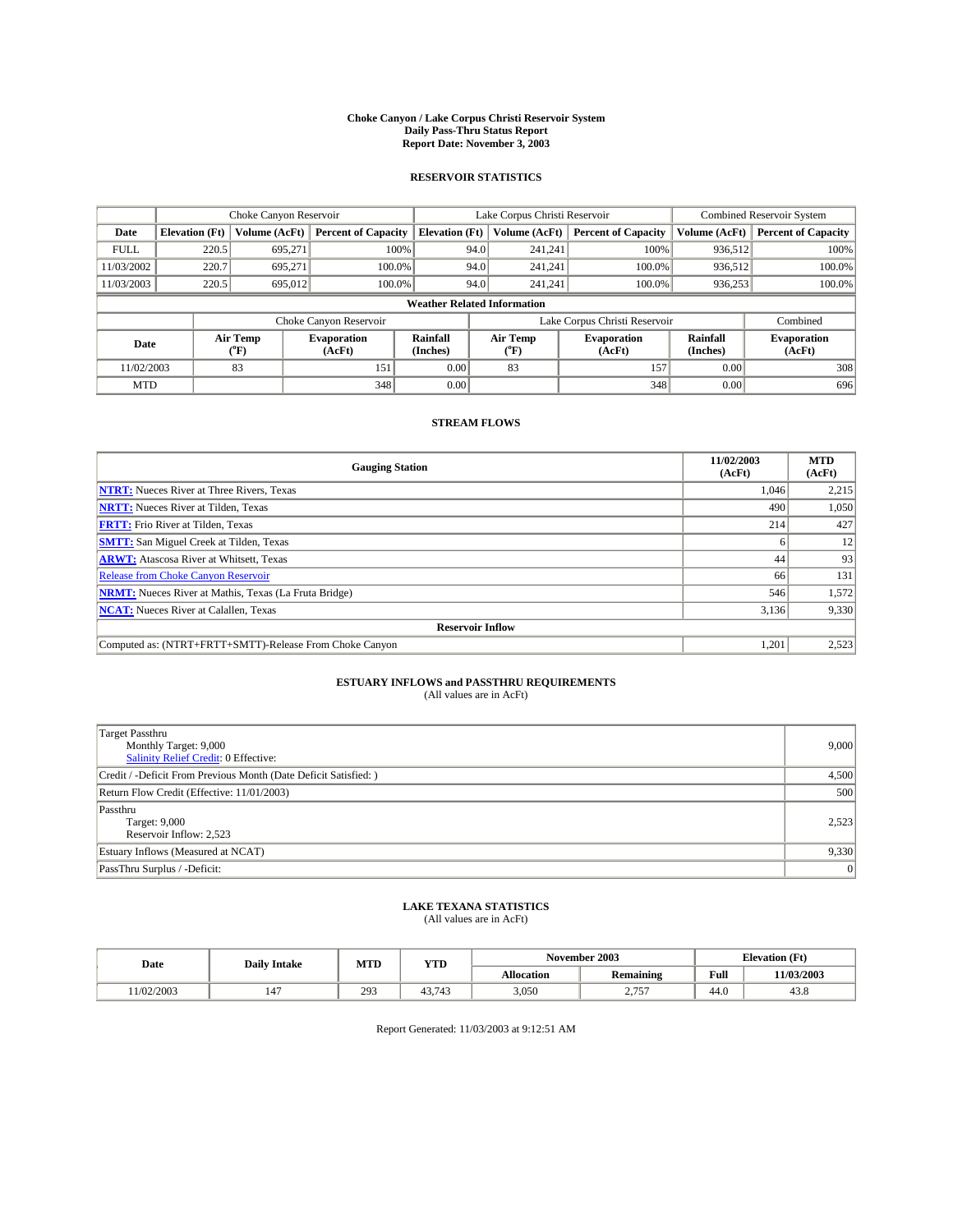#### **Choke Canyon / Lake Corpus Christi Reservoir System Daily Pass-Thru Status Report Report Date: November 3, 2003**

### **RESERVOIR STATISTICS**

|             | Choke Canyon Reservoir             |                             | Lake Corpus Christi Reservoir |                             |      |                  | Combined Reservoir System     |                      |                              |  |
|-------------|------------------------------------|-----------------------------|-------------------------------|-----------------------------|------|------------------|-------------------------------|----------------------|------------------------------|--|
| Date        | <b>Elevation</b> (Ft)              | Volume (AcFt)               | <b>Percent of Capacity</b>    | <b>Elevation</b> (Ft)       |      | Volume (AcFt)    | <b>Percent of Capacity</b>    | Volume (AcFt)        | <b>Percent of Capacity</b>   |  |
| <b>FULL</b> | 220.5                              | 695,271                     |                               | 100%                        | 94.0 | 241,241          | 100%                          | 936.512              | 100%                         |  |
| 11/03/2002  | 220.7                              | 695.271                     | $100.0\%$                     |                             | 94.0 | 241.241          | $100.0\%$                     | 936.512              | 100.0%                       |  |
| 11/03/2003  | 220.5                              | 695,012                     | 100.0%                        |                             | 94.0 | 241.241          | $100.0\%$                     | 936,253              | 100.0%                       |  |
|             | <b>Weather Related Information</b> |                             |                               |                             |      |                  |                               |                      |                              |  |
|             |                                    |                             | Choke Canyon Reservoir        |                             |      |                  | Lake Corpus Christi Reservoir |                      | Combined                     |  |
| Date        |                                    | Air Temp<br>${}^{\circ}$ F) | <b>Evaporation</b><br>(AcFt)  | <b>Rainfall</b><br>(Inches) |      | Air Temp<br>("F) | <b>Evaporation</b><br>(AcFt)  | Rainfall<br>(Inches) | <b>Evaporation</b><br>(AcFt) |  |
| 11/02/2003  |                                    | 83                          | 151                           | 0.00                        |      | 83               | 157                           | 0.00                 | 308                          |  |
| <b>MTD</b>  |                                    |                             | 348                           | 0.00                        |      |                  | 348                           | 0.00                 | 696                          |  |

### **STREAM FLOWS**

| <b>Gauging Station</b>                                       | 11/02/2003<br>(AcFt) | <b>MTD</b><br>(AcFt) |
|--------------------------------------------------------------|----------------------|----------------------|
| <b>NTRT:</b> Nueces River at Three Rivers, Texas             | 1,046                | 2,215                |
| <b>NRTT:</b> Nueces River at Tilden, Texas                   | 490                  | 1,050                |
| <b>FRTT:</b> Frio River at Tilden, Texas                     | 214                  | 427                  |
| <b>SMTT:</b> San Miguel Creek at Tilden, Texas               |                      | 12                   |
| <b>ARWT:</b> Atascosa River at Whitsett, Texas               | 44                   | 93                   |
| <b>Release from Choke Canyon Reservoir</b>                   | 66                   | 131                  |
| <b>NRMT:</b> Nueces River at Mathis, Texas (La Fruta Bridge) | 546                  | 1,572                |
| <b>NCAT:</b> Nueces River at Calallen, Texas                 | 3,136                | 9,330                |
| <b>Reservoir Inflow</b>                                      |                      |                      |
| Computed as: (NTRT+FRTT+SMTT)-Release From Choke Canyon      | 1.201                | 2,523                |

## **ESTUARY INFLOWS and PASSTHRU REQUIREMENTS**<br>(All values are in AcFt)

| <b>Target Passthru</b><br>Monthly Target: 9,000<br>Salinity Relief Credit: 0 Effective: | 9,000 |
|-----------------------------------------------------------------------------------------|-------|
| Credit / -Deficit From Previous Month (Date Deficit Satisfied: )                        | 4,500 |
| Return Flow Credit (Effective: 11/01/2003)                                              | 500   |
| Passthru<br>Target: 9,000<br>Reservoir Inflow: 2,523                                    | 2,523 |
| Estuary Inflows (Measured at NCAT)                                                      | 9,330 |
| PassThru Surplus / -Deficit:                                                            | 0     |

# **LAKE TEXANA STATISTICS** (All values are in AcFt)

| Date      | <b>Daily Intake</b> | MTD | <b>YTD</b>     |                   | November 2003    | <b>Elevation (Ft)</b> |            |
|-----------|---------------------|-----|----------------|-------------------|------------------|-----------------------|------------|
|           |                     |     |                | <b>Allocation</b> | <b>Remaining</b> | Full                  | 11/03/2003 |
| 1/02/2003 | 147                 | 293 | $\sim$<br>.743 | 3,050             | 757<br>، ، ،     | 44.v                  | 45.8       |

Report Generated: 11/03/2003 at 9:12:51 AM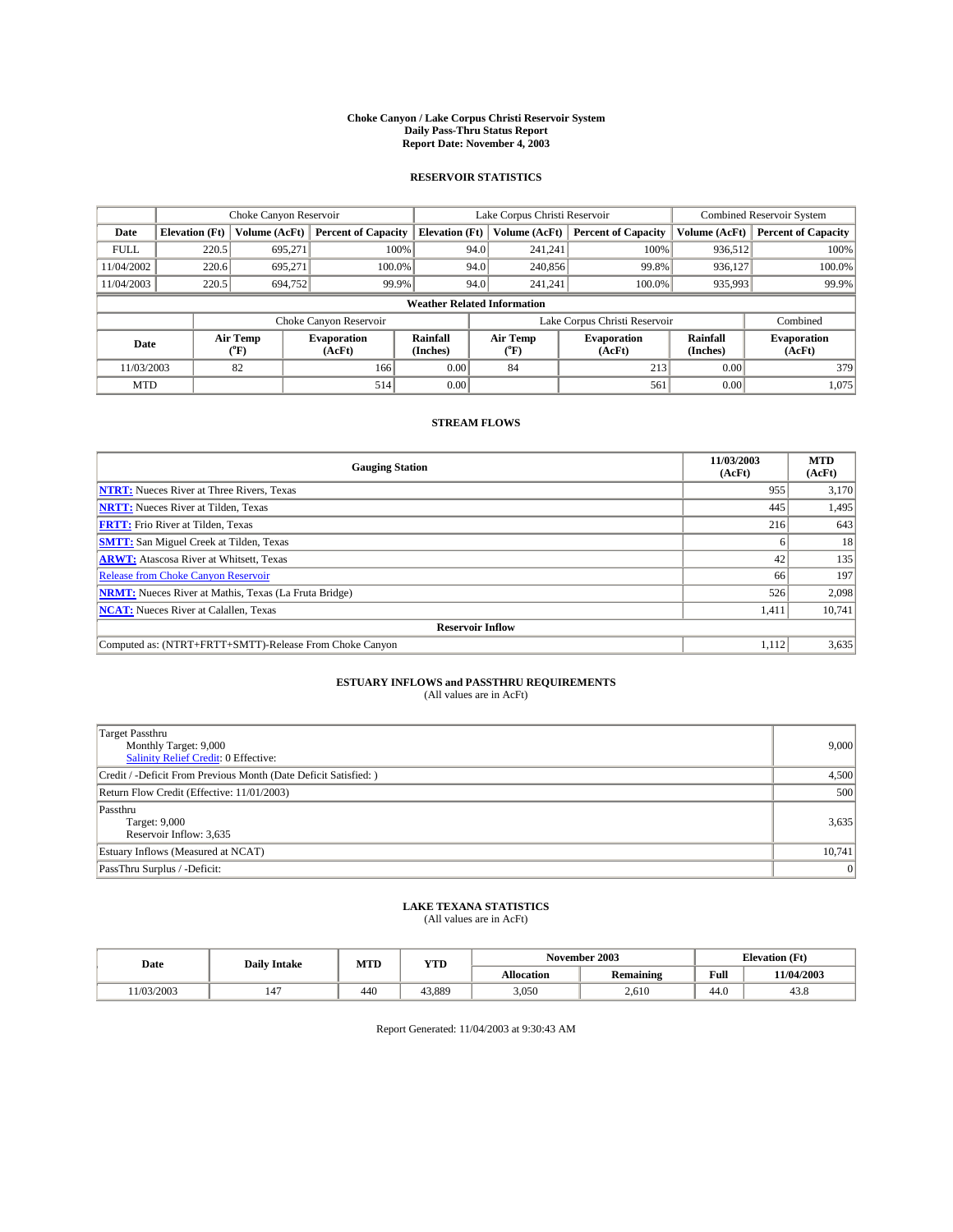#### **Choke Canyon / Lake Corpus Christi Reservoir System Daily Pass-Thru Status Report Report Date: November 4, 2003**

### **RESERVOIR STATISTICS**

|                                    | Choke Canyon Reservoir |                             |                              |                             | Lake Corpus Christi Reservoir |                  |                              |                      | <b>Combined Reservoir System</b> |  |  |
|------------------------------------|------------------------|-----------------------------|------------------------------|-----------------------------|-------------------------------|------------------|------------------------------|----------------------|----------------------------------|--|--|
| Date                               | <b>Elevation</b> (Ft)  | Volume (AcFt)               | <b>Percent of Capacity</b>   | <b>Elevation</b> (Ft)       |                               | Volume (AcFt)    | <b>Percent of Capacity</b>   | Volume (AcFt)        | <b>Percent of Capacity</b>       |  |  |
| <b>FULL</b>                        | 220.5                  | 695,271                     | 100%                         |                             | 94.0                          | 241,241          | 100%                         | 936.512              | 100%                             |  |  |
| 11/04/2002                         | 220.6                  | 695.271                     | $100.0\%$                    |                             | 94.0                          | 240,856          | 99.8%                        | 936.127              | 100.0%                           |  |  |
| 11/04/2003                         | 220.5                  | 694,752                     | 99.9%                        |                             | 94.0                          | 241.241          | $100.0\%$                    | 935,993              | 99.9%                            |  |  |
| <b>Weather Related Information</b> |                        |                             |                              |                             |                               |                  |                              |                      |                                  |  |  |
|                                    |                        |                             | Choke Canyon Reservoir       |                             | Lake Corpus Christi Reservoir |                  |                              |                      | Combined                         |  |  |
| Date                               |                        | Air Temp<br>${}^{\circ}$ F) | <b>Evaporation</b><br>(AcFt) | <b>Rainfall</b><br>(Inches) |                               | Air Temp<br>("F) | <b>Evaporation</b><br>(AcFt) | Rainfall<br>(Inches) | <b>Evaporation</b><br>(AcFt)     |  |  |
| 11/03/2003                         |                        | 82                          | 166                          | 0.00                        |                               | 84               | 213                          | 0.00                 | 379                              |  |  |
| <b>MTD</b>                         |                        |                             | 514                          | 0.00                        |                               |                  | 561                          | 0.00                 | 1,075                            |  |  |

### **STREAM FLOWS**

| <b>Gauging Station</b>                                       | 11/03/2003<br>(AcFt) | <b>MTD</b><br>(AcFt) |
|--------------------------------------------------------------|----------------------|----------------------|
| <b>NTRT:</b> Nueces River at Three Rivers, Texas             | 955                  | 3,170                |
| <b>NRTT:</b> Nueces River at Tilden, Texas                   | 445                  | 1,495                |
| <b>FRTT:</b> Frio River at Tilden, Texas                     | 216                  | 643                  |
| <b>SMTT:</b> San Miguel Creek at Tilden, Texas               |                      | 18                   |
| <b>ARWT:</b> Atascosa River at Whitsett, Texas               | 42                   | 135                  |
| <b>Release from Choke Canyon Reservoir</b>                   | 66                   | 197                  |
| <b>NRMT:</b> Nueces River at Mathis, Texas (La Fruta Bridge) | 526                  | 2,098                |
| <b>NCAT:</b> Nueces River at Calallen, Texas                 | 1,411                | 10,741               |
| <b>Reservoir Inflow</b>                                      |                      |                      |
| Computed as: (NTRT+FRTT+SMTT)-Release From Choke Canyon      | 1.112                | 3,635                |

# **ESTUARY INFLOWS and PASSTHRU REQUIREMENTS**<br>(All values are in AcFt)

| <b>Target Passthru</b>                                           |        |
|------------------------------------------------------------------|--------|
| Monthly Target: 9,000                                            | 9,000  |
| Salinity Relief Credit: 0 Effective:                             |        |
| Credit / -Deficit From Previous Month (Date Deficit Satisfied: ) | 4,500  |
| Return Flow Credit (Effective: 11/01/2003)                       | 500    |
| Passthru                                                         |        |
| Target: 9,000                                                    | 3,635  |
| Reservoir Inflow: 3,635                                          |        |
| Estuary Inflows (Measured at NCAT)                               | 10,741 |
| PassThru Surplus / -Deficit:                                     | 0      |

# **LAKE TEXANA STATISTICS** (All values are in AcFt)

| Date      | <b>Daily Intake</b>            | MTD | YTD    |                   | November 2003    | <b>Elevation</b> (Ft) |                |
|-----------|--------------------------------|-----|--------|-------------------|------------------|-----------------------|----------------|
|           |                                |     |        | <b>Allocation</b> | <b>Remaining</b> | Full                  | 11/04/2003     |
| 1/03/2003 | $\overline{\phantom{a}}$<br>14 | 440 | 43.889 | 3,050             | 2,610            | $\sim$<br>44.V        | $\sim$<br>45.8 |

Report Generated: 11/04/2003 at 9:30:43 AM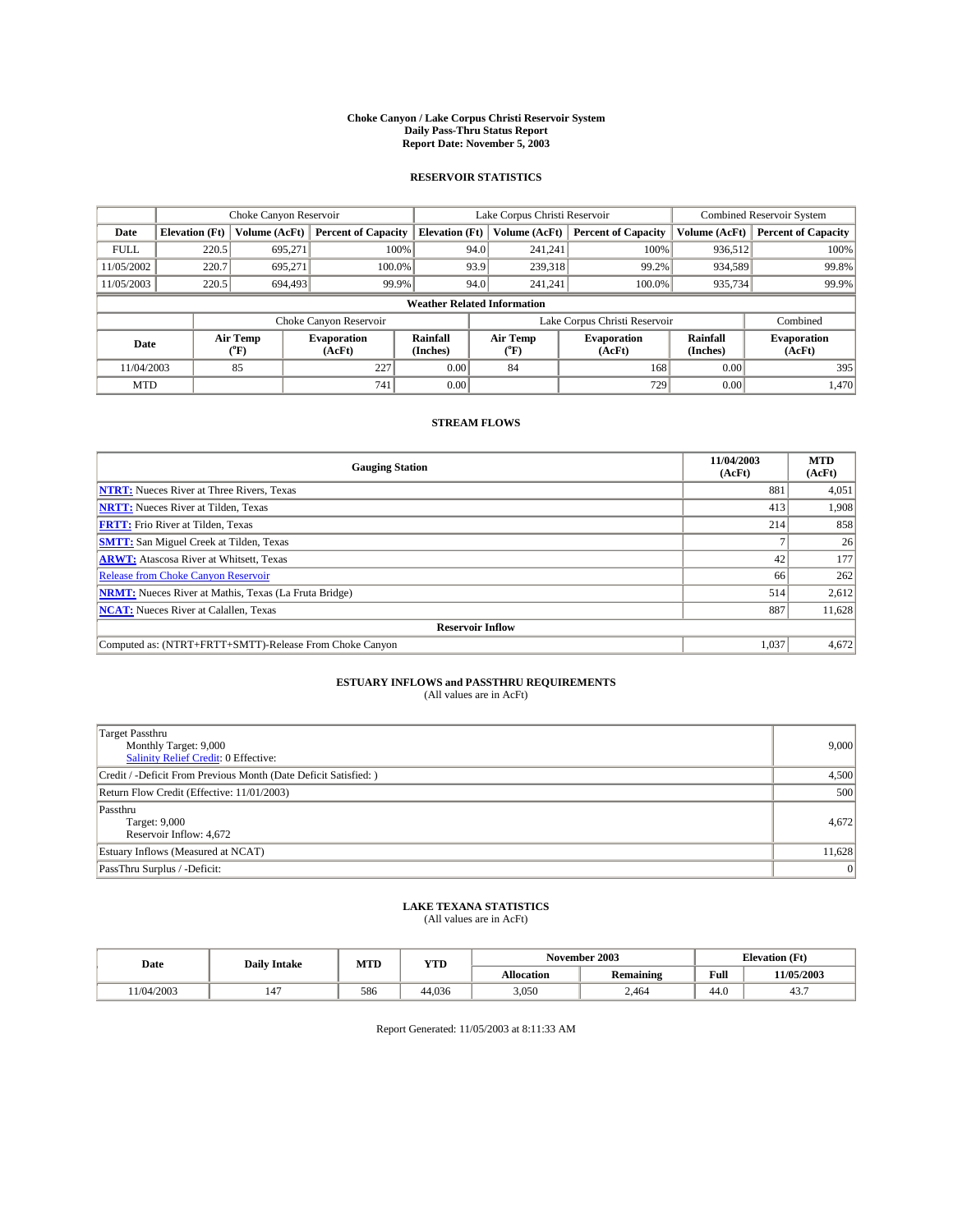#### **Choke Canyon / Lake Corpus Christi Reservoir System Daily Pass-Thru Status Report Report Date: November 5, 2003**

### **RESERVOIR STATISTICS**

|                                    | Choke Canyon Reservoir |                  | Lake Corpus Christi Reservoir |                             |                               |                  | <b>Combined Reservoir System</b> |                      |                              |
|------------------------------------|------------------------|------------------|-------------------------------|-----------------------------|-------------------------------|------------------|----------------------------------|----------------------|------------------------------|
| Date                               | <b>Elevation</b> (Ft)  | Volume (AcFt)    | <b>Percent of Capacity</b>    | <b>Elevation</b> (Ft)       |                               | Volume (AcFt)    | <b>Percent of Capacity</b>       | Volume (AcFt)        | <b>Percent of Capacity</b>   |
| <b>FULL</b>                        | 220.5                  | 695,271          | 100%                          |                             | 94.0                          | 241,241          | 100%                             | 936.512              | 100%                         |
| 11/05/2002                         | 220.7                  | 695.271          | $100.0\%$                     |                             | 93.9                          | 239.318          | 99.2%                            | 934,589              | 99.8%                        |
| 11/05/2003                         | 220.5                  | 694,493          | 99.9%                         |                             | 94.0                          | 241.241          | $100.0\%$                        | 935,734              | 99.9%                        |
| <b>Weather Related Information</b> |                        |                  |                               |                             |                               |                  |                                  |                      |                              |
|                                    |                        |                  | Choke Canyon Reservoir        |                             | Lake Corpus Christi Reservoir |                  |                                  |                      | Combined                     |
| Date                               |                        | Air Temp<br>(°F) | <b>Evaporation</b><br>(AcFt)  | <b>Rainfall</b><br>(Inches) |                               | Air Temp<br>("F) | <b>Evaporation</b><br>(AcFt)     | Rainfall<br>(Inches) | <b>Evaporation</b><br>(AcFt) |
| 11/04/2003                         |                        | 85               | 227                           | 0.00                        |                               | 84               | 168                              | 0.00                 | 395                          |
| <b>MTD</b>                         |                        |                  | 741                           | 0.00                        |                               |                  | 729                              | 0.00                 | 1,470                        |

### **STREAM FLOWS**

| <b>Gauging Station</b>                                       | 11/04/2003<br>(AcFt) | <b>MTD</b><br>(AcFt) |
|--------------------------------------------------------------|----------------------|----------------------|
| <b>NTRT:</b> Nueces River at Three Rivers, Texas             | 881                  | 4,051                |
| <b>NRTT:</b> Nueces River at Tilden, Texas                   | 413                  | 1.908                |
| <b>FRTT:</b> Frio River at Tilden, Texas                     | 214                  | 858                  |
| <b>SMTT:</b> San Miguel Creek at Tilden, Texas               |                      | 26                   |
| <b>ARWT:</b> Atascosa River at Whitsett, Texas               | 42                   | 177                  |
| Release from Choke Canyon Reservoir                          | 66                   | 262                  |
| <b>NRMT:</b> Nueces River at Mathis, Texas (La Fruta Bridge) | 514                  | 2,612                |
| <b>NCAT:</b> Nueces River at Calallen, Texas                 | 887                  | 11,628               |
| <b>Reservoir Inflow</b>                                      |                      |                      |
| Computed as: (NTRT+FRTT+SMTT)-Release From Choke Canyon      | 1.037                | 4,672                |

# **ESTUARY INFLOWS and PASSTHRU REQUIREMENTS**<br>(All values are in AcFt)

| <b>Target Passthru</b>                                           |        |
|------------------------------------------------------------------|--------|
| Monthly Target: 9,000                                            | 9,000  |
| Salinity Relief Credit: 0 Effective:                             |        |
| Credit / -Deficit From Previous Month (Date Deficit Satisfied: ) | 4,500  |
| Return Flow Credit (Effective: 11/01/2003)                       | 500    |
| Passthru                                                         |        |
| Target: 9,000                                                    | 4,672  |
| Reservoir Inflow: 4,672                                          |        |
| Estuary Inflows (Measured at NCAT)                               | 11,628 |
| PassThru Surplus / -Deficit:                                     | 0      |

# **LAKE TEXANA STATISTICS** (All values are in AcFt)

| Date      | <b>Daily Intake</b>            | MTD | YTD    |                   | November 2003    | <b>Elevation</b> (Ft) |            |
|-----------|--------------------------------|-----|--------|-------------------|------------------|-----------------------|------------|
|           |                                |     |        | <b>Allocation</b> | <b>Remaining</b> | Full                  | 11/05/2003 |
| 1/04/2003 | $\overline{\phantom{a}}$<br>14 | 586 | 44.036 | 3,050             | 2,464            | $\sim$<br>-44.0       | 45.,       |

Report Generated: 11/05/2003 at 8:11:33 AM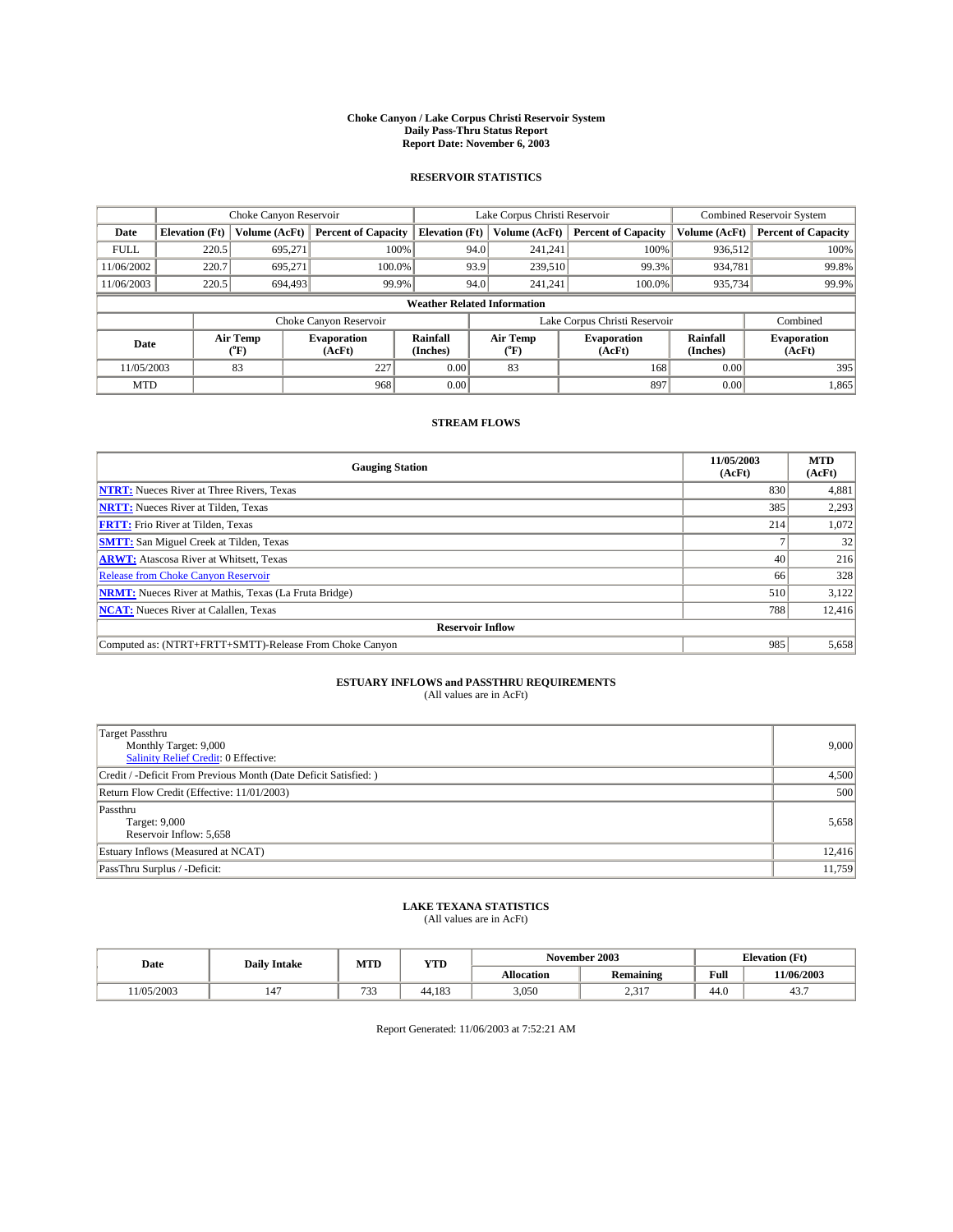#### **Choke Canyon / Lake Corpus Christi Reservoir System Daily Pass-Thru Status Report Report Date: November 6, 2003**

### **RESERVOIR STATISTICS**

|                                    | Choke Canyon Reservoir |                             | Lake Corpus Christi Reservoir |                             |      |                               | Combined Reservoir System    |                      |                              |
|------------------------------------|------------------------|-----------------------------|-------------------------------|-----------------------------|------|-------------------------------|------------------------------|----------------------|------------------------------|
| Date                               | <b>Elevation</b> (Ft)  | Volume (AcFt)               | <b>Percent of Capacity</b>    | <b>Elevation</b> (Ft)       |      | Volume (AcFt)                 | <b>Percent of Capacity</b>   | Volume (AcFt)        | <b>Percent of Capacity</b>   |
| <b>FULL</b>                        | 220.5                  | 695,271                     | 100%                          |                             | 94.0 | 241,241                       | 100%                         | 936.512              | 100%                         |
| 11/06/2002                         | 220.7                  | 695.271                     | $100.0\%$                     |                             | 93.9 | 239,510                       | 99.3%                        | 934,781              | 99.8%                        |
| 11/06/2003                         | 220.5                  | 694,493                     | 99.9%                         |                             | 94.0 | 241.241                       | $100.0\%$                    | 935,734              | 99.9%                        |
| <b>Weather Related Information</b> |                        |                             |                               |                             |      |                               |                              |                      |                              |
|                                    |                        |                             | Choke Canyon Reservoir        |                             |      | Lake Corpus Christi Reservoir |                              |                      | Combined                     |
| Date                               |                        | Air Temp<br>${}^{\circ}$ F) | <b>Evaporation</b><br>(AcFt)  | <b>Rainfall</b><br>(Inches) |      | Air Temp<br>("F)              | <b>Evaporation</b><br>(AcFt) | Rainfall<br>(Inches) | <b>Evaporation</b><br>(AcFt) |
| 11/05/2003                         |                        | 83                          | 227                           | 0.00                        |      | 83                            | 168                          | 0.00                 | 395                          |
| <b>MTD</b>                         |                        |                             | 968                           | 0.00                        |      |                               | 897                          | 0.00                 | 1,865                        |

### **STREAM FLOWS**

| <b>Gauging Station</b>                                       | 11/05/2003<br>(AcFt) | <b>MTD</b><br>(AcFt) |
|--------------------------------------------------------------|----------------------|----------------------|
| <b>NTRT:</b> Nueces River at Three Rivers, Texas             | 830                  | 4,881                |
| <b>NRTT:</b> Nueces River at Tilden, Texas                   | 385                  | 2,293                |
| <b>FRTT:</b> Frio River at Tilden, Texas                     | 214                  | 1,072                |
| <b>SMTT:</b> San Miguel Creek at Tilden, Texas               |                      | 32                   |
| <b>ARWT:</b> Atascosa River at Whitsett, Texas               | 40                   | 216                  |
| <b>Release from Choke Canyon Reservoir</b>                   | 66                   | 328                  |
| <b>NRMT:</b> Nueces River at Mathis, Texas (La Fruta Bridge) | 510                  | 3,122                |
| <b>NCAT:</b> Nueces River at Calallen, Texas                 | 788                  | 12,416               |
| <b>Reservoir Inflow</b>                                      |                      |                      |
| Computed as: (NTRT+FRTT+SMTT)-Release From Choke Canyon      | 985                  | 5,658                |

# **ESTUARY INFLOWS and PASSTHRU REQUIREMENTS**<br>(All values are in AcFt)

| <b>Target Passthru</b><br>Monthly Target: 9,000<br>Salinity Relief Credit: 0 Effective: | 9,000  |
|-----------------------------------------------------------------------------------------|--------|
| Credit / -Deficit From Previous Month (Date Deficit Satisfied: )                        | 4,500  |
| Return Flow Credit (Effective: 11/01/2003)                                              | 500    |
| Passthru<br>Target: 9,000<br>Reservoir Inflow: 5,658                                    | 5,658  |
| Estuary Inflows (Measured at NCAT)                                                      | 12,416 |
| PassThru Surplus / -Deficit:                                                            | 11,759 |

# **LAKE TEXANA STATISTICS** (All values are in AcFt)

| Date      | <b>Daily Intake</b> | MTD                           | <b>YTD</b> | November 2003     |                  |                | <b>Elevation</b> (Ft) |  |
|-----------|---------------------|-------------------------------|------------|-------------------|------------------|----------------|-----------------------|--|
|           |                     |                               |            | <b>Allocation</b> | <b>Remaining</b> | Full           | 11/06/2003            |  |
| 1/05/2003 | 147                 | $\sim$ $\sim$<br>. . <i>.</i> | 44.183     | 3,050             | 2317<br>المدرسة  | $\sim$<br>44.U | 45.                   |  |

Report Generated: 11/06/2003 at 7:52:21 AM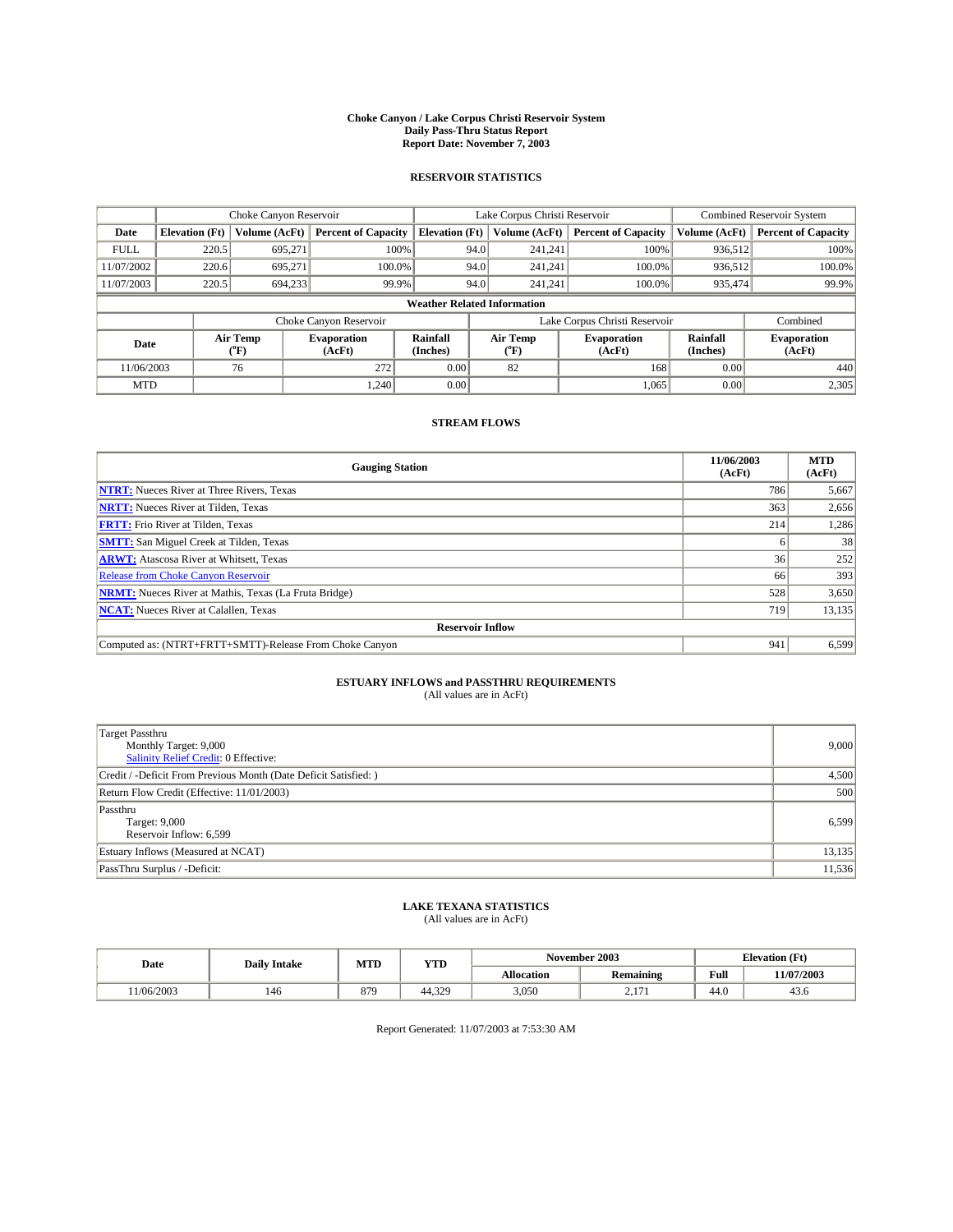#### **Choke Canyon / Lake Corpus Christi Reservoir System Daily Pass-Thru Status Report Report Date: November 7, 2003**

### **RESERVOIR STATISTICS**

|             | Choke Canyon Reservoir             |                             |                              |                             | Lake Corpus Christi Reservoir |                  |                               |                      | Combined Reservoir System    |  |  |
|-------------|------------------------------------|-----------------------------|------------------------------|-----------------------------|-------------------------------|------------------|-------------------------------|----------------------|------------------------------|--|--|
| Date        | <b>Elevation</b> (Ft)              | Volume (AcFt)               | <b>Percent of Capacity</b>   | <b>Elevation</b> (Ft)       |                               | Volume (AcFt)    | <b>Percent of Capacity</b>    | Volume (AcFt)        | <b>Percent of Capacity</b>   |  |  |
| <b>FULL</b> | 220.5                              | 695,271                     | 100%                         |                             | 94.0                          | 241,241          | 100%                          | 936.512              | 100%                         |  |  |
| 11/07/2002  | 220.6                              | 695.271                     | $100.0\%$                    |                             | 94.0                          | 241.241          | $100.0\%$                     | 936.512              | 100.0%                       |  |  |
| 11/07/2003  | 220.5                              | 694,233                     | 99.9%                        |                             | 94.0                          | 241.241          | $100.0\%$                     | 935,474              | 99.9%                        |  |  |
|             | <b>Weather Related Information</b> |                             |                              |                             |                               |                  |                               |                      |                              |  |  |
|             |                                    |                             | Choke Canyon Reservoir       |                             |                               |                  | Lake Corpus Christi Reservoir |                      | Combined                     |  |  |
| Date        |                                    | Air Temp<br>${}^{\circ}$ F) | <b>Evaporation</b><br>(AcFt) | <b>Rainfall</b><br>(Inches) |                               | Air Temp<br>("F) | <b>Evaporation</b><br>(AcFt)  | Rainfall<br>(Inches) | <b>Evaporation</b><br>(AcFt) |  |  |
| 11/06/2003  |                                    | 76                          | 272                          | 0.00                        |                               | 82               | 168                           | 0.00                 | 440                          |  |  |
| <b>MTD</b>  |                                    |                             | 1.240                        | 0.00                        |                               |                  | 1,065                         | 0.00                 | 2,305                        |  |  |

### **STREAM FLOWS**

| <b>Gauging Station</b>                                       | 11/06/2003<br>(AcFt) | <b>MTD</b><br>(AcFt) |  |  |  |  |  |
|--------------------------------------------------------------|----------------------|----------------------|--|--|--|--|--|
| <b>NTRT:</b> Nueces River at Three Rivers, Texas             | 786                  | 5,667                |  |  |  |  |  |
| <b>NRTT:</b> Nueces River at Tilden, Texas                   | 363                  | 2,656                |  |  |  |  |  |
| <b>FRTT:</b> Frio River at Tilden, Texas                     | 214                  | 1,286                |  |  |  |  |  |
| <b>SMTT:</b> San Miguel Creek at Tilden, Texas               |                      | 38                   |  |  |  |  |  |
| <b>ARWT:</b> Atascosa River at Whitsett, Texas               | 36 <sup>1</sup>      | 252                  |  |  |  |  |  |
| <b>Release from Choke Canyon Reservoir</b>                   | 66                   | 393                  |  |  |  |  |  |
| <b>NRMT:</b> Nueces River at Mathis, Texas (La Fruta Bridge) | 528                  | 3,650                |  |  |  |  |  |
| <b>NCAT:</b> Nueces River at Calallen, Texas                 | 719                  | 13,135               |  |  |  |  |  |
| <b>Reservoir Inflow</b>                                      |                      |                      |  |  |  |  |  |
| Computed as: (NTRT+FRTT+SMTT)-Release From Choke Canyon      | 941                  | 6,599                |  |  |  |  |  |

# **ESTUARY INFLOWS and PASSTHRU REQUIREMENTS**<br>(All values are in AcFt)

| <b>Target Passthru</b><br>Monthly Target: 9,000<br>Salinity Relief Credit: 0 Effective: | 9,000  |
|-----------------------------------------------------------------------------------------|--------|
| Credit / -Deficit From Previous Month (Date Deficit Satisfied: )                        | 4,500  |
| Return Flow Credit (Effective: 11/01/2003)                                              | 500    |
| Passthru<br>Target: 9,000<br>Reservoir Inflow: 6,599                                    | 6,599  |
| Estuary Inflows (Measured at NCAT)                                                      | 13,135 |
| PassThru Surplus / -Deficit:                                                            | 11,536 |

# **LAKE TEXANA STATISTICS** (All values are in AcFt)

| Date      | <b>Daily Intake</b> | MTD | <b>YTD</b> |                   | November 2003   | <b>Elevation</b> (Ft) |            |
|-----------|---------------------|-----|------------|-------------------|-----------------|-----------------------|------------|
|           |                     |     |            | <b>Allocation</b> | Remaining       | Full                  | 11/07/2003 |
| 1/06/2003 | 146                 | 879 | 44.329     | 3,050             | $\sim$<br>$-11$ | $\sim$<br>44.U        | 43.6       |

Report Generated: 11/07/2003 at 7:53:30 AM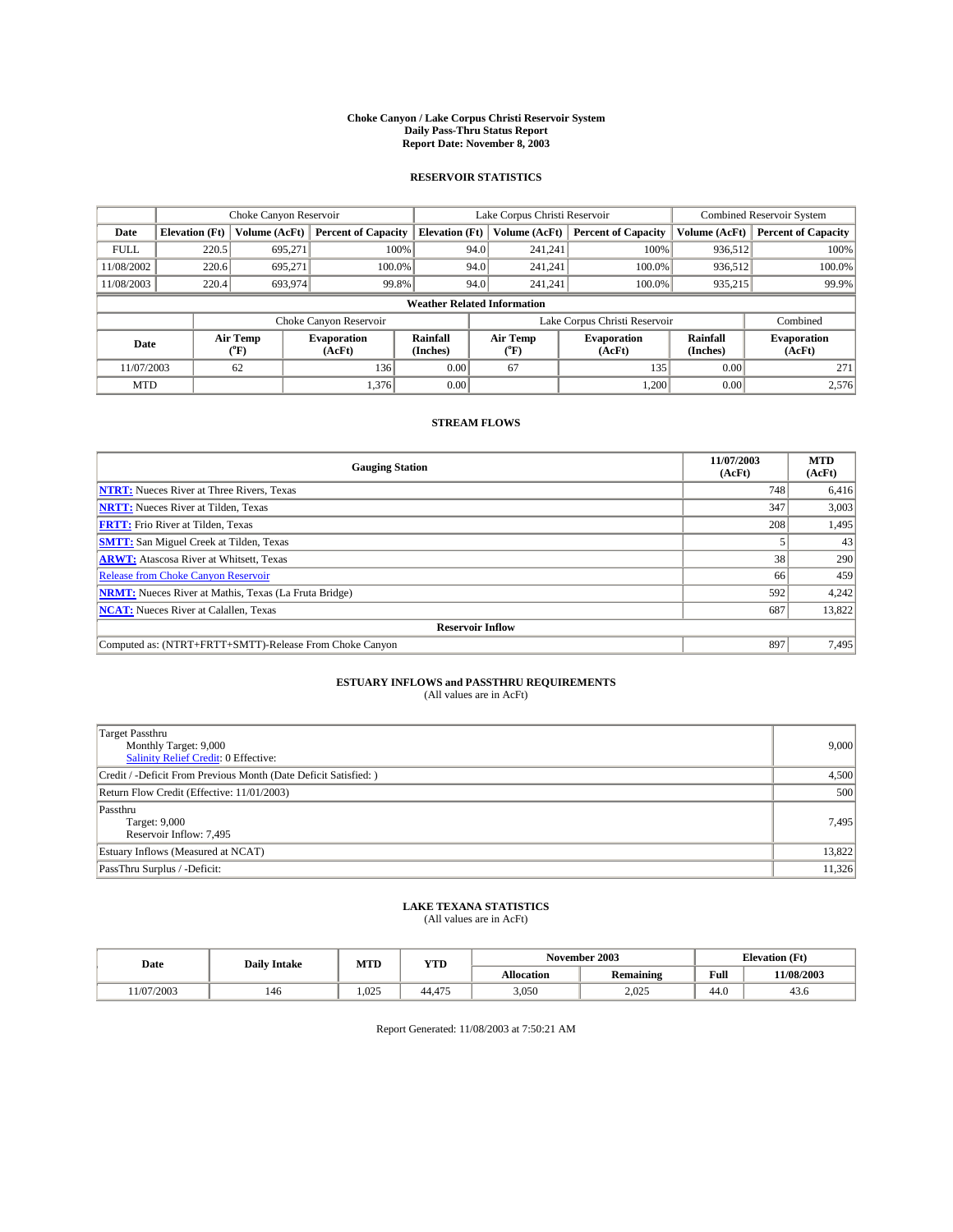#### **Choke Canyon / Lake Corpus Christi Reservoir System Daily Pass-Thru Status Report Report Date: November 8, 2003**

### **RESERVOIR STATISTICS**

|                                    | Choke Canyon Reservoir |                  | Lake Corpus Christi Reservoir |                       |      |                  | <b>Combined Reservoir System</b> |                      |                              |
|------------------------------------|------------------------|------------------|-------------------------------|-----------------------|------|------------------|----------------------------------|----------------------|------------------------------|
| Date                               | <b>Elevation</b> (Ft)  | Volume (AcFt)    | <b>Percent of Capacity</b>    | <b>Elevation (Ft)</b> |      | Volume (AcFt)    | <b>Percent of Capacity</b>       | Volume (AcFt)        | <b>Percent of Capacity</b>   |
| <b>FULL</b>                        | 220.5                  | 695,271          |                               | 100%                  | 94.0 | 241,241          | 100%                             | 936.512              | 100%                         |
| 11/08/2002                         | 220.6                  | 695.271          | $100.0\%$                     |                       | 94.0 | 241.241          | $100.0\%$                        | 936.512              | 100.0%                       |
| 11/08/2003                         | 220.4                  | 693,974          | 99.8%                         |                       | 94.0 | 241,241          | $100.0\%$                        | 935,215              | 99.9%                        |
| <b>Weather Related Information</b> |                        |                  |                               |                       |      |                  |                                  |                      |                              |
|                                    |                        |                  | Choke Canyon Reservoir        |                       |      |                  | Lake Corpus Christi Reservoir    |                      | Combined                     |
| Date                               |                        | Air Temp<br>(°F) | <b>Evaporation</b><br>(AcFt)  | Rainfall<br>(Inches)  |      | Air Temp<br>("F) | <b>Evaporation</b><br>(AcFt)     | Rainfall<br>(Inches) | <b>Evaporation</b><br>(AcFt) |
| 11/07/2003                         |                        | 62               | 136                           | 0.00                  |      | 67               | 135                              | 0.00                 | 271                          |
| <b>MTD</b>                         |                        |                  | 1,376                         | 0.00                  |      |                  | 1,200                            | 0.00                 | 2,576                        |

### **STREAM FLOWS**

| <b>Gauging Station</b>                                       | 11/07/2003<br>(AcFt) | <b>MTD</b><br>(AcFt) |
|--------------------------------------------------------------|----------------------|----------------------|
| <b>NTRT:</b> Nueces River at Three Rivers, Texas             | 748                  | 6,416                |
| <b>NRTT:</b> Nueces River at Tilden, Texas                   | 347                  | 3,003                |
| <b>FRTT:</b> Frio River at Tilden, Texas                     | 208                  | 1,495                |
| <b>SMTT:</b> San Miguel Creek at Tilden, Texas               |                      | 43                   |
| <b>ARWT:</b> Atascosa River at Whitsett, Texas               | 38 <sup>1</sup>      | 290                  |
| <b>Release from Choke Canyon Reservoir</b>                   | 66                   | 459                  |
| <b>NRMT:</b> Nueces River at Mathis, Texas (La Fruta Bridge) | 592                  | 4,242                |
| <b>NCAT:</b> Nueces River at Calallen, Texas                 | 687                  | 13,822               |
| <b>Reservoir Inflow</b>                                      |                      |                      |
| Computed as: (NTRT+FRTT+SMTT)-Release From Choke Canyon      | 897                  | 7,495                |

# **ESTUARY INFLOWS and PASSTHRU REQUIREMENTS**<br>(All values are in AcFt)

| <b>Target Passthru</b><br>Monthly Target: 9,000<br>Salinity Relief Credit: 0 Effective: | 9,000  |
|-----------------------------------------------------------------------------------------|--------|
| Credit / -Deficit From Previous Month (Date Deficit Satisfied: )                        | 4,500  |
| Return Flow Credit (Effective: 11/01/2003)                                              | 500    |
| Passthru<br>Target: 9,000<br>Reservoir Inflow: 7,495                                    | 7,495  |
| Estuary Inflows (Measured at NCAT)                                                      | 13,822 |
| PassThru Surplus / -Deficit:                                                            | 11,326 |

# **LAKE TEXANA STATISTICS** (All values are in AcFt)

| Date      | <b>Daily Intake</b> | MTD   | <b>YTD</b> |                   | November 2003    | <b>Elevation</b> (Ft) |            |
|-----------|---------------------|-------|------------|-------------------|------------------|-----------------------|------------|
|           |                     |       |            | <b>Allocation</b> | <b>Remaining</b> | Full                  | 11/08/2003 |
| 1/07/2003 | 146                 | 1.025 | 44.475     | 3,050             | 2,025            | $\sim$<br>44.0        | 45.0       |

Report Generated: 11/08/2003 at 7:50:21 AM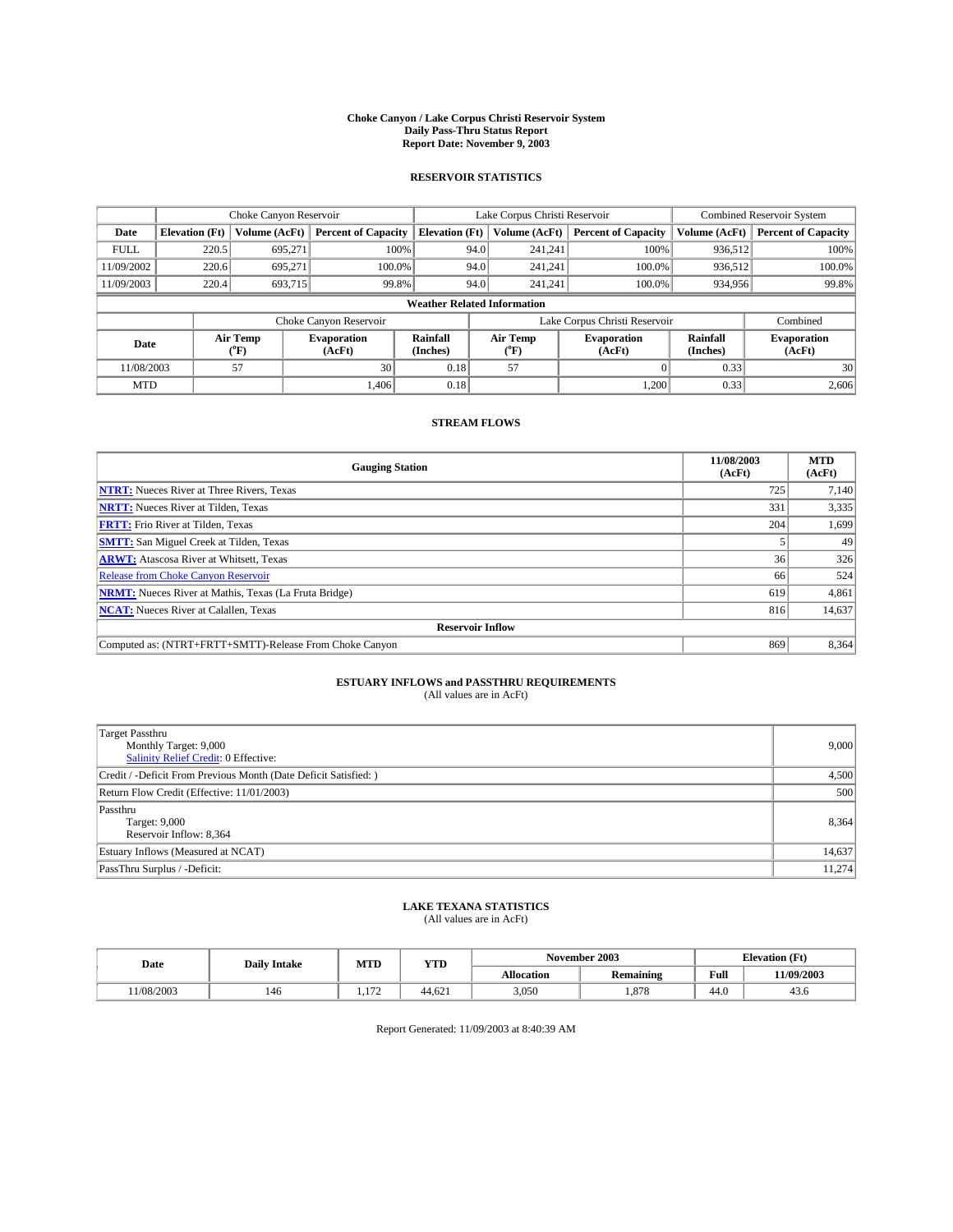#### **Choke Canyon / Lake Corpus Christi Reservoir System Daily Pass-Thru Status Report Report Date: November 9, 2003**

### **RESERVOIR STATISTICS**

|             | Choke Canyon Reservoir             |                             |                              |                             | Lake Corpus Christi Reservoir |                  |                               |                      | Combined Reservoir System    |  |  |
|-------------|------------------------------------|-----------------------------|------------------------------|-----------------------------|-------------------------------|------------------|-------------------------------|----------------------|------------------------------|--|--|
| Date        | <b>Elevation</b> (Ft)              | Volume (AcFt)               | <b>Percent of Capacity</b>   | <b>Elevation</b> (Ft)       |                               | Volume (AcFt)    | <b>Percent of Capacity</b>    | Volume (AcFt)        | <b>Percent of Capacity</b>   |  |  |
| <b>FULL</b> | 220.5                              | 695,271                     | 100%                         |                             | 94.0                          | 241,241          | 100%                          | 936.512              | 100%                         |  |  |
| 11/09/2002  | 220.6                              | 695.271                     | $100.0\%$                    |                             | 94.0                          | 241.241          | $100.0\%$                     | 936.512              | 100.0%                       |  |  |
| 11/09/2003  | 220.4                              | 693,715                     | 99.8%                        |                             | 94.0                          | 241.241          | $100.0\%$                     | 934,956              | 99.8%                        |  |  |
|             | <b>Weather Related Information</b> |                             |                              |                             |                               |                  |                               |                      |                              |  |  |
|             |                                    |                             | Choke Canyon Reservoir       |                             |                               |                  | Lake Corpus Christi Reservoir |                      | Combined                     |  |  |
| Date        |                                    | Air Temp<br>${}^{\circ}$ F) | <b>Evaporation</b><br>(AcFt) | <b>Rainfall</b><br>(Inches) |                               | Air Temp<br>("F) | <b>Evaporation</b><br>(AcFt)  | Rainfall<br>(Inches) | <b>Evaporation</b><br>(AcFt) |  |  |
| 11/08/2003  |                                    | 57                          | 30                           | 0.18                        |                               | 57               |                               | 0.33                 | 30                           |  |  |
| <b>MTD</b>  |                                    |                             | 1,406                        | 0.18                        |                               |                  | 1,200                         | 0.33                 | 2,606                        |  |  |

### **STREAM FLOWS**

| <b>Gauging Station</b>                                       | 11/08/2003<br>(AcFt) | <b>MTD</b><br>(AcFt) |
|--------------------------------------------------------------|----------------------|----------------------|
| <b>NTRT:</b> Nueces River at Three Rivers, Texas             | 725                  | 7,140                |
| <b>NRTT:</b> Nueces River at Tilden, Texas                   | 331                  | 3,335                |
| <b>FRTT:</b> Frio River at Tilden, Texas                     | 204                  | 1,699                |
| <b>SMTT:</b> San Miguel Creek at Tilden, Texas               |                      | 49                   |
| <b>ARWT:</b> Atascosa River at Whitsett, Texas               | 36                   | 326                  |
| <b>Release from Choke Canyon Reservoir</b>                   | 66                   | 524                  |
| <b>NRMT:</b> Nueces River at Mathis, Texas (La Fruta Bridge) | 619                  | 4,861                |
| <b>NCAT:</b> Nueces River at Calallen, Texas                 | 816                  | 14,637               |
| <b>Reservoir Inflow</b>                                      |                      |                      |
| Computed as: (NTRT+FRTT+SMTT)-Release From Choke Canyon      | 869                  | 8,364                |

# **ESTUARY INFLOWS and PASSTHRU REQUIREMENTS**<br>(All values are in AcFt)

| <b>Target Passthru</b><br>Monthly Target: 9,000<br>Salinity Relief Credit: 0 Effective: | 9,000  |
|-----------------------------------------------------------------------------------------|--------|
| Credit / -Deficit From Previous Month (Date Deficit Satisfied: )                        | 4,500  |
| Return Flow Credit (Effective: 11/01/2003)                                              | 500    |
| Passthru<br>Target: 9,000<br>Reservoir Inflow: 8,364                                    | 8,364  |
| Estuary Inflows (Measured at NCAT)                                                      | 14,637 |
| PassThru Surplus / -Deficit:                                                            | 11,274 |

# **LAKE TEXANA STATISTICS** (All values are in AcFt)

| Date      | <b>Daily Intake</b> | MTD       | <b>VTT</b><br>1 I D |                   | November 2003    | <b>Elevation (Ft)</b> |            |
|-----------|---------------------|-----------|---------------------|-------------------|------------------|-----------------------|------------|
|           |                     |           |                     | <b>Allocation</b> | <b>Remaining</b> | Full                  | 11/09/2003 |
| 1/08/2003 | 146                 | 1.77<br>. | 44.621              | 3,050             | .878             | 44.U                  | 45.0       |

Report Generated: 11/09/2003 at 8:40:39 AM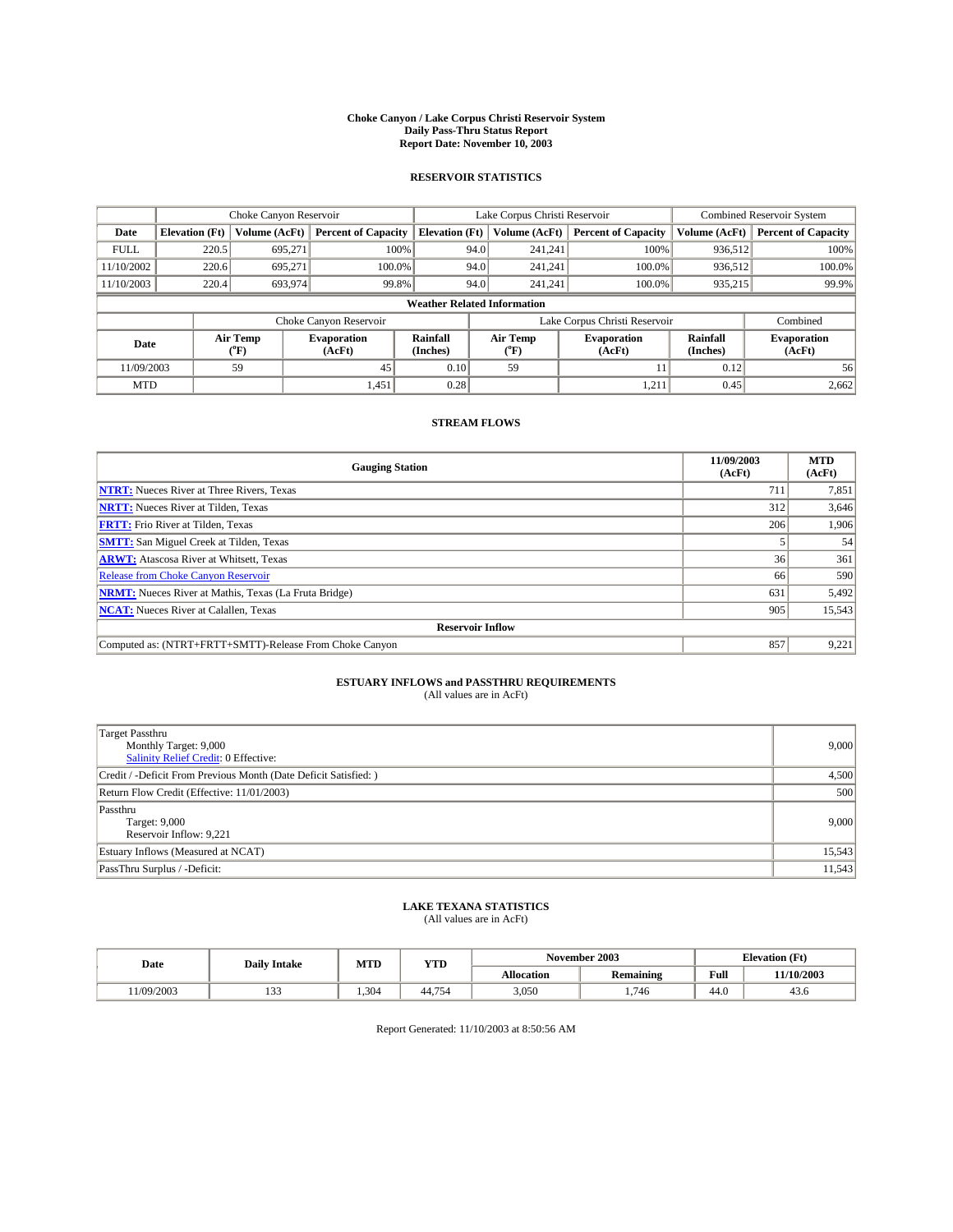#### **Choke Canyon / Lake Corpus Christi Reservoir System Daily Pass-Thru Status Report Report Date: November 10, 2003**

### **RESERVOIR STATISTICS**

|             | Choke Canyon Reservoir             |                             |                              |                             | Lake Corpus Christi Reservoir |                  |                               |                      | Combined Reservoir System    |  |  |
|-------------|------------------------------------|-----------------------------|------------------------------|-----------------------------|-------------------------------|------------------|-------------------------------|----------------------|------------------------------|--|--|
| Date        | <b>Elevation</b> (Ft)              | Volume (AcFt)               | <b>Percent of Capacity</b>   | <b>Elevation</b> (Ft)       |                               | Volume (AcFt)    | <b>Percent of Capacity</b>    | Volume (AcFt)        | <b>Percent of Capacity</b>   |  |  |
| <b>FULL</b> | 220.5                              | 695,271                     |                              | 100%                        | 94.0                          | 241,241          | 100%                          | 936.512              | 100%                         |  |  |
| 11/10/2002  | 220.6                              | 695.271                     | $100.0\%$                    |                             | 94.0                          | 241.241          | $100.0\%$                     | 936.512              | 100.0%                       |  |  |
| 11/10/2003  | 220.4                              | 693,974                     |                              | 99.8%                       | 94.0                          | 241.241          | $100.0\%$                     | 935,215              | 99.9%                        |  |  |
|             | <b>Weather Related Information</b> |                             |                              |                             |                               |                  |                               |                      |                              |  |  |
|             |                                    |                             | Choke Canyon Reservoir       |                             |                               |                  | Lake Corpus Christi Reservoir |                      | Combined                     |  |  |
| Date        |                                    | Air Temp<br>${}^{\circ}$ F) | <b>Evaporation</b><br>(AcFt) | <b>Rainfall</b><br>(Inches) |                               | Air Temp<br>("F) | <b>Evaporation</b><br>(AcFt)  | Rainfall<br>(Inches) | <b>Evaporation</b><br>(AcFt) |  |  |
| 11/09/2003  |                                    | 59                          | 45                           | 0.10                        |                               | 59               |                               | 0.12                 | 56                           |  |  |
| <b>MTD</b>  |                                    |                             | 1,451                        | 0.28                        |                               |                  | 1,211                         | 0.45                 | 2,662                        |  |  |

### **STREAM FLOWS**

| <b>Gauging Station</b>                                       | 11/09/2003<br>(AcFt) | <b>MTD</b><br>(AcFt) |  |  |  |
|--------------------------------------------------------------|----------------------|----------------------|--|--|--|
| <b>NTRT:</b> Nueces River at Three Rivers, Texas             | 711                  | 7,851                |  |  |  |
| <b>NRTT:</b> Nueces River at Tilden, Texas                   | 312                  | 3,646                |  |  |  |
| <b>FRTT:</b> Frio River at Tilden, Texas                     | 206                  | 1,906                |  |  |  |
| <b>SMTT:</b> San Miguel Creek at Tilden, Texas               |                      | 54                   |  |  |  |
| <b>ARWT:</b> Atascosa River at Whitsett, Texas               | 36 <sup>1</sup>      | 361                  |  |  |  |
| <b>Release from Choke Canyon Reservoir</b>                   | 66                   | 590                  |  |  |  |
| <b>NRMT:</b> Nueces River at Mathis, Texas (La Fruta Bridge) | 631                  | 5,492                |  |  |  |
| <b>NCAT:</b> Nueces River at Calallen, Texas                 | 905                  | 15,543               |  |  |  |
| <b>Reservoir Inflow</b>                                      |                      |                      |  |  |  |
| Computed as: (NTRT+FRTT+SMTT)-Release From Choke Canyon      | 857                  | 9,221                |  |  |  |

# **ESTUARY INFLOWS and PASSTHRU REQUIREMENTS**<br>(All values are in AcFt)

| <b>Target Passthru</b><br>Monthly Target: 9,000<br>Salinity Relief Credit: 0 Effective: | 9,000  |
|-----------------------------------------------------------------------------------------|--------|
| Credit / -Deficit From Previous Month (Date Deficit Satisfied: )                        | 4,500  |
| Return Flow Credit (Effective: 11/01/2003)                                              | 500    |
| Passthru<br>Target: 9,000<br>Reservoir Inflow: 9,221                                    | 9,000  |
| Estuary Inflows (Measured at NCAT)                                                      | 15,543 |
| PassThru Surplus / -Deficit:                                                            | 11,543 |

# **LAKE TEXANA STATISTICS** (All values are in AcFt)

| Date      | <b>Daily Intake</b> | MTD  | <b>YTD</b> |                   | November 2003    | <b>Elevation (Ft)</b> |                    |
|-----------|---------------------|------|------------|-------------------|------------------|-----------------------|--------------------|
|           |                     |      |            | <b>Allocation</b> | <b>Remaining</b> | Full                  | 11/10/2003         |
| 1/09/2003 | $\sim$<br>ن ب       | .304 | 754<br>44. | 3,050             | .746             | $\sim$<br>44.U        | $\sqrt{2}$<br>45.0 |

Report Generated: 11/10/2003 at 8:50:56 AM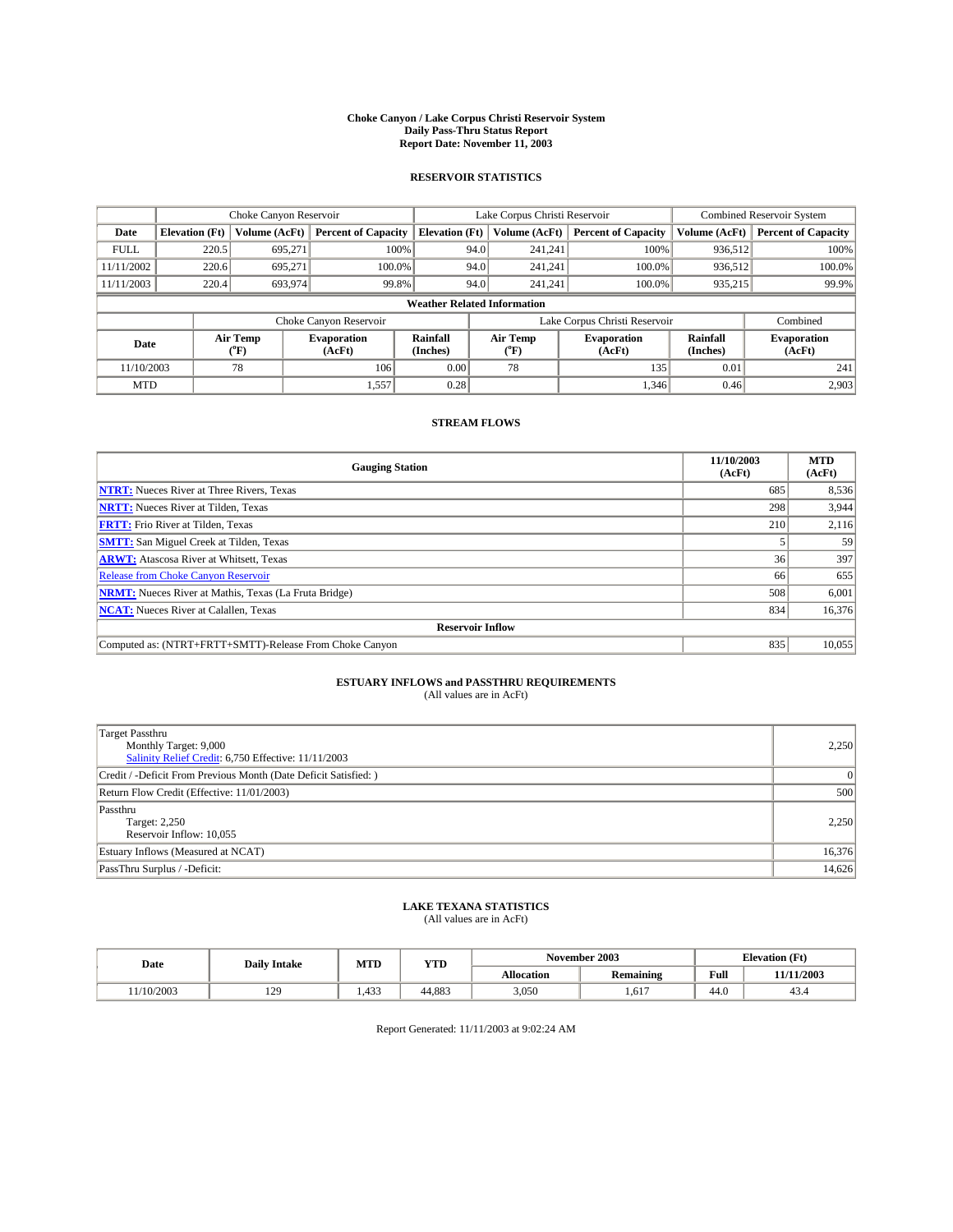#### **Choke Canyon / Lake Corpus Christi Reservoir System Daily Pass-Thru Status Report Report Date: November 11, 2003**

### **RESERVOIR STATISTICS**

|             | Choke Canyon Reservoir             |                             |                              |                             | Lake Corpus Christi Reservoir |                  |                               |                      | Combined Reservoir System    |  |  |
|-------------|------------------------------------|-----------------------------|------------------------------|-----------------------------|-------------------------------|------------------|-------------------------------|----------------------|------------------------------|--|--|
| Date        | <b>Elevation</b> (Ft)              | Volume (AcFt)               | <b>Percent of Capacity</b>   | <b>Elevation</b> (Ft)       |                               | Volume (AcFt)    | <b>Percent of Capacity</b>    | Volume (AcFt)        | <b>Percent of Capacity</b>   |  |  |
| <b>FULL</b> | 220.5                              | 695,271                     |                              | 100%                        | 94.0                          | 241,241          | 100%                          | 936.512              | 100%                         |  |  |
| 11/11/2002  | 220.6                              | 695.271                     | $100.0\%$                    |                             | 94.0                          | 241.241          | $100.0\%$                     | 936.512              | 100.0%                       |  |  |
| 11/11/2003  | 220.4                              | 693,974                     | 99.8%                        |                             | 94.0                          | 241.241          | $100.0\%$                     | 935,215              | 99.9%                        |  |  |
|             | <b>Weather Related Information</b> |                             |                              |                             |                               |                  |                               |                      |                              |  |  |
|             |                                    |                             | Choke Canyon Reservoir       |                             |                               |                  | Lake Corpus Christi Reservoir |                      | Combined                     |  |  |
| Date        |                                    | Air Temp<br>${}^{\circ}$ F) | <b>Evaporation</b><br>(AcFt) | <b>Rainfall</b><br>(Inches) |                               | Air Temp<br>("F) | <b>Evaporation</b><br>(AcFt)  | Rainfall<br>(Inches) | <b>Evaporation</b><br>(AcFt) |  |  |
| 11/10/2003  |                                    | 78                          | 106                          | 0.00                        |                               | 78               | 135                           | 0.01                 | 241                          |  |  |
| <b>MTD</b>  |                                    |                             | 1,557                        | 0.28                        |                               |                  | 1,346                         | 0.46                 | 2,903                        |  |  |

### **STREAM FLOWS**

| <b>Gauging Station</b>                                       | 11/10/2003<br>(AcFt) | <b>MTD</b><br>(AcFt) |  |  |  |
|--------------------------------------------------------------|----------------------|----------------------|--|--|--|
| <b>NTRT:</b> Nueces River at Three Rivers, Texas             | 685                  | 8,536                |  |  |  |
| <b>NRTT:</b> Nueces River at Tilden, Texas                   | 298                  | 3,944                |  |  |  |
| <b>FRTT:</b> Frio River at Tilden, Texas                     | 210                  | 2,116                |  |  |  |
| <b>SMTT:</b> San Miguel Creek at Tilden, Texas               |                      | 59                   |  |  |  |
| <b>ARWT:</b> Atascosa River at Whitsett, Texas               | 36                   | 397                  |  |  |  |
| <b>Release from Choke Canyon Reservoir</b>                   | 66                   | 655                  |  |  |  |
| <b>NRMT:</b> Nueces River at Mathis, Texas (La Fruta Bridge) | 508                  | 6,001                |  |  |  |
| <b>NCAT:</b> Nueces River at Calallen, Texas                 | 834                  | 16,376               |  |  |  |
| <b>Reservoir Inflow</b>                                      |                      |                      |  |  |  |
| Computed as: (NTRT+FRTT+SMTT)-Release From Choke Canyon      | 835                  | 10,055               |  |  |  |

## **ESTUARY INFLOWS and PASSTHRU REQUIREMENTS**

(All values are in AcFt)

| Target Passthru<br>Monthly Target: 9,000<br>Salinity Relief Credit: 6,750 Effective: 11/11/2003 | 2,250          |
|-------------------------------------------------------------------------------------------------|----------------|
| Credit / -Deficit From Previous Month (Date Deficit Satisfied: )                                | $\overline{0}$ |
| Return Flow Credit (Effective: 11/01/2003)                                                      | 500            |
| Passthru<br>Target: 2,250<br>Reservoir Inflow: 10,055                                           | 2,250          |
| Estuary Inflows (Measured at NCAT)                                                              | 16,376         |
| PassThru Surplus / -Deficit:                                                                    | 14,626         |

# **LAKE TEXANA STATISTICS** (All values are in AcFt)

**Date** Daily Intake MTD YTD **November 2003** Elevation (Ft) **Allocation Remaining Full 11/11/2003**   $11/10/2003$  | 129 | 1,433 | 44,883 | 3,050 | 1,617 | 44.0 | 43.4

Report Generated: 11/11/2003 at 9:02:24 AM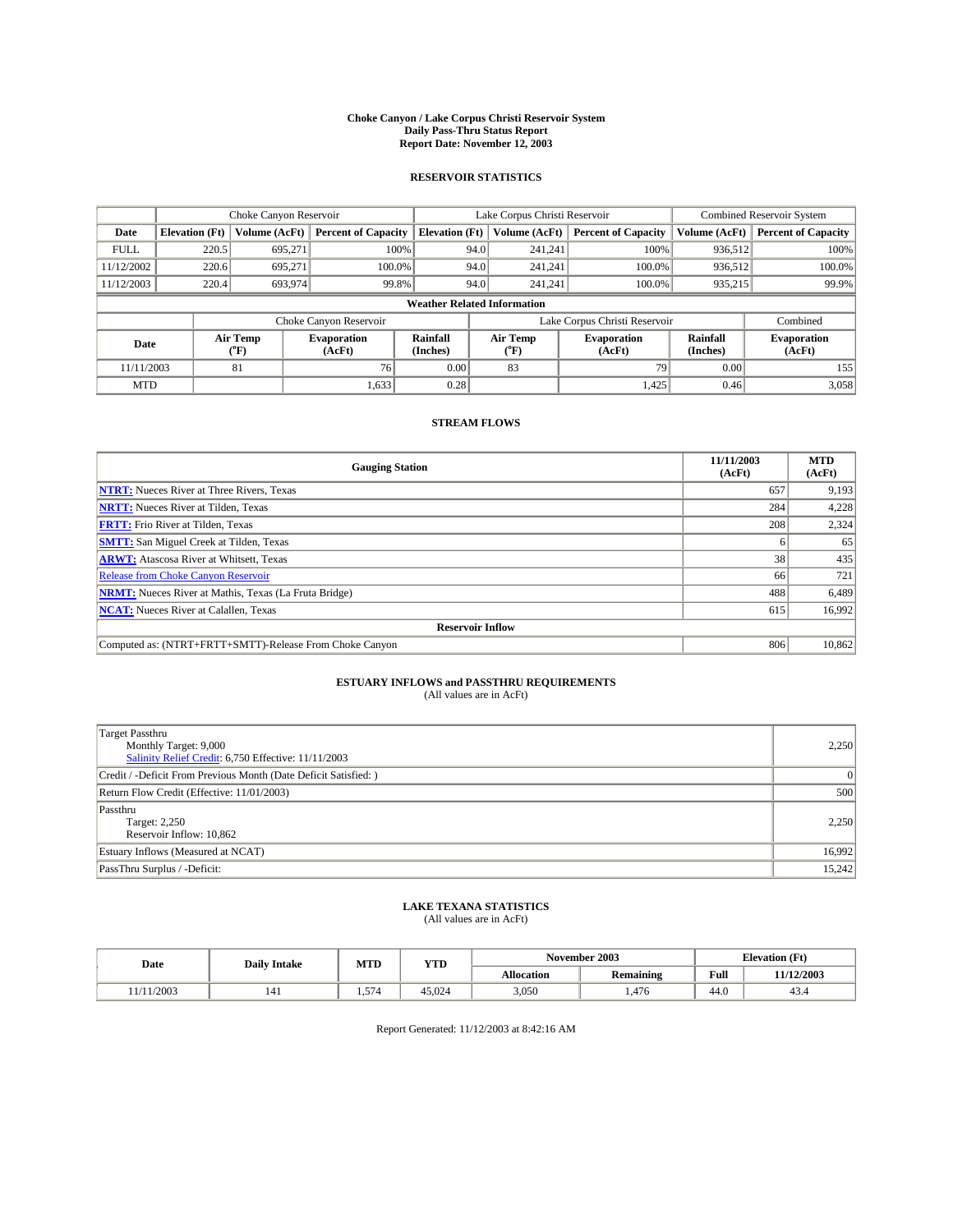#### **Choke Canyon / Lake Corpus Christi Reservoir System Daily Pass-Thru Status Report Report Date: November 12, 2003**

### **RESERVOIR STATISTICS**

|             | Choke Canyon Reservoir             |                  |                              |                             | Lake Corpus Christi Reservoir |                  |                               |                      | <b>Combined Reservoir System</b> |  |  |
|-------------|------------------------------------|------------------|------------------------------|-----------------------------|-------------------------------|------------------|-------------------------------|----------------------|----------------------------------|--|--|
| Date        | <b>Elevation</b> (Ft)              | Volume (AcFt)    | <b>Percent of Capacity</b>   | <b>Elevation</b> (Ft)       |                               | Volume (AcFt)    | <b>Percent of Capacity</b>    | Volume (AcFt)        | <b>Percent of Capacity</b>       |  |  |
| <b>FULL</b> | 220.5                              | 695,271          |                              | 100%                        | 94.0                          | 241,241          | 100%                          | 936,512              | 100%                             |  |  |
| 11/12/2002  | 220.6                              | 695.271          | 100.0%                       |                             | 94.0                          | 241.241          | $100.0\%$                     | 936,512              | 100.0%                           |  |  |
| 11/12/2003  | 220.4                              | 693,974          | 99.8%                        |                             | 94.0                          | 241,241          | 100.0%                        | 935,215              | 99.9%                            |  |  |
|             | <b>Weather Related Information</b> |                  |                              |                             |                               |                  |                               |                      |                                  |  |  |
|             |                                    |                  | Choke Canyon Reservoir       |                             |                               |                  | Lake Corpus Christi Reservoir |                      | Combined                         |  |  |
| Date        |                                    | Air Temp<br>(°F) | <b>Evaporation</b><br>(AcFt) | <b>Rainfall</b><br>(Inches) |                               | Air Temp<br>("F) | <b>Evaporation</b><br>(AcFt)  | Rainfall<br>(Inches) | <b>Evaporation</b><br>(AcFt)     |  |  |
| 11/11/2003  |                                    | 81               | 76                           | 0.00                        |                               | 83               | 79                            | 0.00                 | 155                              |  |  |
| <b>MTD</b>  |                                    |                  | 1,633                        | 0.28                        |                               |                  | 1,425                         | 0.46                 | 3,058                            |  |  |

### **STREAM FLOWS**

| <b>Gauging Station</b>                                       | 11/11/2003<br>(AcFt) | <b>MTD</b><br>(AcFt) |  |  |  |
|--------------------------------------------------------------|----------------------|----------------------|--|--|--|
| <b>NTRT:</b> Nueces River at Three Rivers, Texas             | 657                  | 9,193                |  |  |  |
| <b>NRTT:</b> Nueces River at Tilden, Texas                   | 284                  | 4,228                |  |  |  |
| <b>FRTT:</b> Frio River at Tilden, Texas                     | 208                  | 2,324                |  |  |  |
| <b>SMTT:</b> San Miguel Creek at Tilden, Texas               |                      | 65                   |  |  |  |
| <b>ARWT:</b> Atascosa River at Whitsett, Texas               | 38                   | 435                  |  |  |  |
| <b>Release from Choke Canyon Reservoir</b>                   | 66                   | 721                  |  |  |  |
| <b>NRMT:</b> Nueces River at Mathis, Texas (La Fruta Bridge) | 488                  | 6,489                |  |  |  |
| <b>NCAT:</b> Nueces River at Calallen, Texas                 | 615                  | 16,992               |  |  |  |
| <b>Reservoir Inflow</b>                                      |                      |                      |  |  |  |
| Computed as: (NTRT+FRTT+SMTT)-Release From Choke Canyon      | 806                  | 10,862               |  |  |  |

# **ESTUARY INFLOWS and PASSTHRU REQUIREMENTS**<br>(All values are in AcFt)

| Target Passthru<br>Monthly Target: 9,000<br>Salinity Relief Credit: 6,750 Effective: 11/11/2003 | 2,250    |
|-------------------------------------------------------------------------------------------------|----------|
| Credit / -Deficit From Previous Month (Date Deficit Satisfied: )                                | $\Omega$ |
| Return Flow Credit (Effective: 11/01/2003)                                                      | 500      |
| Passthru<br>Target: 2,250<br>Reservoir Inflow: 10,862                                           | 2,250    |
| Estuary Inflows (Measured at NCAT)                                                              | 16,992   |
| PassThru Surplus / -Deficit:                                                                    | 15,242   |

# **LAKE TEXANA STATISTICS** (All values are in AcFt)

| Date      | <b>Daily Intake</b> | MTD   | <b>YTD</b> | November 2003     |                  | <b>Elevation</b> (Ft) |            |
|-----------|---------------------|-------|------------|-------------------|------------------|-----------------------|------------|
|           |                     |       |            | <b>Allocation</b> | <b>Remaining</b> | Full                  | 11/12/2003 |
| (11/2003) | 141                 | 1.574 | 45.024     | 3,050             | .476             | $\sim$<br>-44.0       | 45.4       |

Report Generated: 11/12/2003 at 8:42:16 AM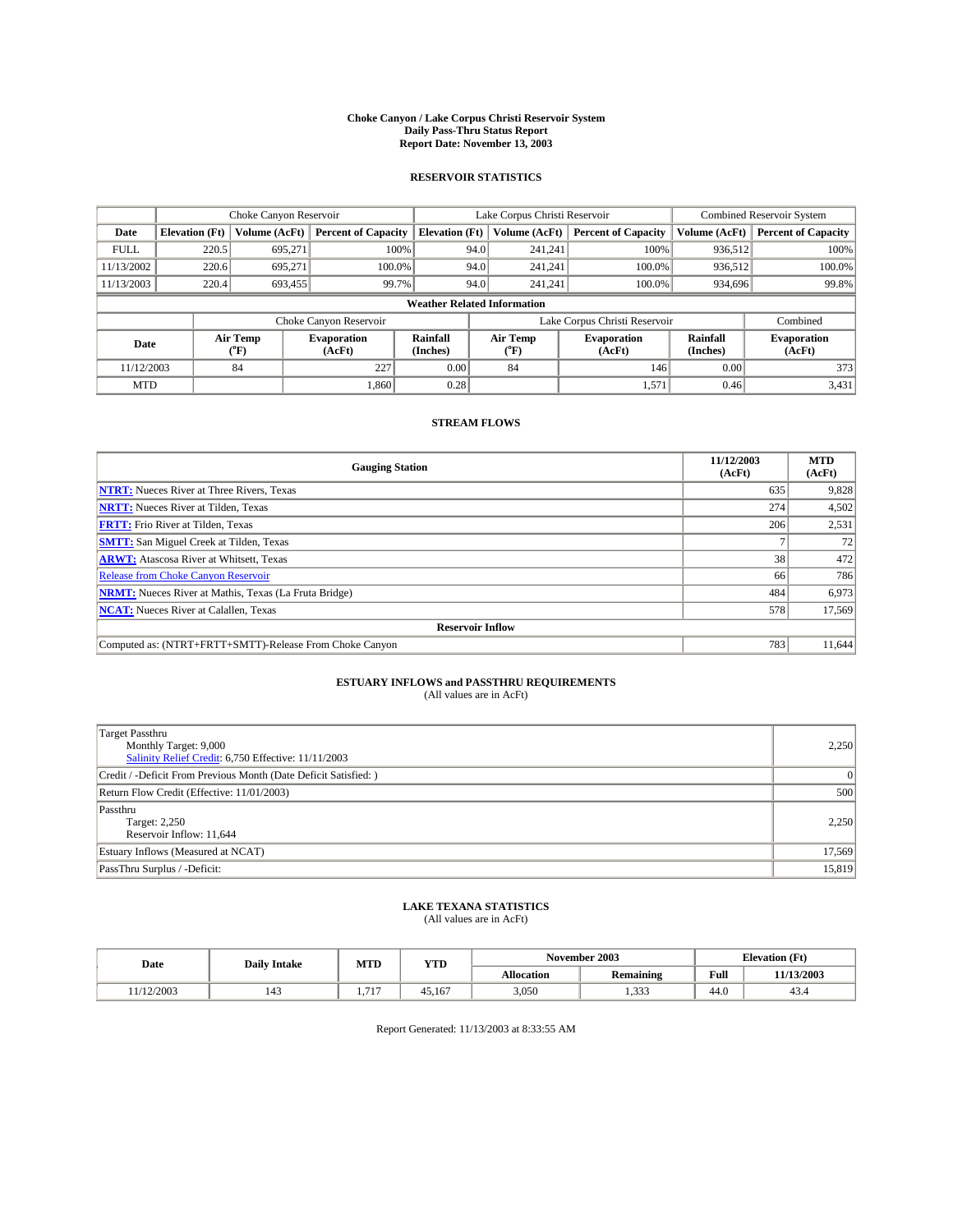#### **Choke Canyon / Lake Corpus Christi Reservoir System Daily Pass-Thru Status Report Report Date: November 13, 2003**

### **RESERVOIR STATISTICS**

|             | Choke Canyon Reservoir             |                  | Lake Corpus Christi Reservoir |                       |                               |                  | <b>Combined Reservoir System</b> |                      |                              |
|-------------|------------------------------------|------------------|-------------------------------|-----------------------|-------------------------------|------------------|----------------------------------|----------------------|------------------------------|
| Date        | <b>Elevation</b> (Ft)              | Volume (AcFt)    | <b>Percent of Capacity</b>    | <b>Elevation</b> (Ft) |                               | Volume (AcFt)    | <b>Percent of Capacity</b>       | Volume (AcFt)        | <b>Percent of Capacity</b>   |
| <b>FULL</b> | 220.5                              | 695,271          | 100%                          |                       | 94.0                          | 241,241          | 100%                             | 936.512              | 100%                         |
| 11/13/2002  | 220.6                              | 695.271          | $100.0\%$                     |                       | 94.0                          | 241.241          | 100.0%                           | 936.512              | 100.0%                       |
| 11/13/2003  | 220.4                              | 693,455          | 99.7%                         |                       | 94.0                          | 241.241          | 100.0%                           | 934,696              | 99.8%                        |
|             | <b>Weather Related Information</b> |                  |                               |                       |                               |                  |                                  |                      |                              |
|             |                                    |                  | Choke Canyon Reservoir        |                       | Lake Corpus Christi Reservoir |                  |                                  |                      | Combined                     |
| Date        |                                    | Air Temp<br>(°F) | <b>Evaporation</b><br>(AcFt)  | Rainfall<br>(Inches)  |                               | Air Temp<br>("F) | <b>Evaporation</b><br>(AcFt)     | Rainfall<br>(Inches) | <b>Evaporation</b><br>(AcFt) |
| 11/12/2003  |                                    | 84               | 227                           | 0.00                  |                               | 84               | 146                              | 0.00                 | 373                          |
| <b>MTD</b>  |                                    |                  | 1,860                         | 0.28                  |                               |                  | 1,571                            | 0.46                 | 3,431                        |

### **STREAM FLOWS**

| <b>Gauging Station</b>                                       | 11/12/2003<br>(AcFt) | <b>MTD</b><br>(AcFt) |  |  |  |  |
|--------------------------------------------------------------|----------------------|----------------------|--|--|--|--|
| <b>NTRT:</b> Nueces River at Three Rivers, Texas             | 635                  | 9,828                |  |  |  |  |
| <b>NRTT:</b> Nueces River at Tilden, Texas                   | 274                  | 4,502                |  |  |  |  |
| <b>FRTT:</b> Frio River at Tilden, Texas                     | 206                  | 2,531                |  |  |  |  |
| <b>SMTT:</b> San Miguel Creek at Tilden, Texas               |                      | 72                   |  |  |  |  |
| <b>ARWT:</b> Atascosa River at Whitsett, Texas               | 38 <sub>1</sub>      | 472                  |  |  |  |  |
| Release from Choke Canyon Reservoir                          | 66                   | 786                  |  |  |  |  |
| <b>NRMT:</b> Nueces River at Mathis, Texas (La Fruta Bridge) | 484                  | 6,973                |  |  |  |  |
| <b>NCAT:</b> Nueces River at Calallen, Texas                 | 578                  | 17,569               |  |  |  |  |
| <b>Reservoir Inflow</b>                                      |                      |                      |  |  |  |  |
| Computed as: (NTRT+FRTT+SMTT)-Release From Choke Canyon      | 783                  | 11.644               |  |  |  |  |

# **ESTUARY INFLOWS and PASSTHRU REQUIREMENTS**<br>(All values are in AcFt)

| Target Passthru<br>Monthly Target: 9,000<br>Salinity Relief Credit: 6,750 Effective: 11/11/2003 | 2,250  |
|-------------------------------------------------------------------------------------------------|--------|
| Credit / -Deficit From Previous Month (Date Deficit Satisfied: )                                | 0      |
| Return Flow Credit (Effective: 11/01/2003)                                                      | 500    |
| Passthru<br>Target: 2,250<br>Reservoir Inflow: 11,644                                           | 2,250  |
| Estuary Inflows (Measured at NCAT)                                                              | 17,569 |
| PassThru Surplus / -Deficit:                                                                    | 15,819 |

# **LAKE TEXANA STATISTICS** (All values are in AcFt)

| Date      | <b>Daily Intake</b>   | November 2003<br>MTD<br><b>YTD</b> |        |                   |           | <b>Elevation</b> (Ft) |            |
|-----------|-----------------------|------------------------------------|--------|-------------------|-----------|-----------------------|------------|
|           |                       |                                    |        | <b>Allocation</b> | Remaining | Full                  | 11/13/2003 |
| 1/12/2003 | $\overline{A}$<br>143 | 715<br>.                           | 45.167 | 3.050             | 222<br>.  | 44.0                  | +2.4       |

Report Generated: 11/13/2003 at 8:33:55 AM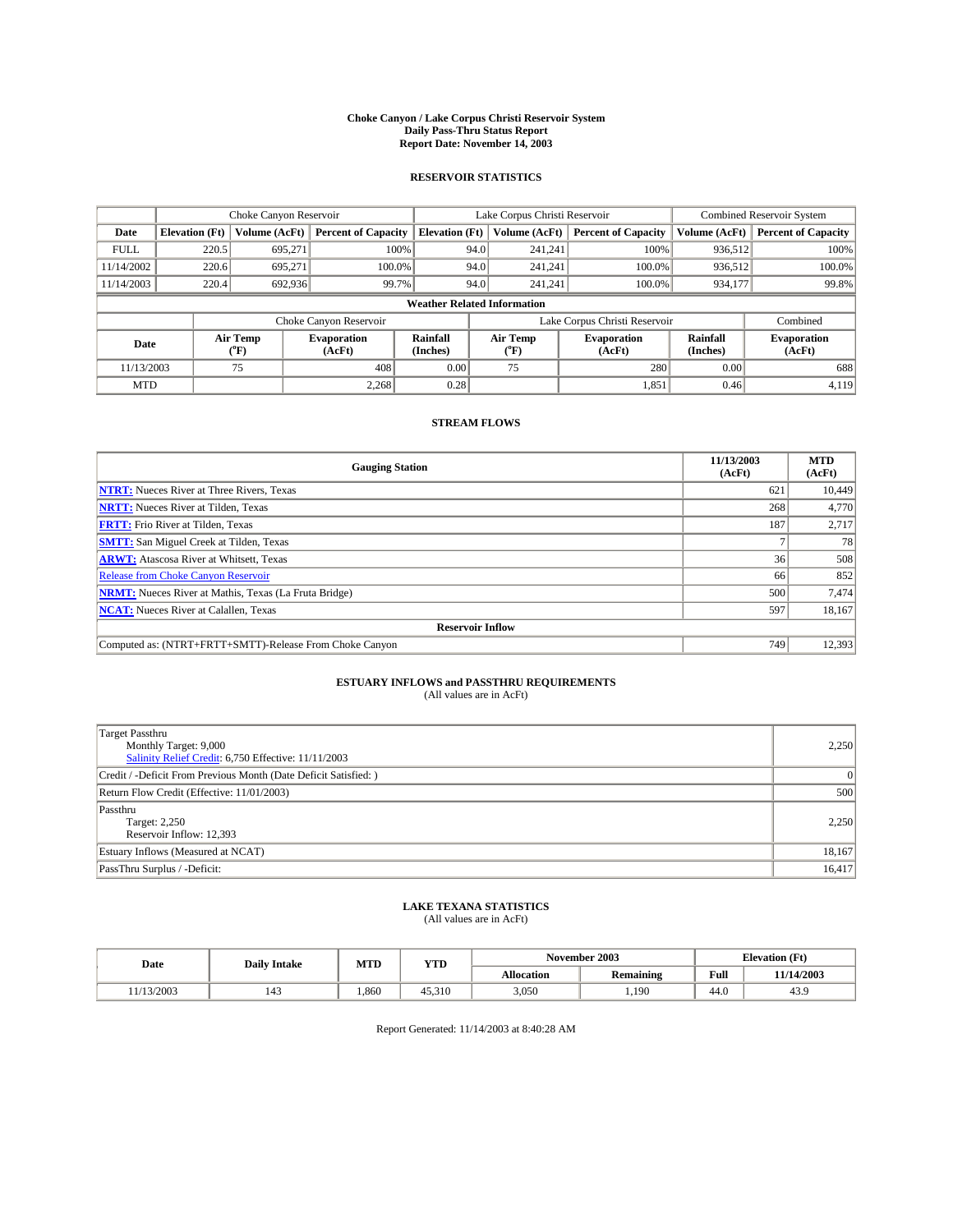#### **Choke Canyon / Lake Corpus Christi Reservoir System Daily Pass-Thru Status Report Report Date: November 14, 2003**

### **RESERVOIR STATISTICS**

|             | Choke Canyon Reservoir             |                             | Lake Corpus Christi Reservoir |                             |                               |                  | Combined Reservoir System    |                             |                              |
|-------------|------------------------------------|-----------------------------|-------------------------------|-----------------------------|-------------------------------|------------------|------------------------------|-----------------------------|------------------------------|
| Date        | <b>Elevation</b> (Ft)              | Volume (AcFt)               | <b>Percent of Capacity</b>    | <b>Elevation</b> (Ft)       |                               | Volume (AcFt)    | <b>Percent of Capacity</b>   | Volume (AcFt)               | <b>Percent of Capacity</b>   |
| <b>FULL</b> | 220.5                              | 695,271                     |                               | 100%                        | 94.0                          | 241,241          | 100%                         | 936.512                     | 100%                         |
| 11/14/2002  | 220.6                              | 695.271                     | $100.0\%$                     |                             | 94.0                          | 241.241          | $100.0\%$                    | 936.512                     | 100.0%                       |
| 11/14/2003  | 220.4                              | 692,936                     | 99.7%                         |                             | 94.0                          | 241.241          | $100.0\%$                    | 934,177                     | 99.8%                        |
|             | <b>Weather Related Information</b> |                             |                               |                             |                               |                  |                              |                             |                              |
|             |                                    |                             | Choke Canyon Reservoir        |                             | Lake Corpus Christi Reservoir |                  |                              |                             | Combined                     |
| Date        |                                    | Air Temp<br>${}^{\circ}$ F) | <b>Evaporation</b><br>(AcFt)  | <b>Rainfall</b><br>(Inches) |                               | Air Temp<br>("F) | <b>Evaporation</b><br>(AcFt) | <b>Rainfall</b><br>(Inches) | <b>Evaporation</b><br>(AcFt) |
| 11/13/2003  |                                    | 75                          | 408                           | 0.00                        |                               | 75               | 280                          | 0.00                        | 688                          |
| <b>MTD</b>  |                                    |                             | 2,268                         | 0.28                        |                               |                  | 1,851                        | 0.46                        | 4,119                        |

### **STREAM FLOWS**

| <b>Gauging Station</b>                                       | 11/13/2003<br>(AcFt) | <b>MTD</b><br>(AcFt) |  |  |  |  |  |
|--------------------------------------------------------------|----------------------|----------------------|--|--|--|--|--|
| <b>NTRT:</b> Nueces River at Three Rivers, Texas             | 621                  | 10,449               |  |  |  |  |  |
| <b>NRTT:</b> Nueces River at Tilden, Texas                   | 268                  | 4,770                |  |  |  |  |  |
| <b>FRTT:</b> Frio River at Tilden, Texas                     | 187                  | 2,717                |  |  |  |  |  |
| <b>SMTT:</b> San Miguel Creek at Tilden, Texas               |                      | 78                   |  |  |  |  |  |
| <b>ARWT:</b> Atascosa River at Whitsett, Texas               | 36                   | 508                  |  |  |  |  |  |
| <b>Release from Choke Canyon Reservoir</b>                   | 66                   | 852                  |  |  |  |  |  |
| <b>NRMT:</b> Nueces River at Mathis, Texas (La Fruta Bridge) | 500                  | 7,474                |  |  |  |  |  |
| <b>NCAT:</b> Nueces River at Calallen, Texas                 | 597                  | 18,167               |  |  |  |  |  |
| <b>Reservoir Inflow</b>                                      |                      |                      |  |  |  |  |  |
| Computed as: (NTRT+FRTT+SMTT)-Release From Choke Canyon      | 749                  | 12,393               |  |  |  |  |  |

# **ESTUARY INFLOWS and PASSTHRU REQUIREMENTS**<br>(All values are in AcFt)

| Target Passthru<br>Monthly Target: 9,000<br>Salinity Relief Credit: 6,750 Effective: 11/11/2003 | 2,250    |
|-------------------------------------------------------------------------------------------------|----------|
| Credit / -Deficit From Previous Month (Date Deficit Satisfied: )                                | $\Omega$ |
| Return Flow Credit (Effective: 11/01/2003)                                                      | 500      |
| Passthru<br>Target: 2,250<br>Reservoir Inflow: 12,393                                           | 2,250    |
| Estuary Inflows (Measured at NCAT)                                                              | 18,167   |
| PassThru Surplus / -Deficit:                                                                    | 16,417   |

# **LAKE TEXANA STATISTICS** (All values are in AcFt)

| Date      | <b>Daily Intake</b> | MTD  | <b>YTD</b> |                                       | November 2003 | <b>Elevation (Ft)</b> |            |
|-----------|---------------------|------|------------|---------------------------------------|---------------|-----------------------|------------|
|           |                     |      |            | <b>Allocation</b><br><b>Remaining</b> |               | Full                  | 11/14/2003 |
| 1/13/2003 | 143                 | ,860 | 45.310     | 3,050                                 | ,190          | $\sim$<br>44.U        | 43.9       |

Report Generated: 11/14/2003 at 8:40:28 AM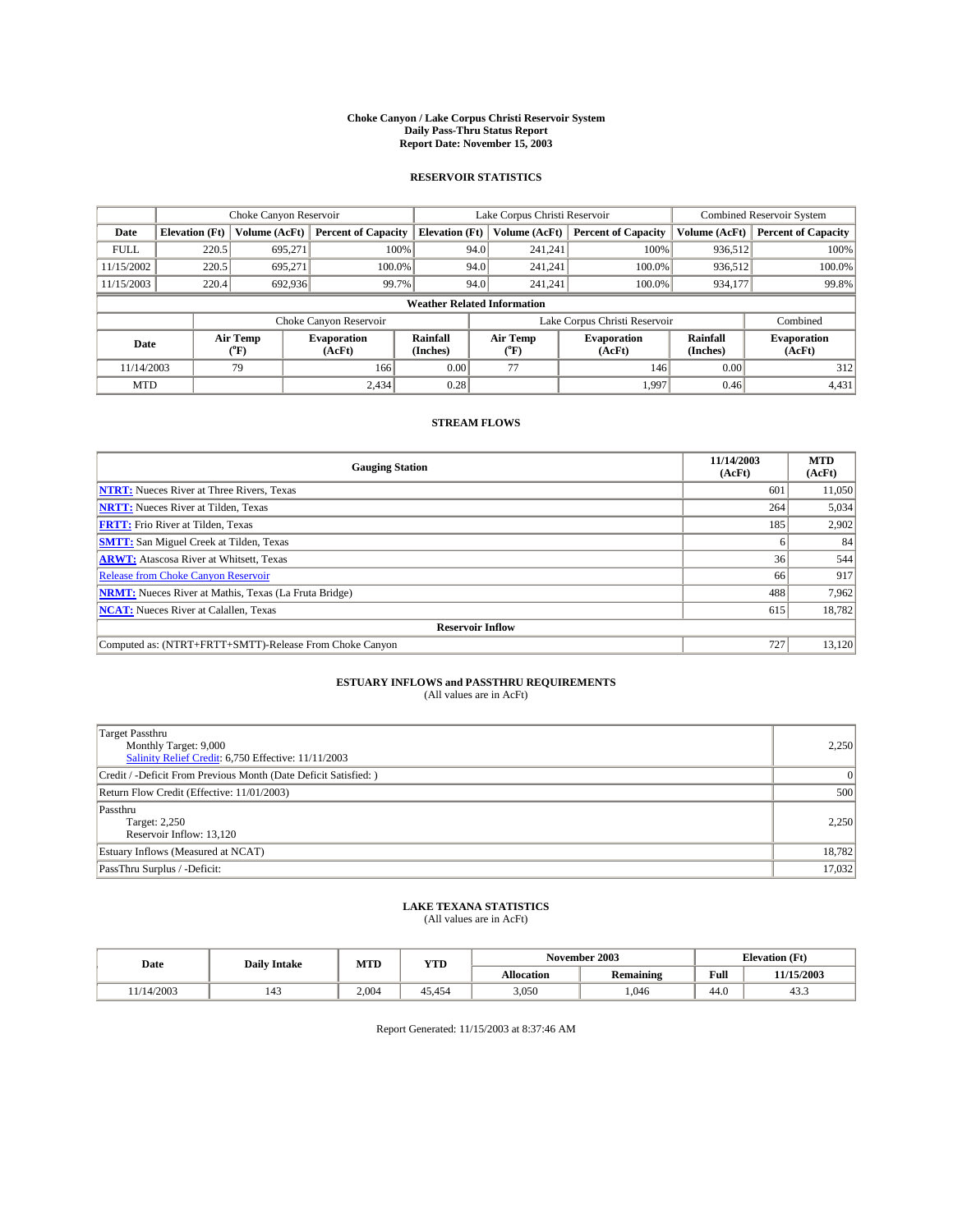#### **Choke Canyon / Lake Corpus Christi Reservoir System Daily Pass-Thru Status Report Report Date: November 15, 2003**

### **RESERVOIR STATISTICS**

|             | Choke Canyon Reservoir             |                             | Lake Corpus Christi Reservoir |                             |                               |                  | Combined Reservoir System    |                      |                              |
|-------------|------------------------------------|-----------------------------|-------------------------------|-----------------------------|-------------------------------|------------------|------------------------------|----------------------|------------------------------|
| Date        | <b>Elevation</b> (Ft)              | Volume (AcFt)               | <b>Percent of Capacity</b>    | <b>Elevation</b> (Ft)       |                               | Volume (AcFt)    | <b>Percent of Capacity</b>   | Volume (AcFt)        | <b>Percent of Capacity</b>   |
| <b>FULL</b> | 220.5                              | 695,271                     |                               | 100%                        | 94.0                          | 241,241          | 100%                         | 936.512              | 100%                         |
| 11/15/2002  | 220.5                              | 695.271                     | $100.0\%$                     |                             | 94.0                          | 241.241          | $100.0\%$                    | 936.512              | 100.0%                       |
| 11/15/2003  | 220.4                              | 692,936                     |                               | 99.7%                       | 94.0                          | 241.241          | $100.0\%$                    | 934,177              | 99.8%                        |
|             | <b>Weather Related Information</b> |                             |                               |                             |                               |                  |                              |                      |                              |
|             |                                    |                             | Choke Canyon Reservoir        |                             | Lake Corpus Christi Reservoir |                  |                              |                      | Combined                     |
| Date        |                                    | Air Temp<br>${}^{\circ}$ F) | <b>Evaporation</b><br>(AcFt)  | <b>Rainfall</b><br>(Inches) |                               | Air Temp<br>("F) | <b>Evaporation</b><br>(AcFt) | Rainfall<br>(Inches) | <b>Evaporation</b><br>(AcFt) |
| 11/14/2003  |                                    | 79                          | 166                           | 0.00                        |                               | 77               | 146                          | 0.00                 | 312                          |
| <b>MTD</b>  |                                    |                             | 2,434                         | 0.28                        |                               |                  | 1,997                        | 0.46                 | 4,431                        |

### **STREAM FLOWS**

| <b>Gauging Station</b>                                       | 11/14/2003<br>(AcFt) | <b>MTD</b><br>(AcFt) |  |  |  |  |
|--------------------------------------------------------------|----------------------|----------------------|--|--|--|--|
| <b>NTRT:</b> Nueces River at Three Rivers, Texas             | 601                  | 11,050               |  |  |  |  |
| <b>NRTT:</b> Nueces River at Tilden, Texas                   | 264                  | 5,034                |  |  |  |  |
| <b>FRTT:</b> Frio River at Tilden, Texas                     | 185                  | 2,902                |  |  |  |  |
| <b>SMTT:</b> San Miguel Creek at Tilden, Texas               |                      | 84                   |  |  |  |  |
| <b>ARWT:</b> Atascosa River at Whitsett, Texas               | 36                   | 544                  |  |  |  |  |
| Release from Choke Canyon Reservoir                          | 66                   | 917                  |  |  |  |  |
| <b>NRMT:</b> Nueces River at Mathis, Texas (La Fruta Bridge) | 488                  | 7,962                |  |  |  |  |
| <b>NCAT:</b> Nueces River at Calallen, Texas                 | 615                  | 18,782               |  |  |  |  |
| <b>Reservoir Inflow</b>                                      |                      |                      |  |  |  |  |
| Computed as: (NTRT+FRTT+SMTT)-Release From Choke Canyon      | 727                  | 13,120               |  |  |  |  |

# **ESTUARY INFLOWS and PASSTHRU REQUIREMENTS**<br>(All values are in AcFt)

| Target Passthru<br>Monthly Target: 9,000<br>Salinity Relief Credit: 6,750 Effective: 11/11/2003 | 2,250  |
|-------------------------------------------------------------------------------------------------|--------|
| Credit / -Deficit From Previous Month (Date Deficit Satisfied: )                                | 0      |
| Return Flow Credit (Effective: 11/01/2003)                                                      | 500    |
| Passthru<br>Target: 2,250<br>Reservoir Inflow: 13,120                                           | 2,250  |
| Estuary Inflows (Measured at NCAT)                                                              | 18,782 |
| PassThru Surplus / -Deficit:                                                                    | 17,032 |

# **LAKE TEXANA STATISTICS** (All values are in AcFt)

| Date      | <b>Daily Intake</b>             | MTD   | <b>YTD</b> |                   | November 2003 | <b>Elevation</b> (Ft) |                |
|-----------|---------------------------------|-------|------------|-------------------|---------------|-----------------------|----------------|
|           |                                 |       |            | <b>Allocation</b> | Remaining     | Full                  | 11/15/2003     |
| 1/14/2003 | $\overline{\phantom{a}}$<br>143 | 2.004 | 45.454     | 3,050             | .046          | $\sim$<br>-44.G       | $\sim$<br>43.5 |

Report Generated: 11/15/2003 at 8:37:46 AM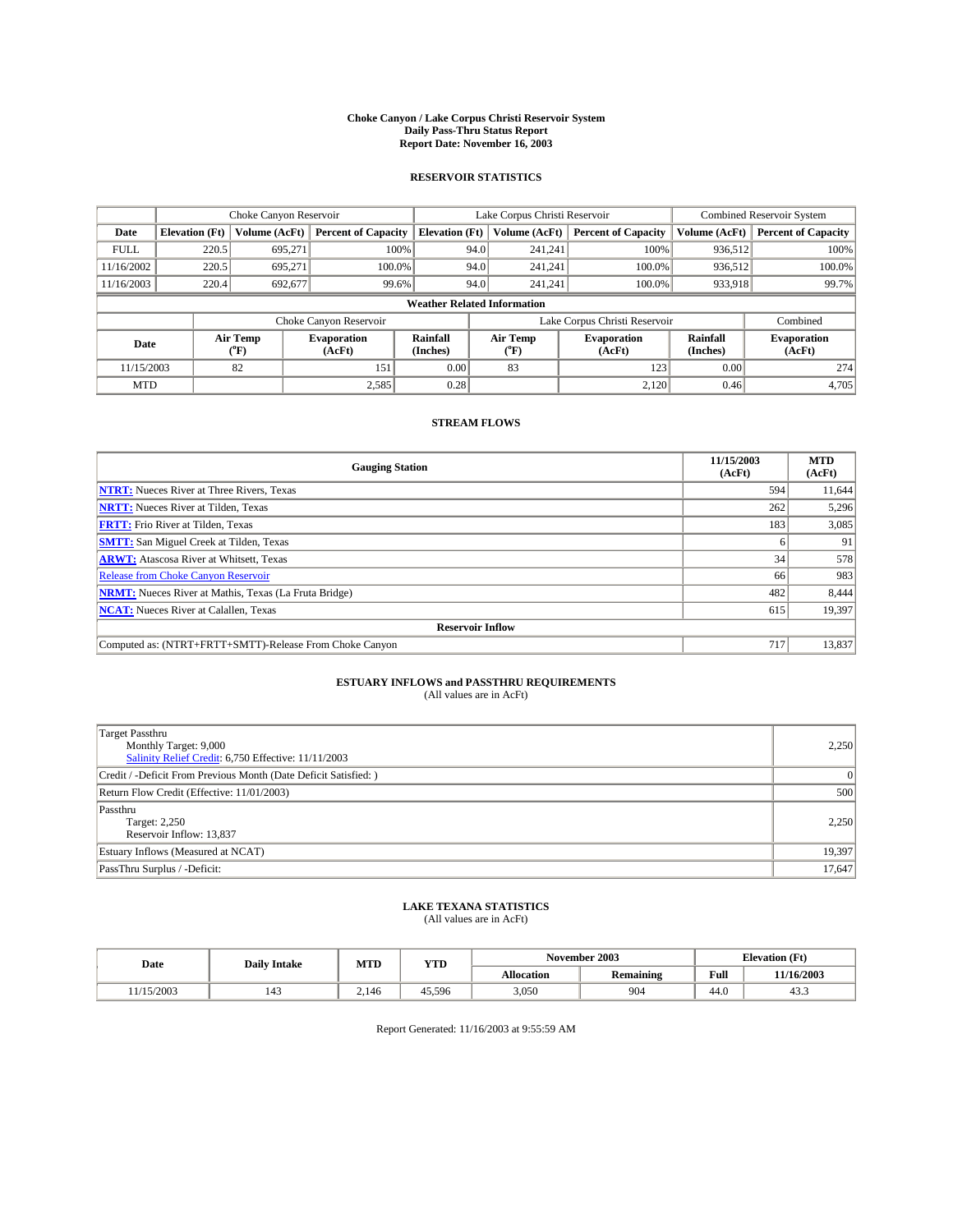#### **Choke Canyon / Lake Corpus Christi Reservoir System Daily Pass-Thru Status Report Report Date: November 16, 2003**

### **RESERVOIR STATISTICS**

|             | Choke Canyon Reservoir             |                             | Lake Corpus Christi Reservoir |                             |                               |                  | Combined Reservoir System    |                      |                              |         |       |
|-------------|------------------------------------|-----------------------------|-------------------------------|-----------------------------|-------------------------------|------------------|------------------------------|----------------------|------------------------------|---------|-------|
| Date        | <b>Elevation</b> (Ft)              | Volume (AcFt)               | <b>Percent of Capacity</b>    | <b>Elevation</b> (Ft)       |                               | Volume (AcFt)    | <b>Percent of Capacity</b>   | Volume (AcFt)        | <b>Percent of Capacity</b>   |         |       |
| <b>FULL</b> | 220.5                              | 695,271                     |                               | 100%                        | 94.0                          | 241,241          | 100%                         | 936.512              | 100%                         |         |       |
| 11/16/2002  | 220.5                              | 695.271                     | $100.0\%$                     |                             | 94.0                          | 241.241          | $100.0\%$                    | 936.512              | 100.0%                       |         |       |
| 11/16/2003  | 220.4                              | 692,677                     | 99.6%                         |                             |                               |                  | 94.0                         |                      | $100.0\%$<br>241.241         | 933,918 | 99.7% |
|             | <b>Weather Related Information</b> |                             |                               |                             |                               |                  |                              |                      |                              |         |       |
|             |                                    |                             | Choke Canyon Reservoir        |                             | Lake Corpus Christi Reservoir |                  |                              |                      | Combined                     |         |       |
| Date        |                                    | Air Temp<br>${}^{\circ}$ F) | <b>Evaporation</b><br>(AcFt)  | <b>Rainfall</b><br>(Inches) |                               | Air Temp<br>("F) | <b>Evaporation</b><br>(AcFt) | Rainfall<br>(Inches) | <b>Evaporation</b><br>(AcFt) |         |       |
| 11/15/2003  |                                    | 82                          | 151                           | 0.00                        |                               | 83               | 123                          | 0.00                 | 274                          |         |       |
| <b>MTD</b>  |                                    |                             | 2,585                         | 0.28                        |                               |                  | 2,120                        | 0.46                 | 4,705                        |         |       |

### **STREAM FLOWS**

| <b>Gauging Station</b>                                       | 11/15/2003<br>(AcFt) | <b>MTD</b><br>(AcFt) |
|--------------------------------------------------------------|----------------------|----------------------|
| <b>NTRT:</b> Nueces River at Three Rivers, Texas             | 594                  | 11,644               |
| <b>NRTT:</b> Nueces River at Tilden, Texas                   | 262                  | 5,296                |
| <b>FRTT:</b> Frio River at Tilden, Texas                     | 183                  | 3,085                |
| <b>SMTT:</b> San Miguel Creek at Tilden, Texas               |                      | 91                   |
| <b>ARWT:</b> Atascosa River at Whitsett, Texas               | 34                   | 578                  |
| <b>Release from Choke Canyon Reservoir</b>                   | 66                   | 983                  |
| <b>NRMT:</b> Nueces River at Mathis, Texas (La Fruta Bridge) | 482                  | 8,444                |
| <b>NCAT:</b> Nueces River at Calallen, Texas                 | 615                  | 19,397               |
| <b>Reservoir Inflow</b>                                      |                      |                      |
| Computed as: (NTRT+FRTT+SMTT)-Release From Choke Canyon      | 717                  | 13,837               |

# **ESTUARY INFLOWS and PASSTHRU REQUIREMENTS**<br>(All values are in AcFt)

| Target Passthru<br>Monthly Target: 9,000<br>Salinity Relief Credit: 6,750 Effective: 11/11/2003 | 2,250  |
|-------------------------------------------------------------------------------------------------|--------|
| Credit / -Deficit From Previous Month (Date Deficit Satisfied: )                                | 0      |
| Return Flow Credit (Effective: 11/01/2003)                                                      | 500    |
| Passthru<br>Target: 2,250<br>Reservoir Inflow: 13,837                                           | 2,250  |
| Estuary Inflows (Measured at NCAT)                                                              | 19,397 |
| PassThru Surplus / -Deficit:                                                                    | 17,647 |

# **LAKE TEXANA STATISTICS** (All values are in AcFt)

| Date      | <b>Daily Intake</b>             | MTD   | <b>YTD</b> |                   | November 2003    | <b>Elevation</b> (Ft) |                |
|-----------|---------------------------------|-------|------------|-------------------|------------------|-----------------------|----------------|
|           |                                 |       |            | <b>Allocation</b> | <b>Remaining</b> | Full                  | 11/16/2003     |
| 1/15/2003 | $\overline{\phantom{a}}$<br>143 | 2.146 | 45.596     | 3,050             | 904              | $\sim$<br>-44.G       | $\sim$<br>د.45 |

Report Generated: 11/16/2003 at 9:55:59 AM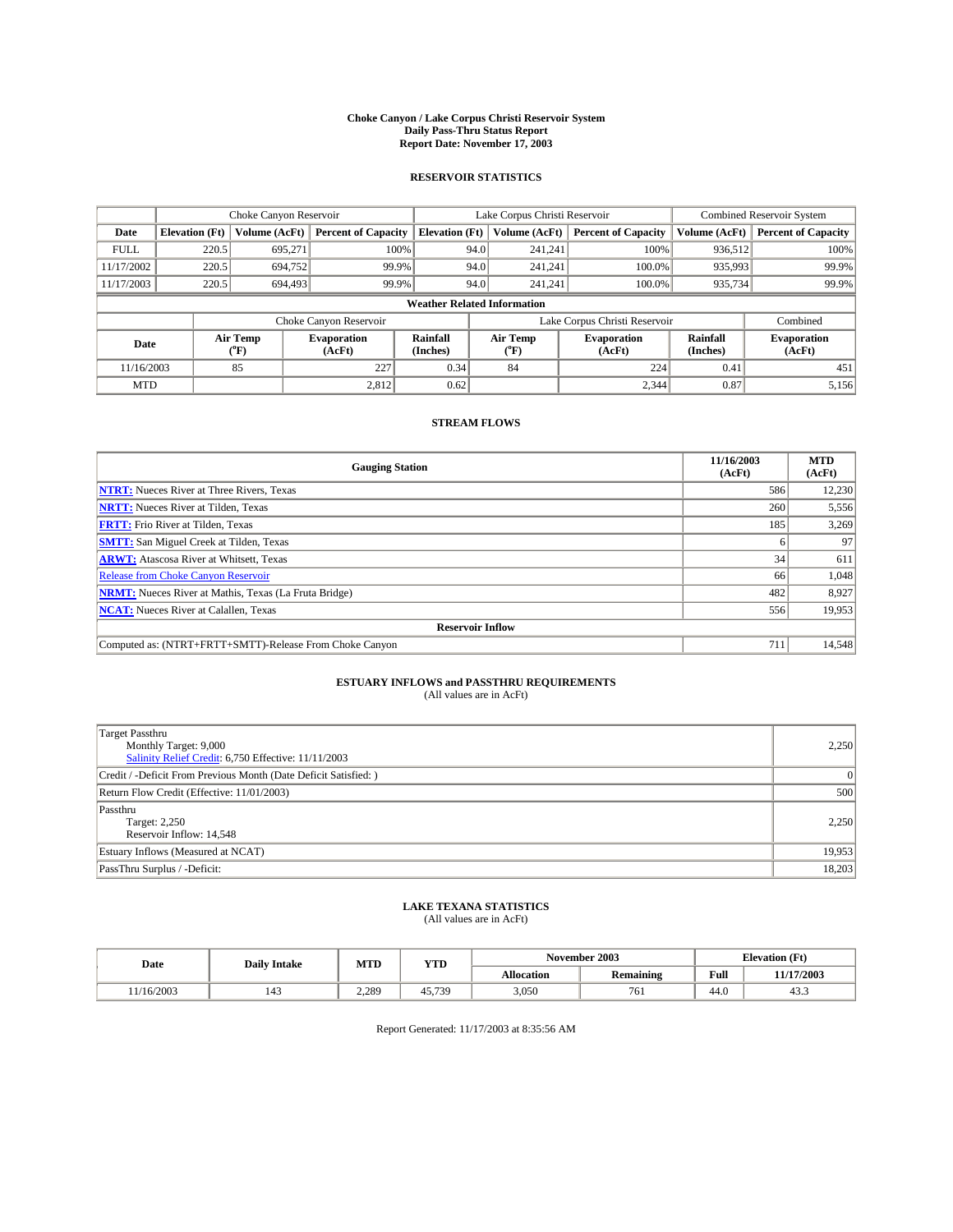#### **Choke Canyon / Lake Corpus Christi Reservoir System Daily Pass-Thru Status Report Report Date: November 17, 2003**

### **RESERVOIR STATISTICS**

|             | Choke Canyon Reservoir             |                             | Lake Corpus Christi Reservoir |                             |                               |                  | <b>Combined Reservoir System</b> |                      |                              |  |
|-------------|------------------------------------|-----------------------------|-------------------------------|-----------------------------|-------------------------------|------------------|----------------------------------|----------------------|------------------------------|--|
| Date        | <b>Elevation</b> (Ft)              | Volume (AcFt)               | <b>Percent of Capacity</b>    | <b>Elevation</b> (Ft)       |                               | Volume (AcFt)    | <b>Percent of Capacity</b>       | Volume (AcFt)        | <b>Percent of Capacity</b>   |  |
| <b>FULL</b> | 220.5                              | 695,271                     | 100%                          |                             | 94.0                          | 241,241          | 100%                             | 936.512              | 100%                         |  |
| 11/17/2002  | 220.5                              | 694,752                     | 99.9%                         |                             | 94.0                          | 241.241          | $100.0\%$                        | 935,993              | 99.9%                        |  |
| 11/17/2003  | 220.5                              | 694,493                     | 99.9%                         |                             | 94.0<br>$100.0\%$<br>241.241  |                  | 935,734                          | 99.9%                |                              |  |
|             | <b>Weather Related Information</b> |                             |                               |                             |                               |                  |                                  |                      |                              |  |
|             |                                    |                             | Choke Canyon Reservoir        |                             | Lake Corpus Christi Reservoir |                  |                                  |                      | Combined                     |  |
| Date        |                                    | Air Temp<br>${}^{\circ}$ F) | <b>Evaporation</b><br>(AcFt)  | <b>Rainfall</b><br>(Inches) |                               | Air Temp<br>("F) | <b>Evaporation</b><br>(AcFt)     | Rainfall<br>(Inches) | <b>Evaporation</b><br>(AcFt) |  |
| 11/16/2003  |                                    | 85                          | 227                           | 0.34                        |                               | 84               | 224                              | 0.41                 | 451                          |  |
| <b>MTD</b>  |                                    |                             | 2,812                         | 0.62                        |                               |                  | 2,344                            | 0.87                 | 5,156                        |  |

### **STREAM FLOWS**

| <b>Gauging Station</b>                                       | 11/16/2003<br>(AcFt) | <b>MTD</b><br>(AcFt) |
|--------------------------------------------------------------|----------------------|----------------------|
| <b>NTRT:</b> Nueces River at Three Rivers, Texas             | 586                  | 12,230               |
| <b>NRTT:</b> Nueces River at Tilden, Texas                   | 260                  | 5,556                |
| <b>FRTT:</b> Frio River at Tilden, Texas                     | 185                  | 3,269                |
| <b>SMTT:</b> San Miguel Creek at Tilden, Texas               |                      | 97                   |
| <b>ARWT:</b> Atascosa River at Whitsett, Texas               | 34                   | 611                  |
| Release from Choke Canyon Reservoir                          | 66                   | 1,048                |
| <b>NRMT:</b> Nueces River at Mathis, Texas (La Fruta Bridge) | 482                  | 8,927                |
| <b>NCAT:</b> Nueces River at Calallen, Texas                 | 556                  | 19,953               |
| <b>Reservoir Inflow</b>                                      |                      |                      |
| Computed as: (NTRT+FRTT+SMTT)-Release From Choke Canyon      | 711                  | 14,548               |

# **ESTUARY INFLOWS and PASSTHRU REQUIREMENTS**<br>(All values are in AcFt)

| Target Passthru<br>Monthly Target: 9,000<br>Salinity Relief Credit: 6,750 Effective: 11/11/2003 | 2,250  |
|-------------------------------------------------------------------------------------------------|--------|
| Credit / -Deficit From Previous Month (Date Deficit Satisfied: )                                | 0      |
| Return Flow Credit (Effective: 11/01/2003)                                                      | 500    |
| Passthru<br>Target: 2,250<br>Reservoir Inflow: 14,548                                           | 2,250  |
| Estuary Inflows (Measured at NCAT)                                                              | 19,953 |
| PassThru Surplus / -Deficit:                                                                    | 18,203 |

# **LAKE TEXANA STATISTICS** (All values are in AcFt)

| Date      | <b>Daily Intake</b> | MTD   | YTD    |                   | November 2003    | <b>Elevation</b> (Ft) |                |
|-----------|---------------------|-------|--------|-------------------|------------------|-----------------------|----------------|
|           |                     |       |        | <b>Allocation</b> | <b>Remaining</b> | Full                  | 11/17/2003     |
| 1/16/2003 | 143                 | 2.289 | 45.739 | 3,050             | 761              | $\sim$<br>44.U        | $\sim$<br>45.5 |

Report Generated: 11/17/2003 at 8:35:56 AM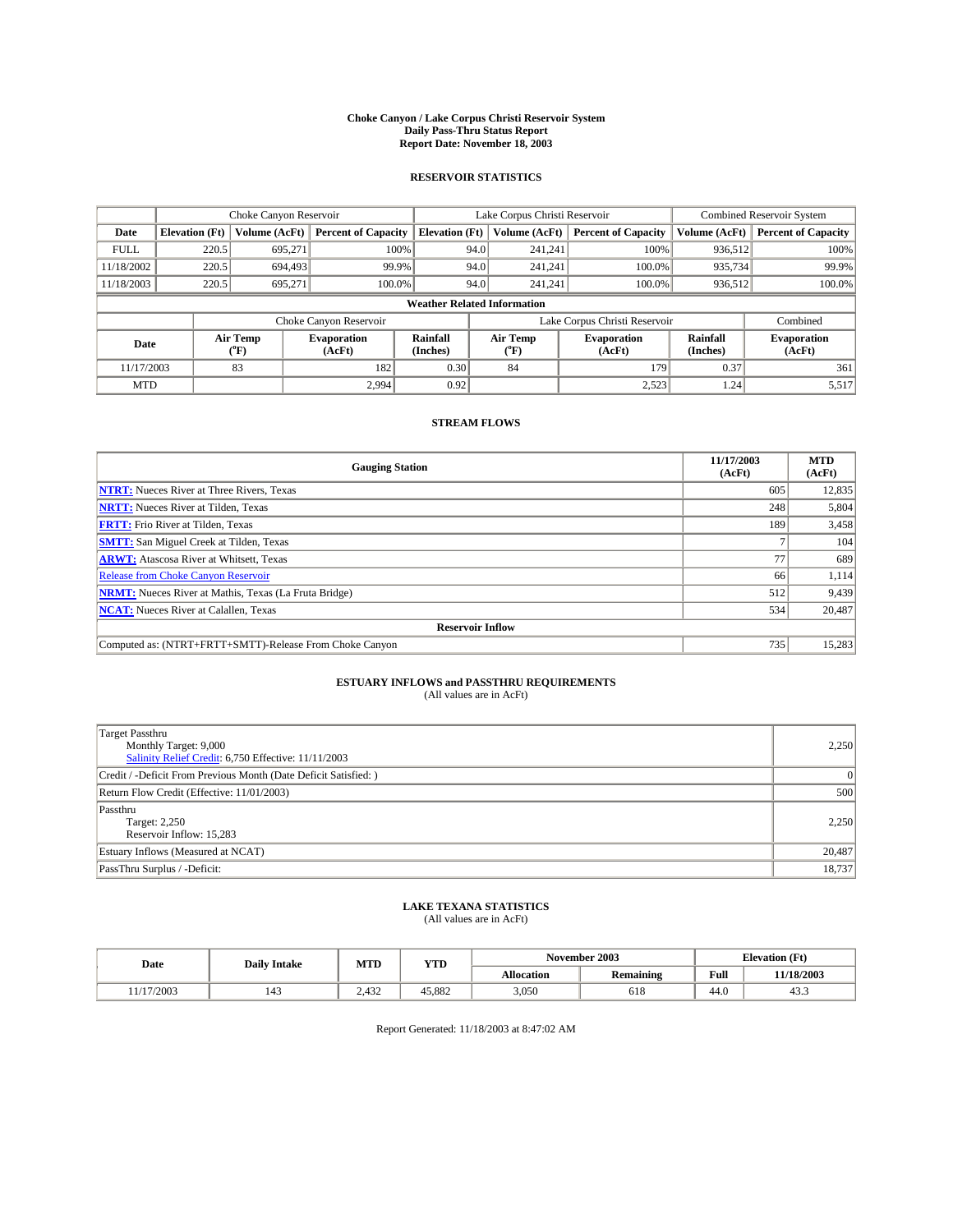#### **Choke Canyon / Lake Corpus Christi Reservoir System Daily Pass-Thru Status Report Report Date: November 18, 2003**

### **RESERVOIR STATISTICS**

|             | Choke Canyon Reservoir             |                             | Lake Corpus Christi Reservoir |                             |                               |                  | Combined Reservoir System    |                      |                              |  |
|-------------|------------------------------------|-----------------------------|-------------------------------|-----------------------------|-------------------------------|------------------|------------------------------|----------------------|------------------------------|--|
| Date        | <b>Elevation</b> (Ft)              | Volume (AcFt)               | <b>Percent of Capacity</b>    | <b>Elevation</b> (Ft)       |                               | Volume (AcFt)    | <b>Percent of Capacity</b>   | Volume (AcFt)        | <b>Percent of Capacity</b>   |  |
| <b>FULL</b> | 220.5                              | 695,271                     |                               | 100%                        | 94.0                          | 241,241          | 100%                         | 936.512              | 100%                         |  |
| 11/18/2002  | 220.5                              | 694,493                     | 99.9%                         |                             | 94.0                          | 241.241          | $100.0\%$                    | 935,734              | 99.9%                        |  |
| 11/18/2003  | 220.5                              | 695.271                     | 100.0%                        |                             | 94.0                          | 241.241          | $100.0\%$                    | 936,512              | 100.0%                       |  |
|             | <b>Weather Related Information</b> |                             |                               |                             |                               |                  |                              |                      |                              |  |
|             |                                    |                             | Choke Canyon Reservoir        |                             | Lake Corpus Christi Reservoir |                  |                              |                      | Combined                     |  |
| Date        |                                    | Air Temp<br>${}^{\circ}$ F) | <b>Evaporation</b><br>(AcFt)  | <b>Rainfall</b><br>(Inches) |                               | Air Temp<br>("F) | <b>Evaporation</b><br>(AcFt) | Rainfall<br>(Inches) | <b>Evaporation</b><br>(AcFt) |  |
| 11/17/2003  |                                    | 83                          | 182                           | 0.30                        |                               | 84               | 179                          | 0.37                 | 361                          |  |
| <b>MTD</b>  |                                    |                             | 2,994                         | 0.92                        |                               |                  | 2,523                        | 1.24                 | 5,517                        |  |

### **STREAM FLOWS**

| <b>Gauging Station</b>                                       | 11/17/2003<br>(AcFt) | <b>MTD</b><br>(AcFt) |
|--------------------------------------------------------------|----------------------|----------------------|
| <b>NTRT:</b> Nueces River at Three Rivers, Texas             | 605                  | 12,835               |
| <b>NRTT:</b> Nueces River at Tilden, Texas                   | 248                  | 5,804                |
| <b>FRTT:</b> Frio River at Tilden, Texas                     | 189                  | 3,458                |
| <b>SMTT:</b> San Miguel Creek at Tilden, Texas               |                      | 104                  |
| <b>ARWT:</b> Atascosa River at Whitsett, Texas               | 77                   | 689                  |
| Release from Choke Canyon Reservoir                          | 66                   | 1,114                |
| <b>NRMT:</b> Nueces River at Mathis, Texas (La Fruta Bridge) | 512                  | 9,439                |
| <b>NCAT:</b> Nueces River at Calallen, Texas                 | 534                  | 20,487               |
| <b>Reservoir Inflow</b>                                      |                      |                      |
| Computed as: (NTRT+FRTT+SMTT)-Release From Choke Canyon      | 735                  | 15,283               |

# **ESTUARY INFLOWS and PASSTHRU REQUIREMENTS**<br>(All values are in AcFt)

| Target Passthru<br>Monthly Target: 9,000<br>Salinity Relief Credit: 6,750 Effective: 11/11/2003 | 2,250  |
|-------------------------------------------------------------------------------------------------|--------|
| Credit / -Deficit From Previous Month (Date Deficit Satisfied: )                                | 0      |
| Return Flow Credit (Effective: 11/01/2003)                                                      | 500    |
| Passthru<br>Target: 2,250<br>Reservoir Inflow: 15,283                                           | 2,250  |
| Estuary Inflows (Measured at NCAT)                                                              | 20,487 |
| PassThru Surplus / -Deficit:                                                                    | 18,737 |

# **LAKE TEXANA STATISTICS** (All values are in AcFt)

| Date      | <b>Daily Intake</b>             | MTD   | <b>YTD</b> |                   | November 2003    | <b>Elevation</b> (Ft) |                |  |
|-----------|---------------------------------|-------|------------|-------------------|------------------|-----------------------|----------------|--|
|           |                                 |       |            | <b>Allocation</b> | <b>Remaining</b> | Full                  | 11/18/2003     |  |
| 1/17/2003 | $\overline{\phantom{a}}$<br>143 | 2.432 | 45.882     | 3,050             | 618              | $\sim$<br>44.U        | $\sim$<br>د.45 |  |

Report Generated: 11/18/2003 at 8:47:02 AM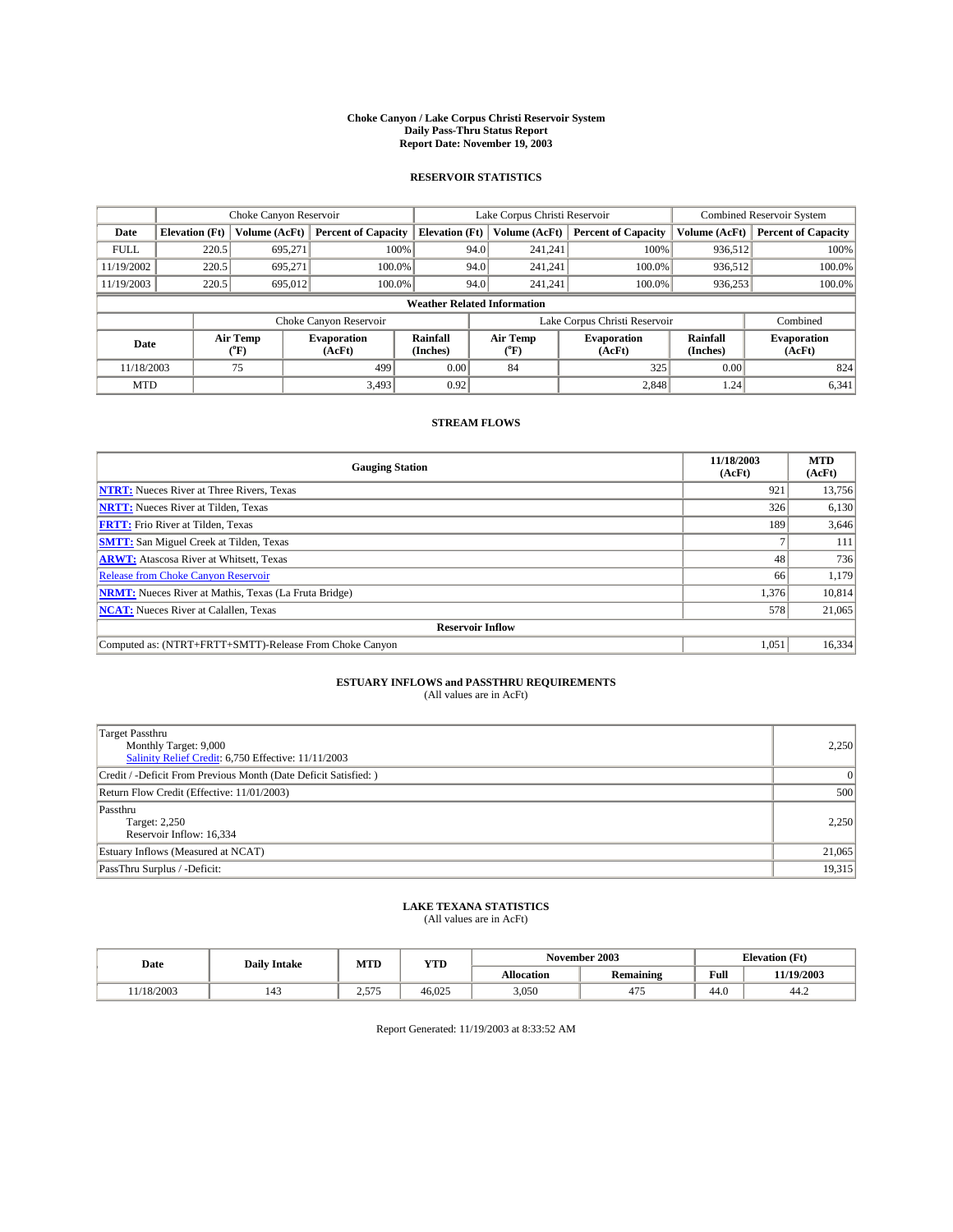#### **Choke Canyon / Lake Corpus Christi Reservoir System Daily Pass-Thru Status Report Report Date: November 19, 2003**

### **RESERVOIR STATISTICS**

|             | Choke Canyon Reservoir             |                  | Lake Corpus Christi Reservoir |                             |                               |                  | Combined Reservoir System    |                      |                              |  |
|-------------|------------------------------------|------------------|-------------------------------|-----------------------------|-------------------------------|------------------|------------------------------|----------------------|------------------------------|--|
| Date        | <b>Elevation</b> (Ft)              | Volume (AcFt)    | <b>Percent of Capacity</b>    | <b>Elevation</b> (Ft)       |                               | Volume (AcFt)    | <b>Percent of Capacity</b>   | Volume (AcFt)        | <b>Percent of Capacity</b>   |  |
| <b>FULL</b> | 220.5                              | 695,271          |                               | 100%                        | 94.0                          | 241,241          | 100%                         | 936.512              | 100%                         |  |
| 11/19/2002  | 220.5                              | 695.271          | $100.0\%$                     |                             | 94.0                          | 241.241          | $100.0\%$                    | 936.512              | 100.0%                       |  |
| 11/19/2003  | 220.5                              | 695,012          | 100.0%                        |                             | 94.0                          |                  | $100.0\%$<br>241.241         | 936,253              | 100.0%                       |  |
|             | <b>Weather Related Information</b> |                  |                               |                             |                               |                  |                              |                      |                              |  |
|             |                                    |                  | Choke Canyon Reservoir        |                             | Lake Corpus Christi Reservoir |                  |                              |                      | Combined                     |  |
| Date        |                                    | Air Temp<br>(°F) | <b>Evaporation</b><br>(AcFt)  | <b>Rainfall</b><br>(Inches) |                               | Air Temp<br>("F) | <b>Evaporation</b><br>(AcFt) | Rainfall<br>(Inches) | <b>Evaporation</b><br>(AcFt) |  |
| 11/18/2003  |                                    | 75               | 499                           | 0.00                        |                               | 84               | 325                          | 0.00                 | 824                          |  |
| <b>MTD</b>  |                                    |                  | 3,493                         | 0.92                        |                               |                  | 2,848                        | 1.24                 | 6,341                        |  |

### **STREAM FLOWS**

| <b>Gauging Station</b>                                       | 11/18/2003<br>(AcFt) | <b>MTD</b><br>(AcFt) |
|--------------------------------------------------------------|----------------------|----------------------|
| <b>NTRT:</b> Nueces River at Three Rivers, Texas             | 921                  | 13,756               |
| <b>NRTT:</b> Nueces River at Tilden, Texas                   | 326                  | 6,130                |
| <b>FRTT:</b> Frio River at Tilden, Texas                     | 189                  | 3,646                |
| <b>SMTT:</b> San Miguel Creek at Tilden, Texas               |                      | 111                  |
| <b>ARWT:</b> Atascosa River at Whitsett, Texas               | 48                   | 736                  |
| <b>Release from Choke Canyon Reservoir</b>                   | 66                   | 1,179                |
| <b>NRMT:</b> Nueces River at Mathis, Texas (La Fruta Bridge) | 1,376                | 10,814               |
| <b>NCAT:</b> Nueces River at Calallen, Texas                 | 578                  | 21,065               |
| <b>Reservoir Inflow</b>                                      |                      |                      |
| Computed as: (NTRT+FRTT+SMTT)-Release From Choke Canyon      | 1,051                | 16,334               |

## **ESTUARY INFLOWS and PASSTHRU REQUIREMENTS**

(All values are in AcFt)

| Target Passthru<br>Monthly Target: 9,000<br>Salinity Relief Credit: 6,750 Effective: 11/11/2003 | 2,250          |
|-------------------------------------------------------------------------------------------------|----------------|
| Credit / -Deficit From Previous Month (Date Deficit Satisfied: )                                | $\overline{0}$ |
| Return Flow Credit (Effective: 11/01/2003)                                                      | 500            |
| Passthru<br>Target: 2,250<br>Reservoir Inflow: 16,334                                           | 2,250          |
| Estuary Inflows (Measured at NCAT)                                                              | 21,065         |
| PassThru Surplus / -Deficit:                                                                    | 19,315         |

# **LAKE TEXANA STATISTICS** (All values are in AcFt)

| Date | <b>Daily Intake</b> | <b>MTD</b> | <b>YTD</b> |                   | November 2003    | $\therefore$ levation (F <sup>+)</sup> |        |
|------|---------------------|------------|------------|-------------------|------------------|----------------------------------------|--------|
|      |                     |            |            | <b>Allocation</b> | <b>¦emaining</b> | Full                                   | 9/2003 |

Report Generated: 11/19/2003 at 8:33:52 AM

11/18/2003 | 143 | 2,575 | 46,025 | 3,050 | 475 | 44.0 | 44.2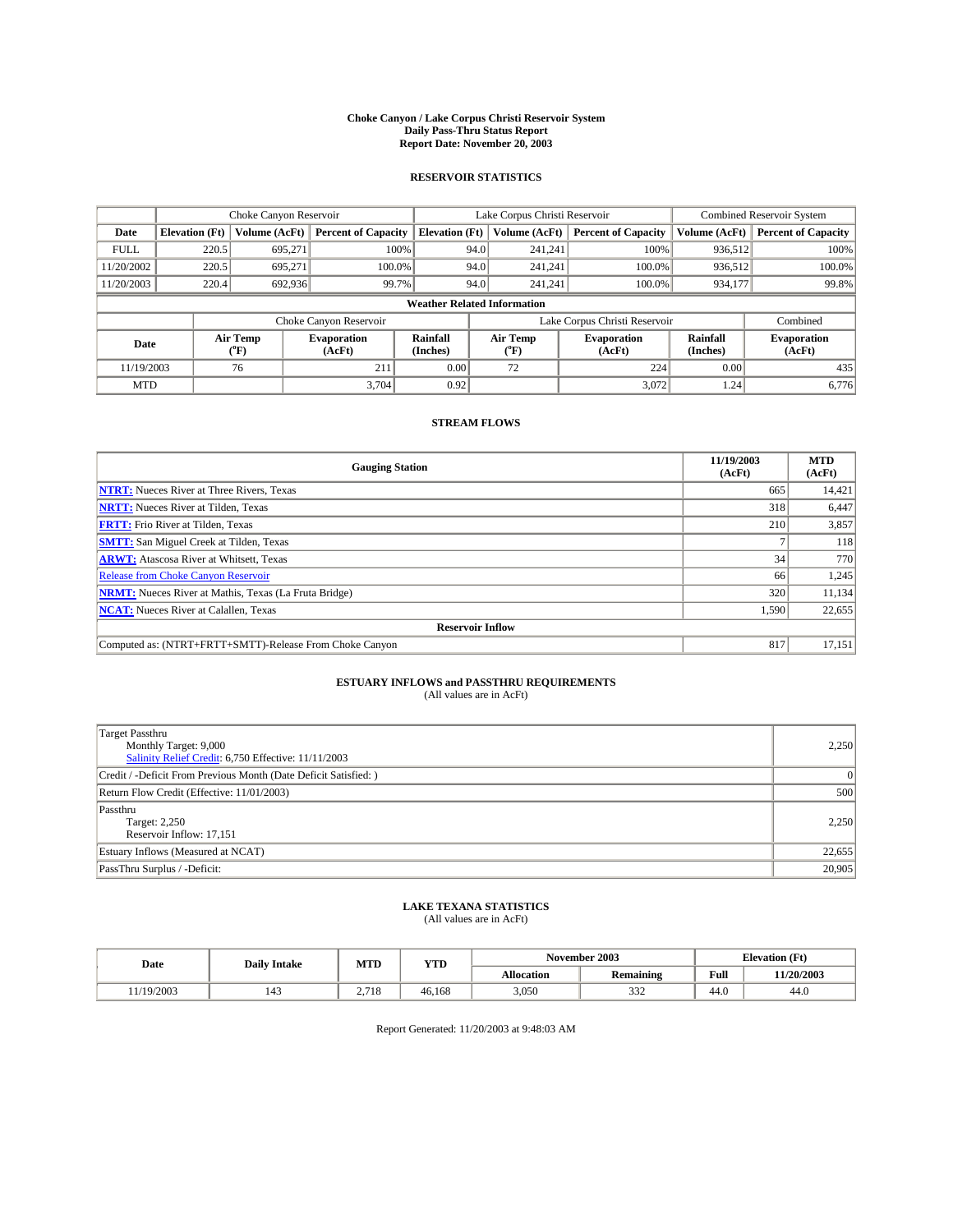#### **Choke Canyon / Lake Corpus Christi Reservoir System Daily Pass-Thru Status Report Report Date: November 20, 2003**

### **RESERVOIR STATISTICS**

|             | Choke Canyon Reservoir             |                             | Lake Corpus Christi Reservoir |                             |                               |                  | <b>Combined Reservoir System</b> |                      |                              |  |
|-------------|------------------------------------|-----------------------------|-------------------------------|-----------------------------|-------------------------------|------------------|----------------------------------|----------------------|------------------------------|--|
| Date        | <b>Elevation</b> (Ft)              | Volume (AcFt)               | <b>Percent of Capacity</b>    | <b>Elevation</b> (Ft)       |                               | Volume (AcFt)    | <b>Percent of Capacity</b>       | Volume (AcFt)        | <b>Percent of Capacity</b>   |  |
| <b>FULL</b> | 220.5                              | 695,271                     | 100%                          |                             | 94.0                          | 241,241          | 100%                             | 936.512              | 100%                         |  |
| 11/20/2002  | 220.5                              | 695.271                     | $100.0\%$                     |                             | 94.0                          | 241.241          | $100.0\%$                        | 936,512              | 100.0%                       |  |
| 11/20/2003  | 220.4                              | 692,936                     | 99.7%                         |                             | 94.0                          | 241.241          | $100.0\%$                        | 934,177              | 99.8%                        |  |
|             | <b>Weather Related Information</b> |                             |                               |                             |                               |                  |                                  |                      |                              |  |
|             |                                    |                             | Choke Canyon Reservoir        |                             | Lake Corpus Christi Reservoir |                  |                                  | Combined             |                              |  |
| Date        |                                    | Air Temp<br>${}^{\circ}$ F) | <b>Evaporation</b><br>(AcFt)  | <b>Rainfall</b><br>(Inches) |                               | Air Temp<br>("F) | <b>Evaporation</b><br>(AcFt)     | Rainfall<br>(Inches) | <b>Evaporation</b><br>(AcFt) |  |
| 11/19/2003  |                                    | 76                          | 211                           | 0.00                        |                               | 72               | 224                              | 0.00                 | 435                          |  |
| <b>MTD</b>  |                                    |                             | 3,704                         | 0.92                        |                               |                  | 3,072                            | 1.24                 | 6,776                        |  |

### **STREAM FLOWS**

| <b>Gauging Station</b>                                       | 11/19/2003<br>(AcFt) | <b>MTD</b><br>(AcFt) |
|--------------------------------------------------------------|----------------------|----------------------|
| <b>NTRT:</b> Nueces River at Three Rivers, Texas             | 665                  | 14,421               |
| <b>NRTT:</b> Nueces River at Tilden, Texas                   | 318                  | 6,447                |
| <b>FRTT:</b> Frio River at Tilden, Texas                     | 210                  | 3,857                |
| <b>SMTT:</b> San Miguel Creek at Tilden, Texas               |                      | <b>118</b>           |
| <b>ARWT:</b> Atascosa River at Whitsett, Texas               | 34                   | 770                  |
| Release from Choke Canyon Reservoir                          | 66                   | 1,245                |
| <b>NRMT:</b> Nueces River at Mathis, Texas (La Fruta Bridge) | 320                  | 11,134               |
| <b>NCAT:</b> Nueces River at Calallen, Texas                 | 1,590                | 22,655               |
| <b>Reservoir Inflow</b>                                      |                      |                      |
| Computed as: (NTRT+FRTT+SMTT)-Release From Choke Canyon      | 817                  | 17,151               |

# **ESTUARY INFLOWS and PASSTHRU REQUIREMENTS**<br>(All values are in AcFt)

| Target Passthru<br>Monthly Target: 9,000<br>Salinity Relief Credit: 6,750 Effective: 11/11/2003 | 2,250    |
|-------------------------------------------------------------------------------------------------|----------|
| Credit / -Deficit From Previous Month (Date Deficit Satisfied: )                                | $\Omega$ |
| Return Flow Credit (Effective: 11/01/2003)                                                      | 500      |
| Passthru<br>Target: 2,250<br>Reservoir Inflow: 17,151                                           | 2,250    |
| Estuary Inflows (Measured at NCAT)                                                              | 22,655   |
| PassThru Surplus / -Deficit:                                                                    | 20,905   |

# **LAKE TEXANA STATISTICS** (All values are in AcFt)

| Date      | <b>Daily Intake</b> | MTD          | <b>YTD</b> | November 2003     |                  |                | <b>Elevation</b> (Ft) |
|-----------|---------------------|--------------|------------|-------------------|------------------|----------------|-----------------------|
|           |                     |              |            | <b>Allocation</b> | <b>Remaining</b> | Full           | 11/20/2003            |
| 1/19/2003 | 143                 | 710<br>2.110 | 46.168     | 3,050             | 222<br>332       | $\sim$<br>44.V | 44.0                  |

Report Generated: 11/20/2003 at 9:48:03 AM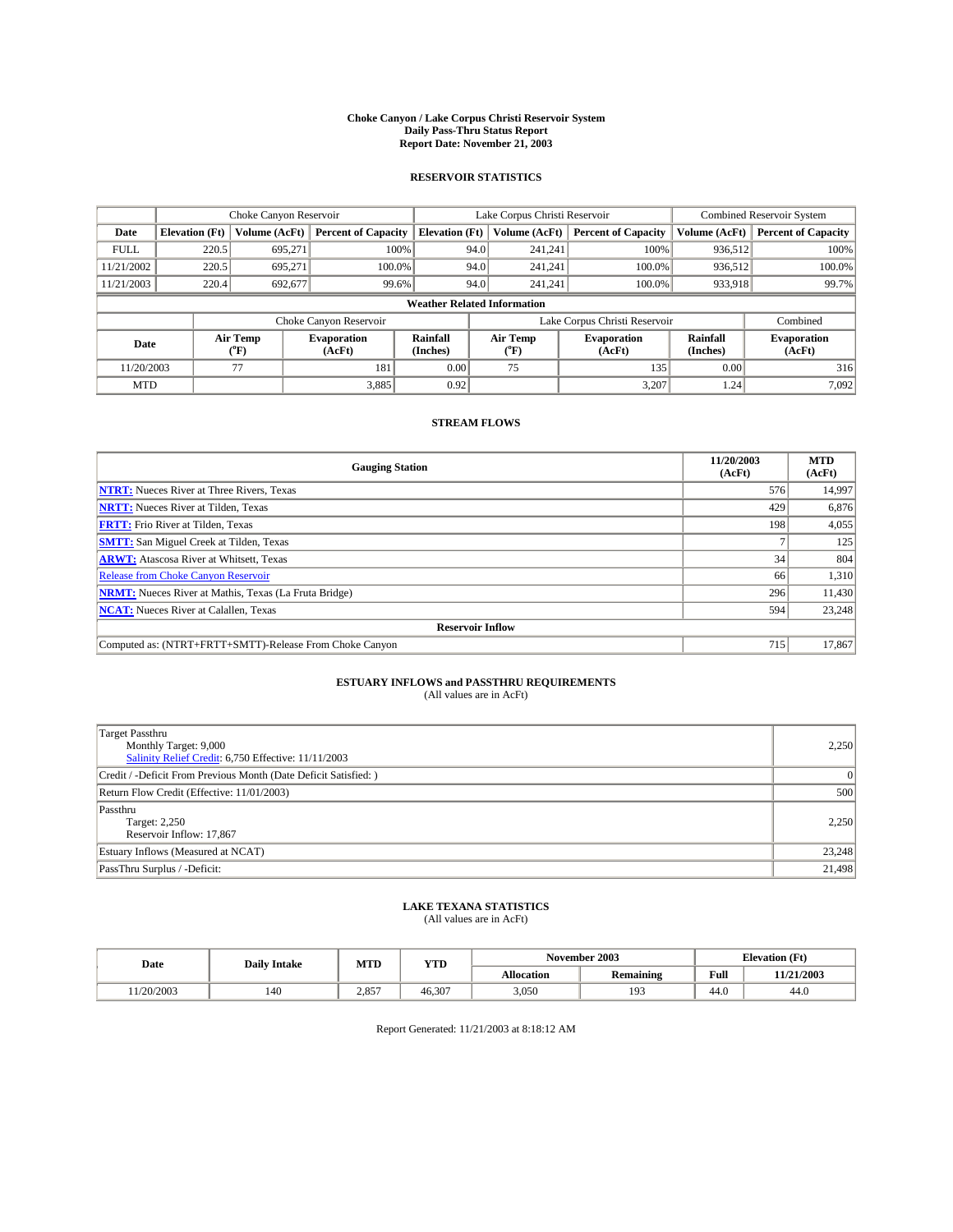#### **Choke Canyon / Lake Corpus Christi Reservoir System Daily Pass-Thru Status Report Report Date: November 21, 2003**

### **RESERVOIR STATISTICS**

|             | Choke Canyon Reservoir                 |                  | Lake Corpus Christi Reservoir |                             |                               |                         | <b>Combined Reservoir System</b> |                      |                              |  |
|-------------|----------------------------------------|------------------|-------------------------------|-----------------------------|-------------------------------|-------------------------|----------------------------------|----------------------|------------------------------|--|
| Date        | Volume (AcFt)<br><b>Elevation</b> (Ft) |                  | <b>Percent of Capacity</b>    | <b>Elevation</b> (Ft)       |                               | Volume (AcFt)           | <b>Percent of Capacity</b>       | Volume (AcFt)        | <b>Percent of Capacity</b>   |  |
| <b>FULL</b> | 220.5                                  | 695,271          |                               | 100%                        | 94.0                          | 241,241                 | 100%                             | 936,512              | 100%                         |  |
| 11/21/2002  | 220.5                                  | 695.271          | 100.0%                        |                             | 94.0                          | 241.241                 | 100.0%                           | 936.512              | 100.0%                       |  |
| 11/21/2003  | 220.4                                  | 692,677          | 99.6%                         |                             | 94.0                          |                         | 100.0%<br>241,241                | 933,918              | 99.7%                        |  |
|             | <b>Weather Related Information</b>     |                  |                               |                             |                               |                         |                                  |                      |                              |  |
|             |                                        |                  | Choke Canyon Reservoir        |                             | Lake Corpus Christi Reservoir |                         |                                  |                      | Combined                     |  |
| Date        |                                        | Air Temp<br>(°F) | <b>Evaporation</b><br>(AcFt)  | <b>Rainfall</b><br>(Inches) |                               | Air Temp<br>$\rm ^{op}$ | <b>Evaporation</b><br>(AcFt)     | Rainfall<br>(Inches) | <b>Evaporation</b><br>(AcFt) |  |
| 11/20/2003  |                                        | 77               | 181                           | 0.00                        |                               | 75                      | 135                              | 0.00                 | 316                          |  |
| <b>MTD</b>  |                                        |                  | 3,885                         | 0.92                        |                               |                         | 3.207                            | 1.24                 | 7,092                        |  |

### **STREAM FLOWS**

| <b>Gauging Station</b>                                       | 11/20/2003<br>(AcFt) | <b>MTD</b><br>(AcFt) |
|--------------------------------------------------------------|----------------------|----------------------|
| <b>NTRT:</b> Nueces River at Three Rivers, Texas             | 576                  | 14,997               |
| <b>NRTT:</b> Nueces River at Tilden, Texas                   | 429                  | 6,876                |
| <b>FRTT:</b> Frio River at Tilden, Texas                     | 198                  | 4,055                |
| <b>SMTT:</b> San Miguel Creek at Tilden, Texas               |                      | 125                  |
| <b>ARWT:</b> Atascosa River at Whitsett, Texas               | 34                   | 804                  |
| Release from Choke Canyon Reservoir                          | 66                   | 1,310                |
| <b>NRMT:</b> Nueces River at Mathis, Texas (La Fruta Bridge) | 296                  | 11,430               |
| <b>NCAT:</b> Nueces River at Calallen, Texas                 | 594                  | 23,248               |
| <b>Reservoir Inflow</b>                                      |                      |                      |
| Computed as: (NTRT+FRTT+SMTT)-Release From Choke Canyon      | 715                  | 17.867               |

# **ESTUARY INFLOWS and PASSTHRU REQUIREMENTS**<br>(All values are in AcFt)

| Target Passthru<br>Monthly Target: 9,000<br>Salinity Relief Credit: 6,750 Effective: 11/11/2003 | 2,250    |
|-------------------------------------------------------------------------------------------------|----------|
| Credit / -Deficit From Previous Month (Date Deficit Satisfied: )                                | $\Omega$ |
| Return Flow Credit (Effective: 11/01/2003)                                                      | 500      |
| Passthru<br>Target: 2,250<br>Reservoir Inflow: 17,867                                           | 2,250    |
| Estuary Inflows (Measured at NCAT)                                                              | 23,248   |
| PassThru Surplus / -Deficit:                                                                    | 21,498   |

# **LAKE TEXANA STATISTICS** (All values are in AcFt)

| Date      | <b>Daily Intake</b> | MTD   | <b>YTD</b> |                   | November 2003    | <b>Elevation</b> (Ft) |            |
|-----------|---------------------|-------|------------|-------------------|------------------|-----------------------|------------|
|           |                     |       |            | <b>Allocation</b> | <b>Remaining</b> | Full                  | 11/21/2003 |
| 1/20/2003 | 140                 | 2.857 | 46.307     | 3,050             | 193              | $\sim$<br>44.U        | 44.0       |

Report Generated: 11/21/2003 at 8:18:12 AM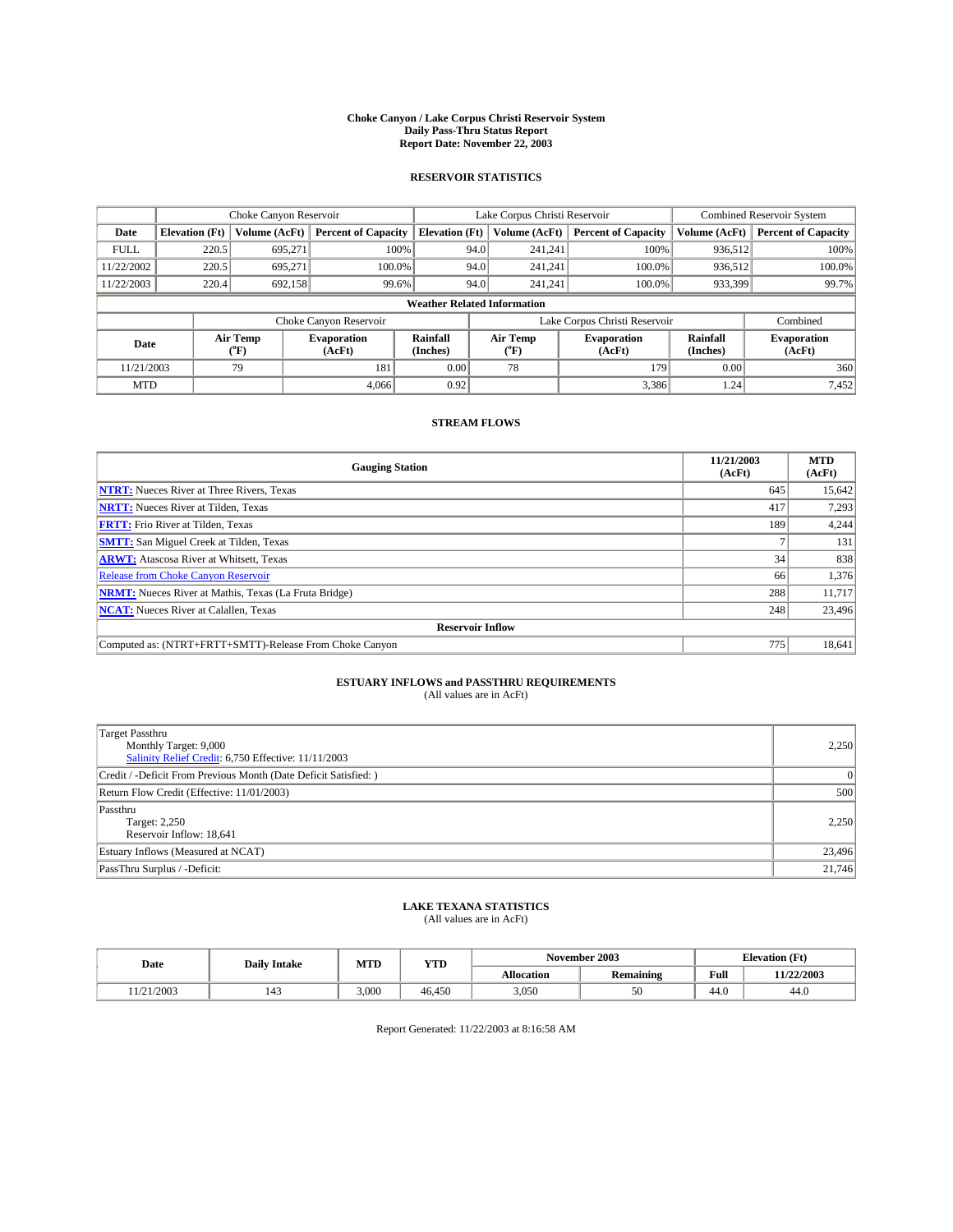#### **Choke Canyon / Lake Corpus Christi Reservoir System Daily Pass-Thru Status Report Report Date: November 22, 2003**

### **RESERVOIR STATISTICS**

|             | Choke Canyon Reservoir             |                             | Lake Corpus Christi Reservoir |                             |                               |                  | Combined Reservoir System    |                      |                              |  |
|-------------|------------------------------------|-----------------------------|-------------------------------|-----------------------------|-------------------------------|------------------|------------------------------|----------------------|------------------------------|--|
| Date        | <b>Elevation</b> (Ft)              | Volume (AcFt)               | <b>Percent of Capacity</b>    | <b>Elevation</b> (Ft)       |                               | Volume (AcFt)    | <b>Percent of Capacity</b>   | Volume (AcFt)        | <b>Percent of Capacity</b>   |  |
| <b>FULL</b> | 220.5                              | 695,271                     |                               | 100%                        | 94.0                          | 241,241          | 100%                         | 936.512              | 100%                         |  |
| 11/22/2002  | 220.5                              | 695.271                     | $100.0\%$                     |                             | 94.0                          | 241.241          | $100.0\%$                    | 936.512              | 100.0%                       |  |
| 11/22/2003  | 220.4                              | 692,158                     | 99.6%                         |                             | 94.0                          |                  | $100.0\%$<br>241.241         | 933,399              | 99.7%                        |  |
|             | <b>Weather Related Information</b> |                             |                               |                             |                               |                  |                              |                      |                              |  |
|             |                                    |                             | Choke Canyon Reservoir        |                             | Lake Corpus Christi Reservoir |                  |                              | Combined             |                              |  |
| Date        |                                    | Air Temp<br>${}^{\circ}$ F) | <b>Evaporation</b><br>(AcFt)  | <b>Rainfall</b><br>(Inches) |                               | Air Temp<br>("F) | <b>Evaporation</b><br>(AcFt) | Rainfall<br>(Inches) | <b>Evaporation</b><br>(AcFt) |  |
| 11/21/2003  |                                    | 79                          | 181                           | 0.00                        |                               | 78               | 179                          | 0.00                 | 360                          |  |
| <b>MTD</b>  |                                    |                             | 4.066                         | 0.92                        |                               |                  | 3,386                        | 1.24                 | 7,452                        |  |

### **STREAM FLOWS**

| <b>Gauging Station</b>                                       | 11/21/2003<br>(AcFt) | <b>MTD</b><br>(AcFt) |
|--------------------------------------------------------------|----------------------|----------------------|
| <b>NTRT:</b> Nueces River at Three Rivers, Texas             | 645                  | 15,642               |
| <b>NRTT:</b> Nueces River at Tilden, Texas                   | 417                  | 7,293                |
| <b>FRTT:</b> Frio River at Tilden, Texas                     | 189                  | 4,244                |
| <b>SMTT:</b> San Miguel Creek at Tilden, Texas               |                      | 131                  |
| <b>ARWT:</b> Atascosa River at Whitsett, Texas               | 34                   | 838                  |
| <b>Release from Choke Canyon Reservoir</b>                   | 66                   | 1,376                |
| <b>NRMT:</b> Nueces River at Mathis, Texas (La Fruta Bridge) | 288                  | 11,717               |
| <b>NCAT:</b> Nueces River at Calallen, Texas                 | 248                  | 23,496               |
| <b>Reservoir Inflow</b>                                      |                      |                      |
| Computed as: (NTRT+FRTT+SMTT)-Release From Choke Canyon      | 775                  | 18,641               |

# **ESTUARY INFLOWS and PASSTHRU REQUIREMENTS**<br>(All values are in AcFt)

| Target Passthru<br>Monthly Target: 9,000<br>Salinity Relief Credit: 6,750 Effective: 11/11/2003 | 2,250    |
|-------------------------------------------------------------------------------------------------|----------|
| Credit / -Deficit From Previous Month (Date Deficit Satisfied: )                                | $\Omega$ |
| Return Flow Credit (Effective: 11/01/2003)                                                      | 500      |
| Passthru<br>Target: 2,250<br>Reservoir Inflow: 18,641                                           | 2,250    |
| Estuary Inflows (Measured at NCAT)                                                              | 23,496   |
| PassThru Surplus / -Deficit:                                                                    | 21,746   |

# **LAKE TEXANA STATISTICS** (All values are in AcFt)

| Date     | <b>Daily Intake</b> | MTD   | <b>YTD</b> |                   | November 2003    | <b>Elevation (Ft)</b> |            |
|----------|---------------------|-------|------------|-------------------|------------------|-----------------------|------------|
|          |                     |       |            | <b>Allocation</b> | <b>Remaining</b> | Full                  | 11/22/2003 |
| /21/2003 | 143                 | 3,000 | 46.450     | 3,050             | 50               | 44.V                  | 44.0       |

Report Generated: 11/22/2003 at 8:16:58 AM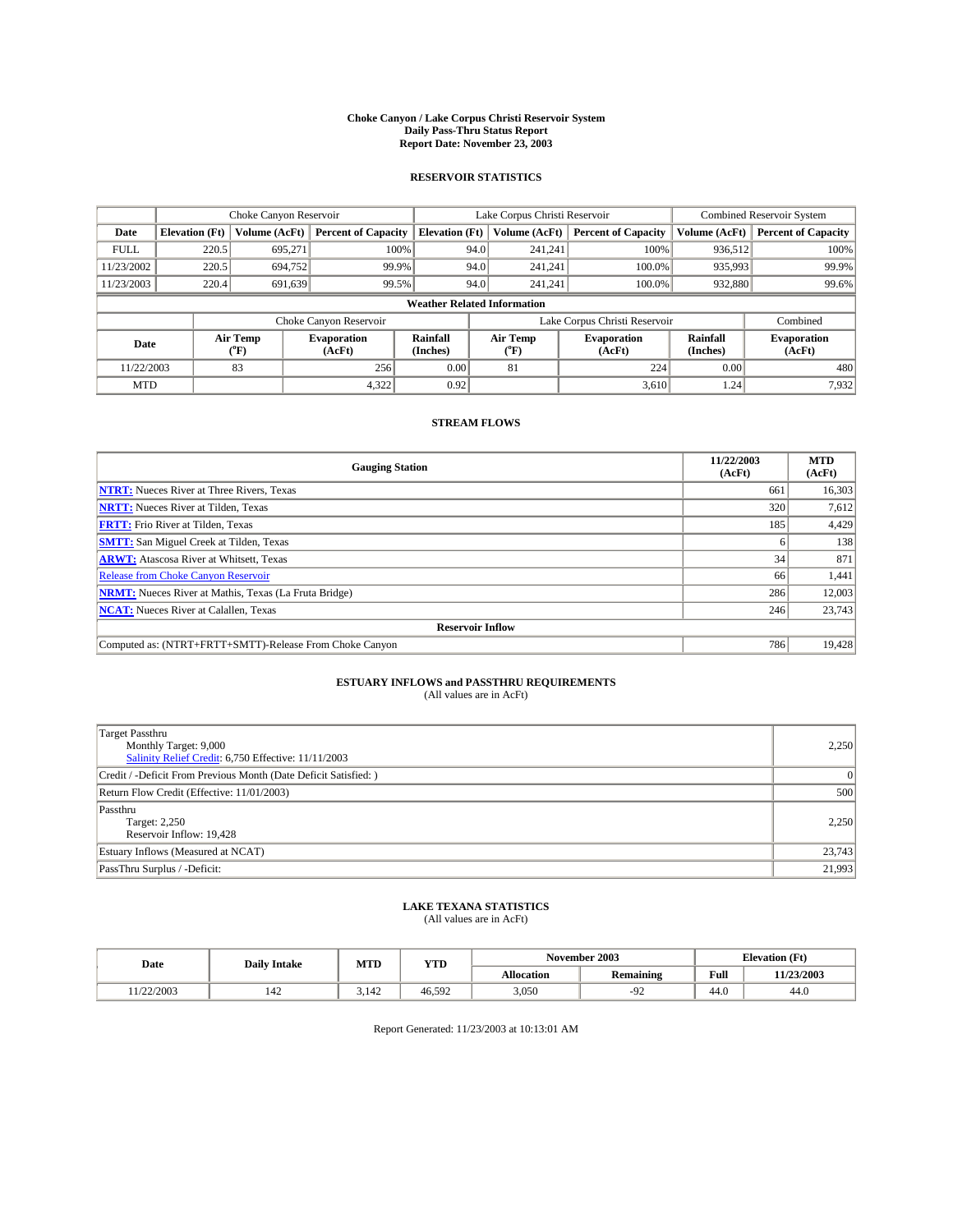#### **Choke Canyon / Lake Corpus Christi Reservoir System Daily Pass-Thru Status Report Report Date: November 23, 2003**

### **RESERVOIR STATISTICS**

|             | Choke Canyon Reservoir             |                             | Lake Corpus Christi Reservoir |                             |                               |                  | <b>Combined Reservoir System</b> |                      |                              |         |       |
|-------------|------------------------------------|-----------------------------|-------------------------------|-----------------------------|-------------------------------|------------------|----------------------------------|----------------------|------------------------------|---------|-------|
| Date        | <b>Elevation</b> (Ft)              | Volume (AcFt)               | <b>Percent of Capacity</b>    | <b>Elevation</b> (Ft)       |                               | Volume (AcFt)    | <b>Percent of Capacity</b>       | Volume (AcFt)        | <b>Percent of Capacity</b>   |         |       |
| <b>FULL</b> | 220.5                              | 695,271                     |                               | 100%                        | 94.0                          | 241,241          | 100%                             | 936.512              | 100%                         |         |       |
| 11/23/2002  | 220.5                              | 694,752                     | 99.9%                         |                             | 94.0                          | 241.241          | $100.0\%$                        | 935,993              | 99.9%                        |         |       |
| 11/23/2003  | 220.4                              | 691,639                     | 99.5%                         |                             |                               |                  | 94.0                             |                      | $100.0\%$<br>241.241         | 932,880 | 99.6% |
|             | <b>Weather Related Information</b> |                             |                               |                             |                               |                  |                                  |                      |                              |         |       |
|             |                                    |                             | Choke Canyon Reservoir        |                             | Lake Corpus Christi Reservoir |                  |                                  |                      | Combined                     |         |       |
| Date        |                                    | Air Temp<br>${}^{\circ}$ F) | <b>Evaporation</b><br>(AcFt)  | <b>Rainfall</b><br>(Inches) |                               | Air Temp<br>("F) | <b>Evaporation</b><br>(AcFt)     | Rainfall<br>(Inches) | <b>Evaporation</b><br>(AcFt) |         |       |
| 11/22/2003  |                                    | 83                          | 256                           | 0.00                        |                               | 81               | 224                              | 0.00                 | 480                          |         |       |
| <b>MTD</b>  |                                    |                             | 4,322                         | 0.92                        |                               |                  | 3,610                            | 1.24                 | 7,932                        |         |       |

### **STREAM FLOWS**

| <b>Gauging Station</b>                                       | 11/22/2003<br>(AcFt) | <b>MTD</b><br>(AcFt) |
|--------------------------------------------------------------|----------------------|----------------------|
| <b>NTRT:</b> Nueces River at Three Rivers, Texas             | 661                  | 16,303               |
| <b>NRTT:</b> Nueces River at Tilden, Texas                   | 320                  | 7,612                |
| <b>FRTT:</b> Frio River at Tilden, Texas                     | 185                  | 4,429                |
| <b>SMTT:</b> San Miguel Creek at Tilden, Texas               |                      | 138                  |
| <b>ARWT:</b> Atascosa River at Whitsett, Texas               | 34                   | 871                  |
| <b>Release from Choke Canyon Reservoir</b>                   | 66                   | 1,441                |
| <b>NRMT:</b> Nueces River at Mathis, Texas (La Fruta Bridge) | 286                  | 12,003               |
| <b>NCAT:</b> Nueces River at Calallen, Texas                 | 246                  | 23,743               |
| <b>Reservoir Inflow</b>                                      |                      |                      |
| Computed as: (NTRT+FRTT+SMTT)-Release From Choke Canyon      | 786                  | 19,428               |

# **ESTUARY INFLOWS and PASSTHRU REQUIREMENTS**<br>(All values are in AcFt)

| Target Passthru<br>Monthly Target: 9,000<br>Salinity Relief Credit: 6,750 Effective: 11/11/2003 | 2,250    |
|-------------------------------------------------------------------------------------------------|----------|
| Credit / -Deficit From Previous Month (Date Deficit Satisfied: )                                | $\Omega$ |
| Return Flow Credit (Effective: 11/01/2003)                                                      | 500      |
| Passthru<br>Target: 2,250<br>Reservoir Inflow: 19,428                                           | 2,250    |
| Estuary Inflows (Measured at NCAT)                                                              | 23,743   |
| PassThru Surplus / -Deficit:                                                                    | 21,993   |

# **LAKE TEXANA STATISTICS** (All values are in AcFt)

| Date      | <b>Daily Intake</b> | MTD   | <b>YTD</b> |                   | November 2003    | <b>Elevation</b> (Ft) |            |
|-----------|---------------------|-------|------------|-------------------|------------------|-----------------------|------------|
|           |                     |       |            | <b>Allocation</b> | <b>Remaining</b> | Full                  | 11/23/2003 |
| 1/22/2003 | 142                 | 3.142 | 46.592     | 3,050             | ╯                | $\sim$<br>44.V        | 44.0       |

Report Generated: 11/23/2003 at 10:13:01 AM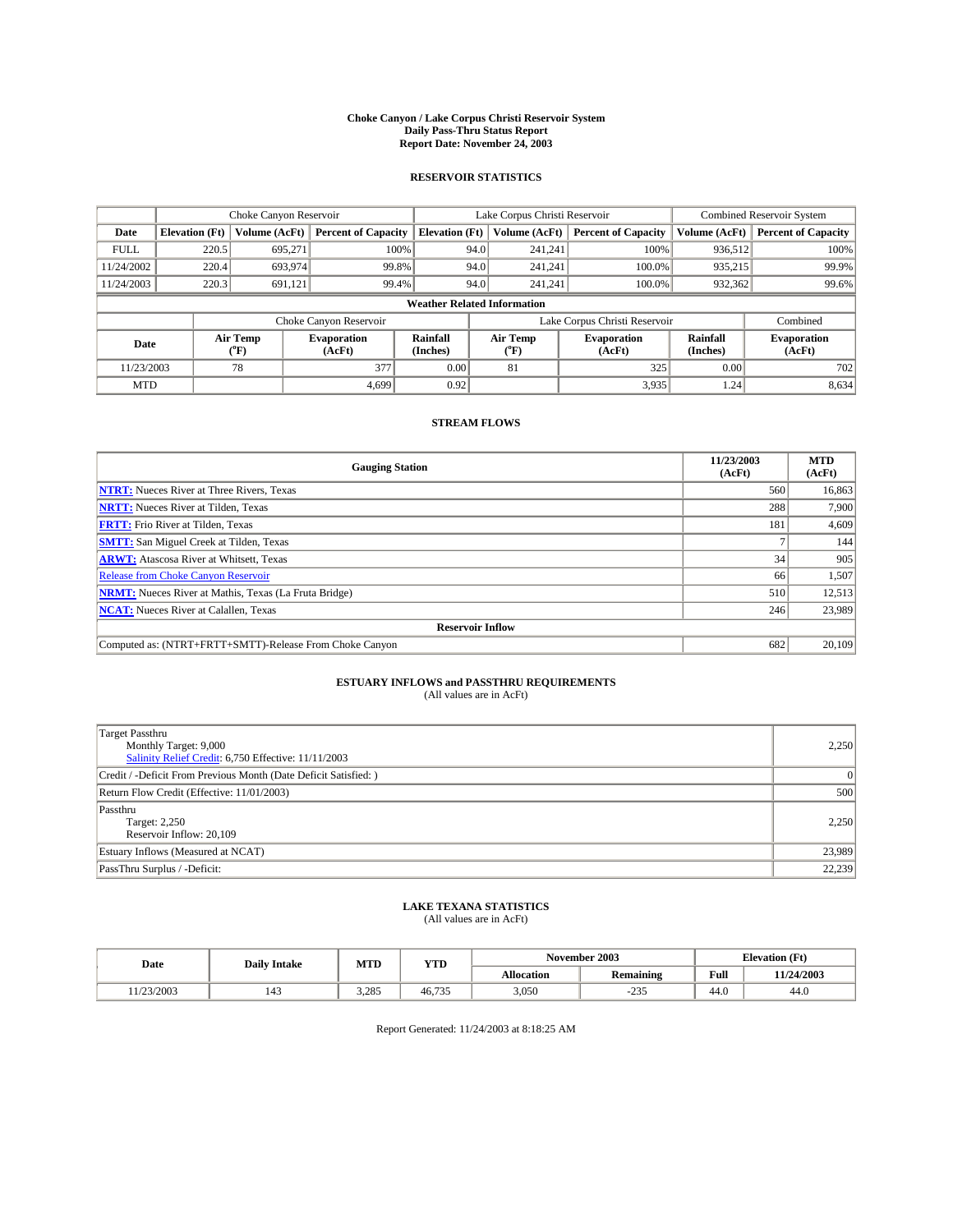#### **Choke Canyon / Lake Corpus Christi Reservoir System Daily Pass-Thru Status Report Report Date: November 24, 2003**

### **RESERVOIR STATISTICS**

|             | Choke Canyon Reservoir             |                             | Lake Corpus Christi Reservoir |                             |                               |                  | Combined Reservoir System    |                      |                              |  |
|-------------|------------------------------------|-----------------------------|-------------------------------|-----------------------------|-------------------------------|------------------|------------------------------|----------------------|------------------------------|--|
| Date        | <b>Elevation</b> (Ft)              | Volume (AcFt)               | <b>Percent of Capacity</b>    | <b>Elevation</b> (Ft)       |                               | Volume (AcFt)    | <b>Percent of Capacity</b>   | Volume (AcFt)        | <b>Percent of Capacity</b>   |  |
| <b>FULL</b> | 220.5                              | 695,271                     | 100%                          |                             | 94.0                          | 241,241          | 100%                         | 936.512              | 100%                         |  |
| 11/24/2002  | 220.4                              | 693,974                     | 99.8%                         |                             | 94.0                          | 241.241          | $100.0\%$                    | 935,215              | 99.9%                        |  |
| 11/24/2003  | 220.3                              | 691,121                     | 99.4%                         |                             | 94.0                          |                  | $100.0\%$<br>241.241         | 932,362              | 99.6%                        |  |
|             | <b>Weather Related Information</b> |                             |                               |                             |                               |                  |                              |                      |                              |  |
|             |                                    |                             | Choke Canyon Reservoir        |                             | Lake Corpus Christi Reservoir |                  |                              |                      | Combined                     |  |
| Date        |                                    | Air Temp<br>${}^{\circ}$ F) | <b>Evaporation</b><br>(AcFt)  | <b>Rainfall</b><br>(Inches) |                               | Air Temp<br>("F) | <b>Evaporation</b><br>(AcFt) | Rainfall<br>(Inches) | <b>Evaporation</b><br>(AcFt) |  |
| 11/23/2003  |                                    | 78                          | 377                           | 0.00                        |                               | 81               | 325                          | 0.00                 | 702                          |  |
| <b>MTD</b>  |                                    |                             | 4.699                         | 0.92                        |                               |                  | 3,935                        | 1.24                 | 8,634                        |  |

### **STREAM FLOWS**

| <b>Gauging Station</b>                                       | 11/23/2003<br>(AcFt) | <b>MTD</b><br>(AcFt) |
|--------------------------------------------------------------|----------------------|----------------------|
| <b>NTRT:</b> Nueces River at Three Rivers, Texas             | 560                  | 16,863               |
| <b>NRTT:</b> Nueces River at Tilden, Texas                   | 288                  | 7.900                |
| <b>FRTT:</b> Frio River at Tilden, Texas                     | 181                  | 4,609                |
| <b>SMTT:</b> San Miguel Creek at Tilden, Texas               |                      | 144                  |
| <b>ARWT:</b> Atascosa River at Whitsett, Texas               | 34                   | 905                  |
| <b>Release from Choke Canyon Reservoir</b>                   | 66                   | 1,507                |
| <b>NRMT:</b> Nueces River at Mathis, Texas (La Fruta Bridge) | 510                  | 12,513               |
| <b>NCAT:</b> Nueces River at Calallen, Texas                 | 246                  | 23,989               |
| <b>Reservoir Inflow</b>                                      |                      |                      |
| Computed as: (NTRT+FRTT+SMTT)-Release From Choke Canyon      | 682                  | 20.109               |

# **ESTUARY INFLOWS and PASSTHRU REQUIREMENTS**<br>(All values are in AcFt)

| Target Passthru<br>Monthly Target: 9,000<br>Salinity Relief Credit: 6,750 Effective: 11/11/2003 | 2,250    |
|-------------------------------------------------------------------------------------------------|----------|
| Credit / -Deficit From Previous Month (Date Deficit Satisfied: )                                | $\Omega$ |
| Return Flow Credit (Effective: 11/01/2003)                                                      | 500      |
| Passthru<br>Target: 2,250<br>Reservoir Inflow: 20,109                                           | 2,250    |
| Estuary Inflows (Measured at NCAT)                                                              | 23,989   |
| PassThru Surplus / -Deficit:                                                                    | 22,239   |

# **LAKE TEXANA STATISTICS** (All values are in AcFt)

| Date      | <b>Daily Intake</b> | MTD   | <b>YTD</b> |                   | November 2003    | <b>Elevation</b> (Ft) |            |
|-----------|---------------------|-------|------------|-------------------|------------------|-----------------------|------------|
|           |                     |       |            | <b>Allocation</b> | <b>Remaining</b> | Full                  | 11/24/2003 |
| 1/23/2003 | 143                 | 3.285 | 46,735     | 3,050             | 225<br>ں رے۔     | $\sim$<br>44.0        | 44.0       |

Report Generated: 11/24/2003 at 8:18:25 AM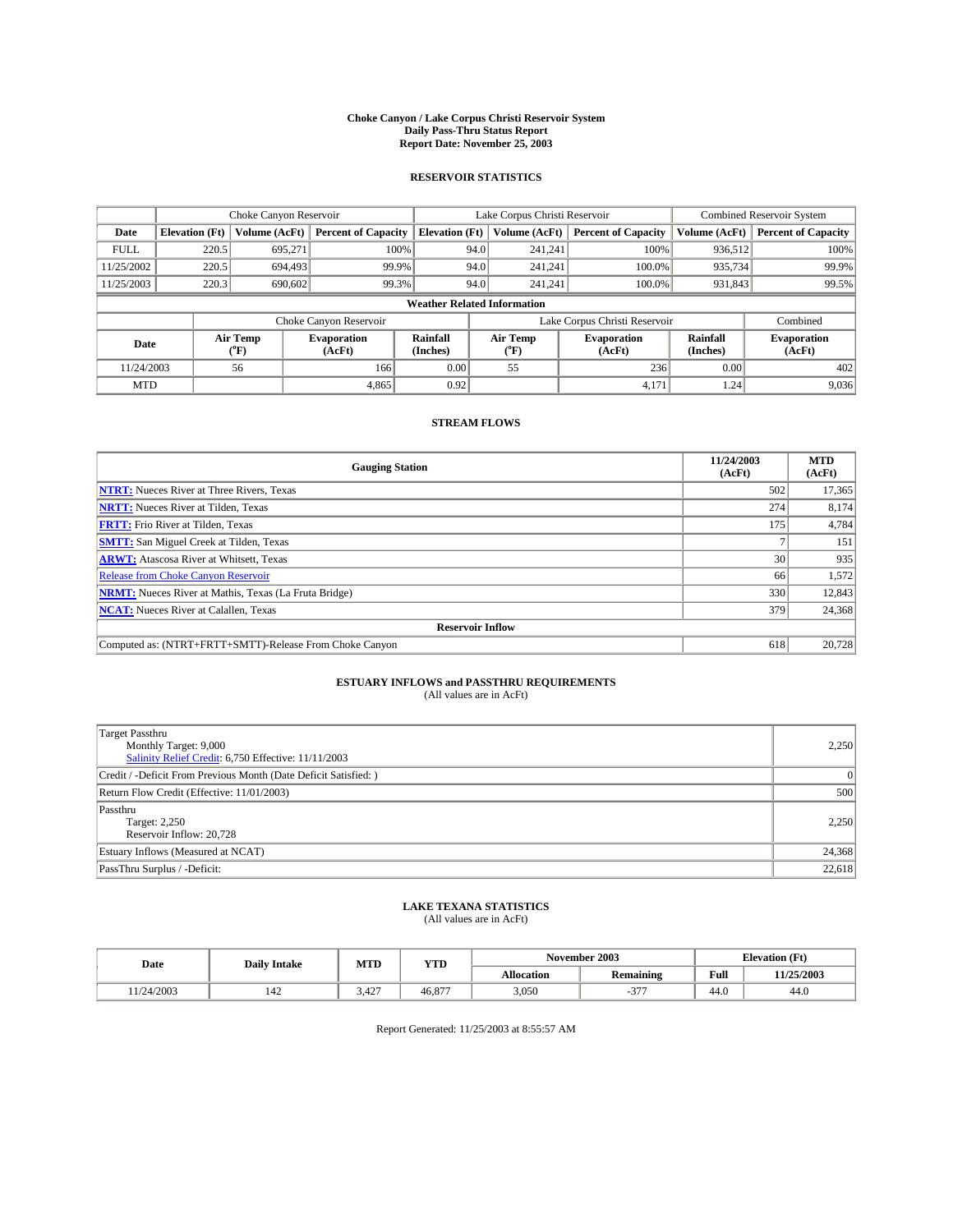#### **Choke Canyon / Lake Corpus Christi Reservoir System Daily Pass-Thru Status Report Report Date: November 25, 2003**

### **RESERVOIR STATISTICS**

|             | Choke Canyon Reservoir             |                             | Lake Corpus Christi Reservoir |                             |                               |                  | <b>Combined Reservoir System</b> |                      |                              |
|-------------|------------------------------------|-----------------------------|-------------------------------|-----------------------------|-------------------------------|------------------|----------------------------------|----------------------|------------------------------|
| Date        | <b>Elevation</b> (Ft)              | Volume (AcFt)               | <b>Percent of Capacity</b>    | <b>Elevation</b> (Ft)       |                               | Volume (AcFt)    | <b>Percent of Capacity</b>       | Volume (AcFt)        | <b>Percent of Capacity</b>   |
| <b>FULL</b> | 220.5                              | 695,271                     |                               | 100%                        | 94.0                          | 241,241          | 100%                             | 936,512              | 100%                         |
| 11/25/2002  | 220.5                              | 694,493                     | 99.9%                         |                             | 94.0                          | 241.241          | $100.0\%$                        | 935,734              | 99.9%                        |
| 11/25/2003  | 220.3                              | 690,602                     | 99.3%                         |                             | 94.0                          |                  | $100.0\%$<br>241,241             | 931,843              | 99.5%                        |
|             | <b>Weather Related Information</b> |                             |                               |                             |                               |                  |                                  |                      |                              |
|             |                                    |                             | Choke Canyon Reservoir        |                             | Lake Corpus Christi Reservoir |                  |                                  |                      | Combined                     |
| Date        |                                    | Air Temp<br>${}^{\circ}$ F) | <b>Evaporation</b><br>(AcFt)  | <b>Rainfall</b><br>(Inches) |                               | Air Temp<br>("F) | <b>Evaporation</b><br>(AcFt)     | Rainfall<br>(Inches) | <b>Evaporation</b><br>(AcFt) |
| 11/24/2003  |                                    | 56                          | 166                           | 0.00                        |                               | 55               | 236                              | 0.00                 | 402                          |
| <b>MTD</b>  |                                    |                             | 4,865                         | 0.92                        |                               |                  | 4,171                            | 1.24                 | 9,036                        |

### **STREAM FLOWS**

| <b>Gauging Station</b>                                       | 11/24/2003<br>(AcFt) | <b>MTD</b><br>(AcFt) |
|--------------------------------------------------------------|----------------------|----------------------|
| <b>NTRT:</b> Nueces River at Three Rivers, Texas             | 502                  | 17,365               |
| <b>NRTT:</b> Nueces River at Tilden, Texas                   | 274                  | 8,174                |
| <b>FRTT:</b> Frio River at Tilden, Texas                     | 175                  | 4,784                |
| <b>SMTT:</b> San Miguel Creek at Tilden, Texas               |                      | 151                  |
| <b>ARWT:</b> Atascosa River at Whitsett, Texas               | 30 <sup>1</sup>      | 935                  |
| <b>Release from Choke Canyon Reservoir</b>                   | 66                   | 1,572                |
| <b>NRMT:</b> Nueces River at Mathis, Texas (La Fruta Bridge) | 330                  | 12,843               |
| <b>NCAT:</b> Nueces River at Calallen, Texas                 | 379                  | 24,368               |
| <b>Reservoir Inflow</b>                                      |                      |                      |
| Computed as: (NTRT+FRTT+SMTT)-Release From Choke Canyon      | 618                  | 20,728               |

# **ESTUARY INFLOWS and PASSTHRU REQUIREMENTS**<br>(All values are in AcFt)

| Target Passthru<br>Monthly Target: 9,000<br>Salinity Relief Credit: 6,750 Effective: 11/11/2003 | 2,250    |
|-------------------------------------------------------------------------------------------------|----------|
| Credit / -Deficit From Previous Month (Date Deficit Satisfied: )                                | $\Omega$ |
| Return Flow Credit (Effective: 11/01/2003)                                                      | 500      |
| Passthru<br>Target: 2,250<br>Reservoir Inflow: 20,728                                           | 2,250    |
| Estuary Inflows (Measured at NCAT)                                                              | 24,368   |
| PassThru Surplus / -Deficit:                                                                    | 22,618   |

# **LAKE TEXANA STATISTICS** (All values are in AcFt)

| Date      | <b>Daily Intake</b> | MTD          | <b>YTD</b> |                   | November 2003        | <b>Elevation</b> (Ft) |            |
|-----------|---------------------|--------------|------------|-------------------|----------------------|-----------------------|------------|
|           |                     |              |            | <b>Allocation</b> | <b>Remaining</b>     | Full                  | 11/25/2003 |
| 1/24/2003 | 142                 | 427<br>3.42. | 46,877     | 3,050             | $\sim$ $\sim$ $\sim$ | $\sim$<br>44.V        | 44.0       |

Report Generated: 11/25/2003 at 8:55:57 AM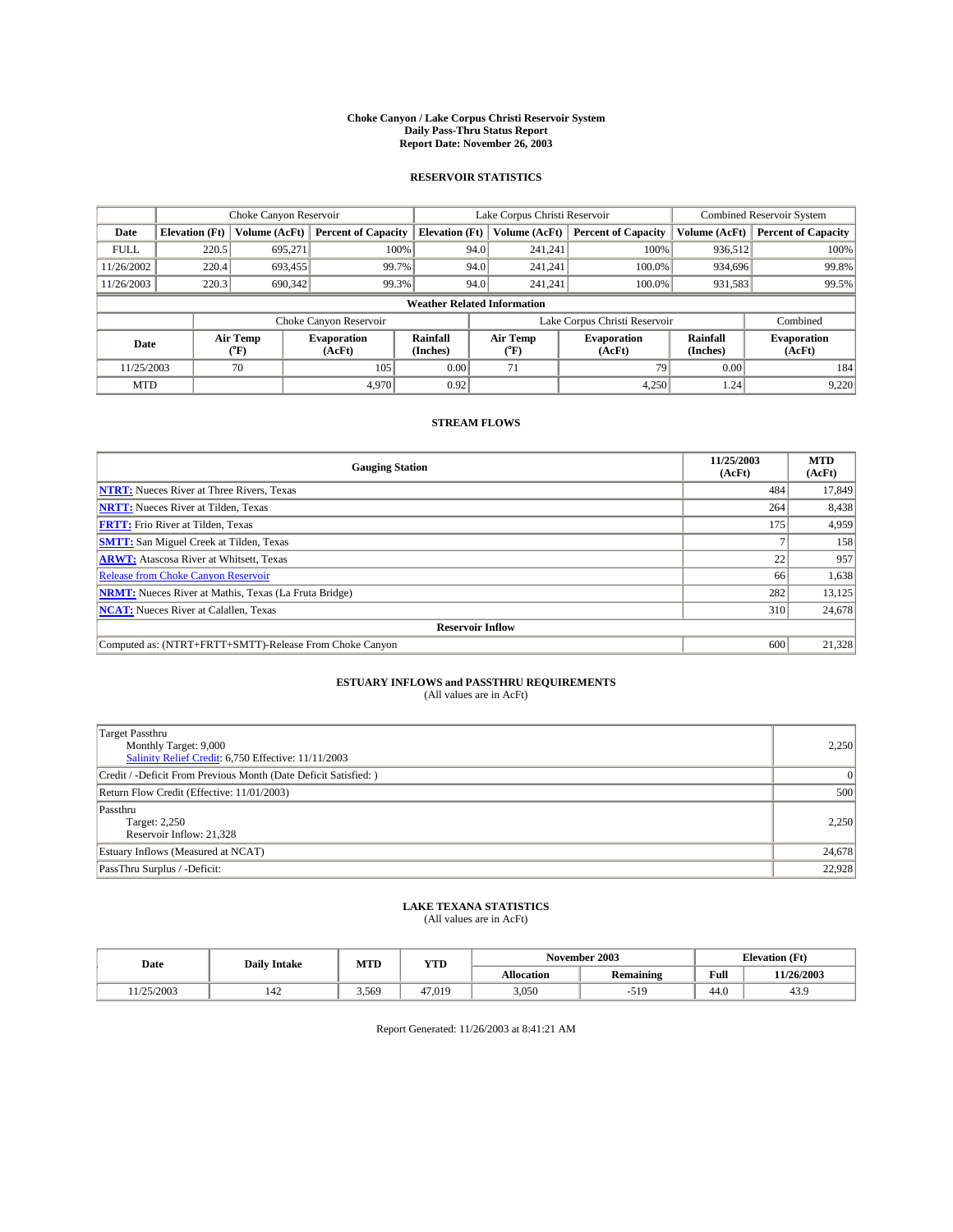#### **Choke Canyon / Lake Corpus Christi Reservoir System Daily Pass-Thru Status Report Report Date: November 26, 2003**

### **RESERVOIR STATISTICS**

|                                     |                                    |               | Lake Corpus Christi Reservoir |                             |                               |                  | <b>Combined Reservoir System</b> |                      |                              |
|-------------------------------------|------------------------------------|---------------|-------------------------------|-----------------------------|-------------------------------|------------------|----------------------------------|----------------------|------------------------------|
| Date                                | <b>Elevation</b> (Ft)              | Volume (AcFt) | <b>Percent of Capacity</b>    | <b>Elevation</b> (Ft)       |                               | Volume (AcFt)    | <b>Percent of Capacity</b>       | Volume (AcFt)        | <b>Percent of Capacity</b>   |
| <b>FULL</b>                         | 220.5                              | 695,271       |                               | 100%                        | 94.0                          | 241,241          | 100%                             | 936,512              | 100%                         |
| 11/26/2002                          | 220.4                              | 693,455       |                               | 99.7%                       | 94.0                          | 241.241          | $100.0\%$                        | 934,696              | 99.8%                        |
| 11/26/2003                          | 220.3                              | 690,342       |                               | 99.3%                       | 94.0                          |                  | $100.0\%$<br>241,241             | 931,583              | 99.5%                        |
|                                     | <b>Weather Related Information</b> |               |                               |                             |                               |                  |                                  |                      |                              |
|                                     |                                    |               | Choke Canyon Reservoir        |                             | Lake Corpus Christi Reservoir |                  |                                  |                      | Combined                     |
| Air Temp<br>Date<br>${}^{\circ}$ F) |                                    |               | <b>Evaporation</b><br>(AcFt)  | <b>Rainfall</b><br>(Inches) |                               | Air Temp<br>("F) | <b>Evaporation</b><br>(AcFt)     | Rainfall<br>(Inches) | <b>Evaporation</b><br>(AcFt) |
| 11/25/2003                          |                                    | 70            | 105                           | 0.00                        |                               | 71               | 79                               | 0.00                 | 184                          |
| <b>MTD</b>                          |                                    |               | 4,970                         | 0.92                        |                               |                  | 4,250                            | 1.24                 | 9,220                        |

### **STREAM FLOWS**

| <b>Gauging Station</b>                                       | 11/25/2003<br>(AcFt) | <b>MTD</b><br>(AcFt) |
|--------------------------------------------------------------|----------------------|----------------------|
| <b>NTRT:</b> Nueces River at Three Rivers, Texas             | 484                  | 17,849               |
| <b>NRTT:</b> Nueces River at Tilden, Texas                   | 264                  | 8,438                |
| <b>FRTT:</b> Frio River at Tilden, Texas                     | 175                  | 4,959                |
| <b>SMTT:</b> San Miguel Creek at Tilden, Texas               |                      | 158                  |
| <b>ARWT:</b> Atascosa River at Whitsett, Texas               | 22                   | 957                  |
| <b>Release from Choke Canyon Reservoir</b>                   | 66                   | 1,638                |
| <b>NRMT:</b> Nueces River at Mathis, Texas (La Fruta Bridge) | 282                  | 13,125               |
| <b>NCAT:</b> Nueces River at Calallen, Texas                 | 310                  | 24,678               |
| <b>Reservoir Inflow</b>                                      |                      |                      |
| Computed as: (NTRT+FRTT+SMTT)-Release From Choke Canyon      | 600                  | 21,328               |

# **ESTUARY INFLOWS and PASSTHRU REQUIREMENTS**<br>(All values are in AcFt)

| Target Passthru<br>Monthly Target: 9,000<br>Salinity Relief Credit: 6,750 Effective: 11/11/2003 | 2,250    |
|-------------------------------------------------------------------------------------------------|----------|
| Credit / -Deficit From Previous Month (Date Deficit Satisfied: )                                | $\Omega$ |
| Return Flow Credit (Effective: 11/01/2003)                                                      | 500      |
| Passthru<br>Target: 2,250<br>Reservoir Inflow: 21,328                                           | 2,250    |
| Estuary Inflows (Measured at NCAT)                                                              | 24,678   |
| PassThru Surplus / -Deficit:                                                                    | 22,928   |

# **LAKE TEXANA STATISTICS** (All values are in AcFt)

| Date      | <b>Daily Intake</b> | MTD   | YTD    |                   | November 2003    | <b>Elevation</b> (Ft) |            |
|-----------|---------------------|-------|--------|-------------------|------------------|-----------------------|------------|
|           |                     |       |        | <b>Allocation</b> | <b>Remaining</b> | Full                  | 11/26/2003 |
| 1/25/2003 | 142                 | 3.569 | 47.019 | 3,050             | -519             | $\sim$<br>44.U        | 43.9       |

Report Generated: 11/26/2003 at 8:41:21 AM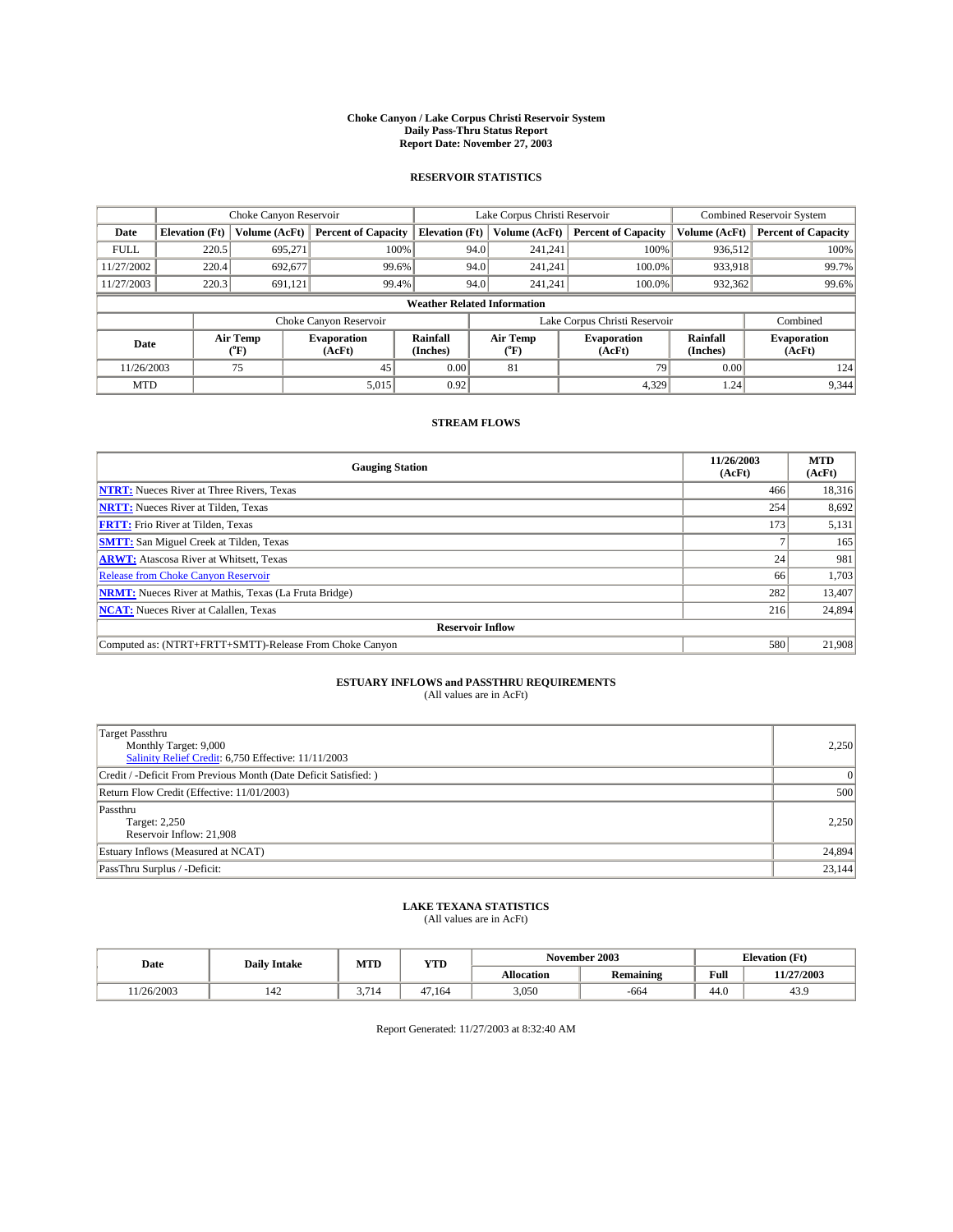#### **Choke Canyon / Lake Corpus Christi Reservoir System Daily Pass-Thru Status Report Report Date: November 27, 2003**

### **RESERVOIR STATISTICS**

|             | Choke Canyon Reservoir             |                  | Lake Corpus Christi Reservoir |                       |                               |                  | <b>Combined Reservoir System</b> |                      |                              |         |       |
|-------------|------------------------------------|------------------|-------------------------------|-----------------------|-------------------------------|------------------|----------------------------------|----------------------|------------------------------|---------|-------|
| Date        | <b>Elevation</b> (Ft)              | Volume (AcFt)    | <b>Percent of Capacity</b>    | <b>Elevation</b> (Ft) |                               | Volume (AcFt)    | <b>Percent of Capacity</b>       | Volume (AcFt)        | <b>Percent of Capacity</b>   |         |       |
| <b>FULL</b> | 220.5                              | 695.271          | 100%                          |                       | 94.0                          | 241,241          | 100%                             | 936.512              | 100%                         |         |       |
| 11/27/2002  | 220.4                              | 692.677          | 99.6%                         |                       | 94.0                          | 241.241          | 100.0%                           | 933.918              | 99.7%                        |         |       |
| 11/27/2003  | 220.3                              | 691,121          | 99.4%                         |                       |                               | 94.0             |                                  | 241.241              | 100.0%                       | 932,362 | 99.6% |
|             | <b>Weather Related Information</b> |                  |                               |                       |                               |                  |                                  |                      |                              |         |       |
|             |                                    |                  | Choke Canyon Reservoir        |                       | Lake Corpus Christi Reservoir |                  |                                  |                      | Combined                     |         |       |
| Date        |                                    | Air Temp<br>(°F) | <b>Evaporation</b><br>(AcFt)  | Rainfall<br>(Inches)  |                               | Air Temp<br>("F) | <b>Evaporation</b><br>(AcFt)     | Rainfall<br>(Inches) | <b>Evaporation</b><br>(AcFt) |         |       |
| 11/26/2003  |                                    | 75               | 45                            | 0.00                  |                               | 81               | 79                               | 0.00                 | 124                          |         |       |
| <b>MTD</b>  |                                    |                  | 5,015                         | 0.92                  |                               |                  | 4,329                            | 1.24                 | 9,344                        |         |       |

### **STREAM FLOWS**

| <b>Gauging Station</b>                                       | 11/26/2003<br>(AcFt) | <b>MTD</b><br>(AcFt) |
|--------------------------------------------------------------|----------------------|----------------------|
| <b>NTRT:</b> Nueces River at Three Rivers, Texas             | 466                  | 18,316               |
| <b>NRTT:</b> Nueces River at Tilden, Texas                   | 254                  | 8,692                |
| <b>FRTT:</b> Frio River at Tilden, Texas                     | 173                  | 5,131                |
| <b>SMTT:</b> San Miguel Creek at Tilden, Texas               |                      | 165                  |
| <b>ARWT:</b> Atascosa River at Whitsett, Texas               | 24 <sub>1</sub>      | 981                  |
| <b>Release from Choke Canyon Reservoir</b>                   | 66                   | 1,703                |
| <b>NRMT:</b> Nueces River at Mathis, Texas (La Fruta Bridge) | 282                  | 13,407               |
| <b>NCAT:</b> Nueces River at Calallen, Texas                 | 216                  | 24,894               |
| <b>Reservoir Inflow</b>                                      |                      |                      |
| Computed as: (NTRT+FRTT+SMTT)-Release From Choke Canyon      | 580                  | 21,908               |

# **ESTUARY INFLOWS and PASSTHRU REQUIREMENTS**<br>(All values are in AcFt)

| Target Passthru<br>Monthly Target: 9,000<br>Salinity Relief Credit: 6,750 Effective: 11/11/2003 | 2,250    |
|-------------------------------------------------------------------------------------------------|----------|
| Credit / -Deficit From Previous Month (Date Deficit Satisfied: )                                | $\Omega$ |
| Return Flow Credit (Effective: 11/01/2003)                                                      | 500      |
| Passthru<br>Target: 2,250<br>Reservoir Inflow: 21,908                                           | 2,250    |
| Estuary Inflows (Measured at NCAT)                                                              | 24,894   |
| PassThru Surplus / -Deficit:                                                                    | 23,144   |

# **LAKE TEXANA STATISTICS** (All values are in AcFt)

| Date      | <b>Daily Intake</b> | MTD  | <b>YTD</b> |                   | November 2003    | <b>Elevation</b> (Ft) |            |
|-----------|---------------------|------|------------|-------------------|------------------|-----------------------|------------|
|           |                     |      |            | <b>Allocation</b> | <b>Remaining</b> | Full                  | 11/27/2003 |
| 1/26/2003 | 142                 | .714 | 47.164     | 3,050             | -664             | $\sim$<br>44.V        | 43.9       |

Report Generated: 11/27/2003 at 8:32:40 AM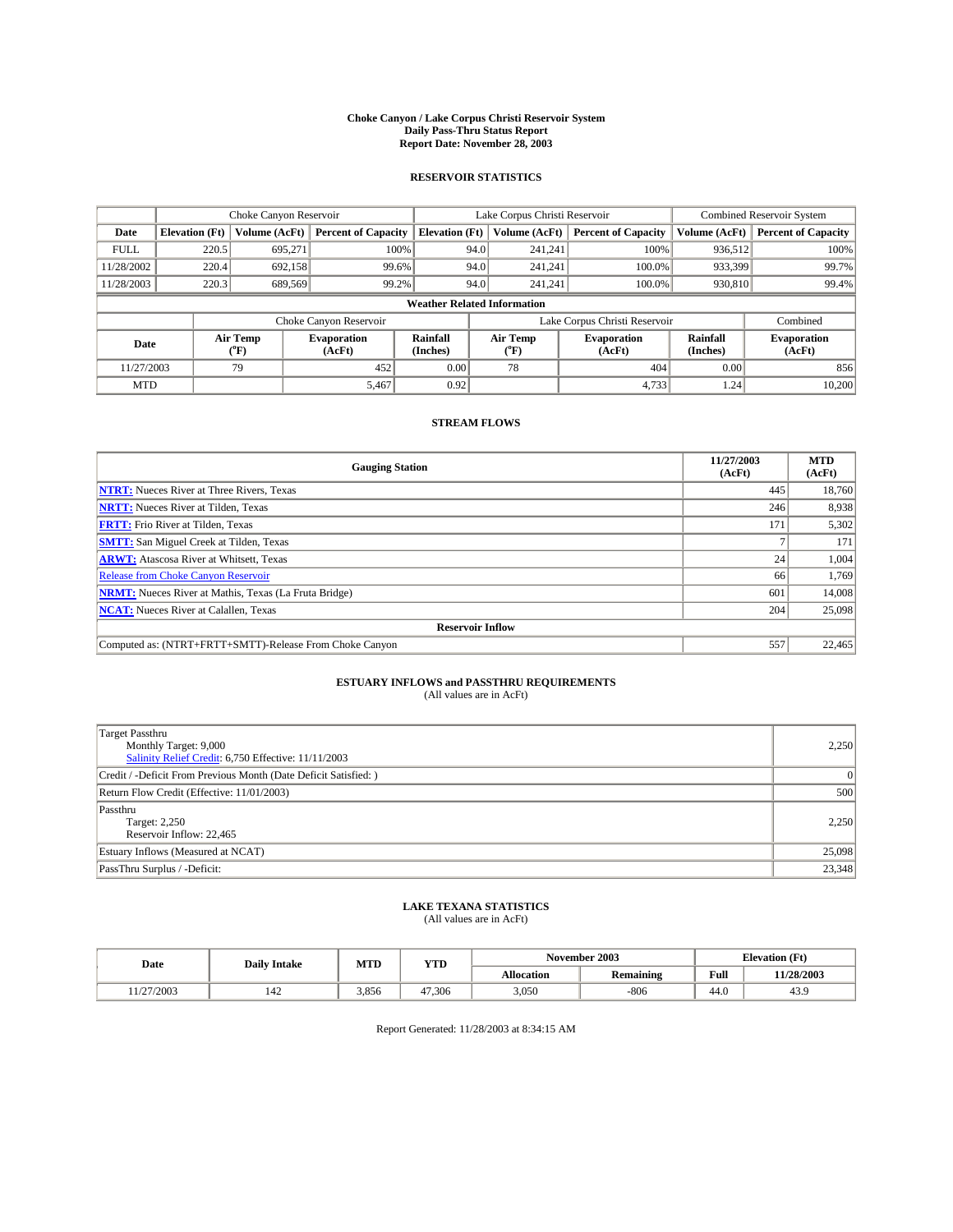#### **Choke Canyon / Lake Corpus Christi Reservoir System Daily Pass-Thru Status Report Report Date: November 28, 2003**

### **RESERVOIR STATISTICS**

|             | Choke Canyon Reservoir             |                             | Lake Corpus Christi Reservoir |                             |                               |                  | <b>Combined Reservoir System</b> |                             |                              |         |       |
|-------------|------------------------------------|-----------------------------|-------------------------------|-----------------------------|-------------------------------|------------------|----------------------------------|-----------------------------|------------------------------|---------|-------|
| Date        | <b>Elevation</b> (Ft)              | Volume (AcFt)               | <b>Percent of Capacity</b>    | <b>Elevation</b> (Ft)       |                               | Volume (AcFt)    | <b>Percent of Capacity</b>       | Volume (AcFt)               | <b>Percent of Capacity</b>   |         |       |
| <b>FULL</b> | 220.5                              | 695,271                     |                               | 100%                        | 94.0                          | 241,241          | 100%                             | 936.512                     | 100%                         |         |       |
| 11/28/2002  | 220.4                              | 692.158                     | 99.6%                         |                             | 94.0                          | 241.241          | $100.0\%$                        | 933,399                     | 99.7%                        |         |       |
| 11/28/2003  | 220.3                              | 689,569                     | 99.2%                         |                             |                               |                  | 94.0                             |                             | $100.0\%$<br>241.241         | 930,810 | 99.4% |
|             | <b>Weather Related Information</b> |                             |                               |                             |                               |                  |                                  |                             |                              |         |       |
|             |                                    |                             | Choke Canyon Reservoir        |                             | Lake Corpus Christi Reservoir |                  |                                  |                             | Combined                     |         |       |
| Date        |                                    | Air Temp<br>${}^{\circ}$ F) | <b>Evaporation</b><br>(AcFt)  | <b>Rainfall</b><br>(Inches) |                               | Air Temp<br>("F) | <b>Evaporation</b><br>(AcFt)     | <b>Rainfall</b><br>(Inches) | <b>Evaporation</b><br>(AcFt) |         |       |
| 11/27/2003  |                                    | 79                          | 452                           | 0.00                        |                               | 78               | 404                              | 0.00                        | 856                          |         |       |
| <b>MTD</b>  |                                    |                             | 5,467                         | 0.92                        |                               |                  | 4,733                            | 1.24                        | 10,200                       |         |       |

### **STREAM FLOWS**

| <b>Gauging Station</b>                                       | 11/27/2003<br>(AcFt) | <b>MTD</b><br>(AcFt) |
|--------------------------------------------------------------|----------------------|----------------------|
| <b>NTRT:</b> Nueces River at Three Rivers, Texas             | 445                  | 18,760               |
| <b>NRTT:</b> Nueces River at Tilden, Texas                   | 246                  | 8,938                |
| <b>FRTT:</b> Frio River at Tilden, Texas                     | 171                  | 5,302                |
| <b>SMTT:</b> San Miguel Creek at Tilden, Texas               |                      | 171                  |
| <b>ARWT:</b> Atascosa River at Whitsett, Texas               | 24                   | 1,004                |
| <b>Release from Choke Canyon Reservoir</b>                   | 66                   | 1,769                |
| <b>NRMT:</b> Nueces River at Mathis, Texas (La Fruta Bridge) | 601                  | 14,008               |
| <b>NCAT:</b> Nueces River at Calallen, Texas                 | 204                  | 25,098               |
| <b>Reservoir Inflow</b>                                      |                      |                      |
| Computed as: (NTRT+FRTT+SMTT)-Release From Choke Canyon      | 557                  | 22,465               |

# **ESTUARY INFLOWS and PASSTHRU REQUIREMENTS**<br>(All values are in AcFt)

| Target Passthru<br>Monthly Target: 9,000<br>Salinity Relief Credit: 6,750 Effective: 11/11/2003 | 2,250    |
|-------------------------------------------------------------------------------------------------|----------|
| Credit / -Deficit From Previous Month (Date Deficit Satisfied: )                                | $\Omega$ |
| Return Flow Credit (Effective: 11/01/2003)                                                      | 500      |
| Passthru<br>Target: 2,250<br>Reservoir Inflow: 22,465                                           | 2,250    |
| Estuary Inflows (Measured at NCAT)                                                              | 25,098   |
| PassThru Surplus / -Deficit:                                                                    | 23,348   |

# **LAKE TEXANA STATISTICS** (All values are in AcFt)

| Date                | <b>Daily Intake</b>             | MTD   | <b>YTD</b> |                   | November 2003    | <b>Elevation</b> (Ft) |            |
|---------------------|---------------------------------|-------|------------|-------------------|------------------|-----------------------|------------|
|                     |                                 |       |            | <b>Allocation</b> | <b>Remaining</b> | Full                  | 11/28/2003 |
| 1/27/2003<br>. 1/47 | $\overline{\phantom{a}}$<br>142 | 3.856 | 47.306     | 3,050             | $-806$           | $\sim$<br>44.U        | 43.9       |

Report Generated: 11/28/2003 at 8:34:15 AM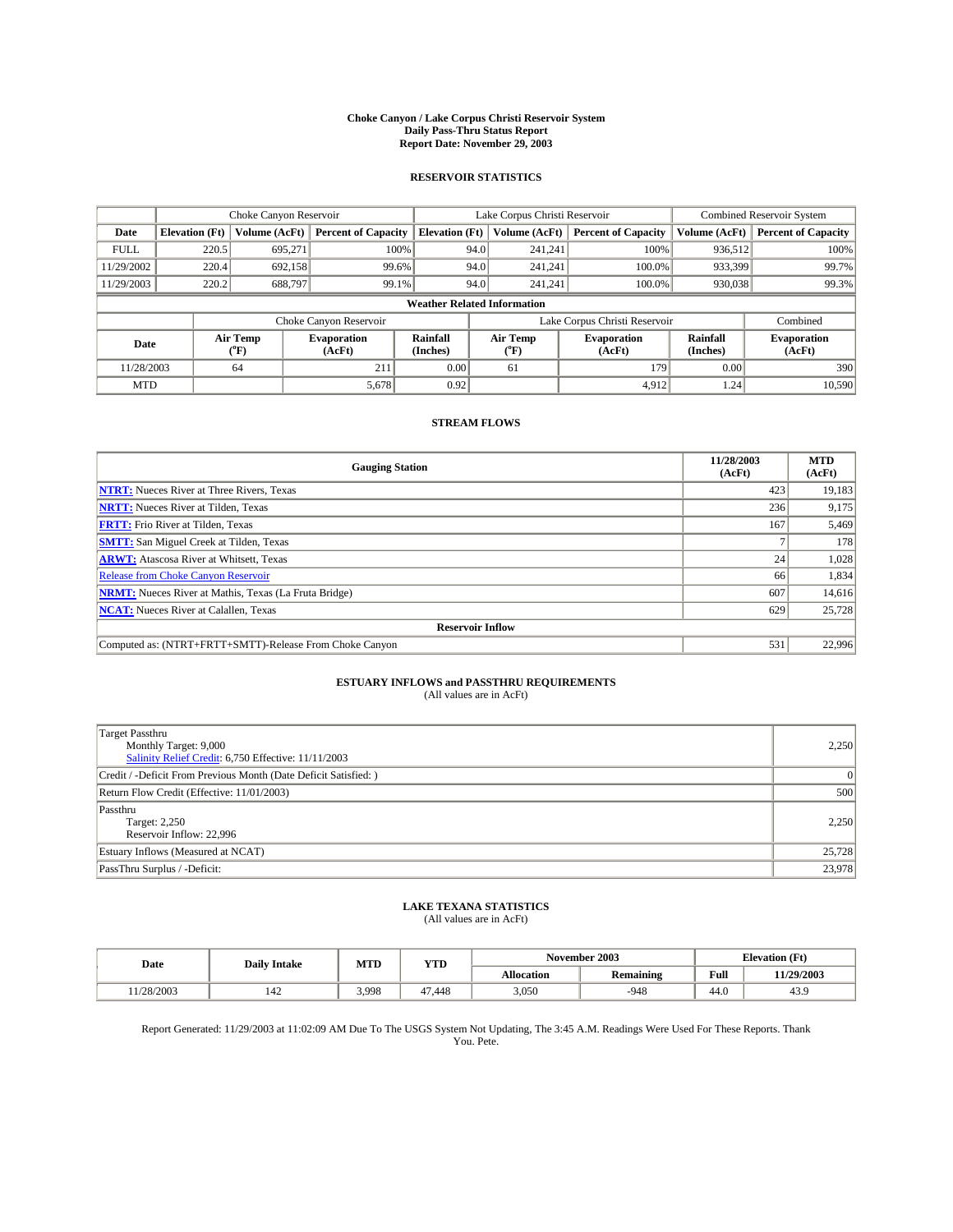#### **Choke Canyon / Lake Corpus Christi Reservoir System Daily Pass-Thru Status Report Report Date: November 29, 2003**

### **RESERVOIR STATISTICS**

|             | Choke Canyon Reservoir             |                             |                              |                             | Lake Corpus Christi Reservoir |                  |                              |                      | <b>Combined Reservoir System</b> |  |  |
|-------------|------------------------------------|-----------------------------|------------------------------|-----------------------------|-------------------------------|------------------|------------------------------|----------------------|----------------------------------|--|--|
| Date        | <b>Elevation</b> (Ft)              | Volume (AcFt)               | <b>Percent of Capacity</b>   | <b>Elevation</b> (Ft)       |                               | Volume (AcFt)    | <b>Percent of Capacity</b>   | Volume (AcFt)        | <b>Percent of Capacity</b>       |  |  |
| <b>FULL</b> | 220.5                              | 695,271                     | 100%                         |                             | 94.0                          | 241,241          | 100%                         | 936,512              | 100%                             |  |  |
| 11/29/2002  | 220.4                              | 692.158                     | 99.6%                        |                             | 94.0                          | 241.241          | $100.0\%$                    | 933,399              | 99.7%                            |  |  |
| 11/29/2003  | 220.2                              | 688,797                     | 99.1%                        |                             | 94.0                          |                  | $100.0\%$<br>241,241         | 930,038              | 99.3%                            |  |  |
|             | <b>Weather Related Information</b> |                             |                              |                             |                               |                  |                              |                      |                                  |  |  |
|             |                                    |                             | Choke Canyon Reservoir       |                             | Lake Corpus Christi Reservoir |                  |                              |                      | Combined                         |  |  |
| Date        |                                    | Air Temp<br>${}^{\circ}$ F) | <b>Evaporation</b><br>(AcFt) | <b>Rainfall</b><br>(Inches) |                               | Air Temp<br>("F) | <b>Evaporation</b><br>(AcFt) | Rainfall<br>(Inches) | <b>Evaporation</b><br>(AcFt)     |  |  |
| 11/28/2003  |                                    | 64                          | 211                          | 0.00                        |                               | 61               | 179                          | 0.00                 | 390                              |  |  |
| <b>MTD</b>  |                                    |                             | 5,678                        | 0.92                        |                               |                  | 4,912                        | 1.24                 | 10,590                           |  |  |

### **STREAM FLOWS**

| <b>Gauging Station</b>                                       | 11/28/2003<br>(AcFt) | <b>MTD</b><br>(AcFt) |
|--------------------------------------------------------------|----------------------|----------------------|
| <b>NTRT:</b> Nueces River at Three Rivers, Texas             | 423                  | 19,183               |
| <b>NRTT:</b> Nueces River at Tilden, Texas                   | 236                  | 9,175                |
| <b>FRTT:</b> Frio River at Tilden, Texas                     | 167                  | 5,469                |
| <b>SMTT:</b> San Miguel Creek at Tilden, Texas               |                      | 178                  |
| <b>ARWT:</b> Atascosa River at Whitsett, Texas               | 24                   | 1,028                |
| <b>Release from Choke Canyon Reservoir</b>                   | 66                   | 1,834                |
| <b>NRMT:</b> Nueces River at Mathis, Texas (La Fruta Bridge) | 607                  | 14,616               |
| <b>NCAT:</b> Nueces River at Calallen, Texas                 | 629                  | 25,728               |
| <b>Reservoir Inflow</b>                                      |                      |                      |
| Computed as: (NTRT+FRTT+SMTT)-Release From Choke Canyon      | 531                  | 22,996               |

## **ESTUARY INFLOWS and PASSTHRU REQUIREMENTS**

(All values are in AcFt)

| <b>Target Passthru</b><br>Monthly Target: 9,000<br>Salinity Relief Credit: 6,750 Effective: 11/11/2003 | 2,250  |
|--------------------------------------------------------------------------------------------------------|--------|
| Credit / -Deficit From Previous Month (Date Deficit Satisfied: )                                       |        |
| Return Flow Credit (Effective: 11/01/2003)                                                             | 500    |
| Passthru<br>Target: 2,250<br>Reservoir Inflow: 22,996                                                  | 2.250  |
| Estuary Inflows (Measured at NCAT)                                                                     | 25,728 |
| PassThru Surplus / -Deficit:                                                                           | 23,978 |

# **LAKE TEXANA STATISTICS** (All values are in AcFt)

| Date     | <b>Daily Intake</b> | MTD   | VTT<br>1 I D |                   | November 2003    | <b>Elevation</b> (Ft) |            |
|----------|---------------------|-------|--------------|-------------------|------------------|-----------------------|------------|
|          |                     |       |              | <b>Allocation</b> | <b>Remaining</b> | Full                  | 11/29/2003 |
| /28/2003 | 142                 | 3.998 | 47.448       | 3,050             | .948             | 44.0                  | 43.9       |

Report Generated: 11/29/2003 at 11:02:09 AM Due To The USGS System Not Updating, The 3:45 A.M. Readings Were Used For These Reports. Thank You. Pete.